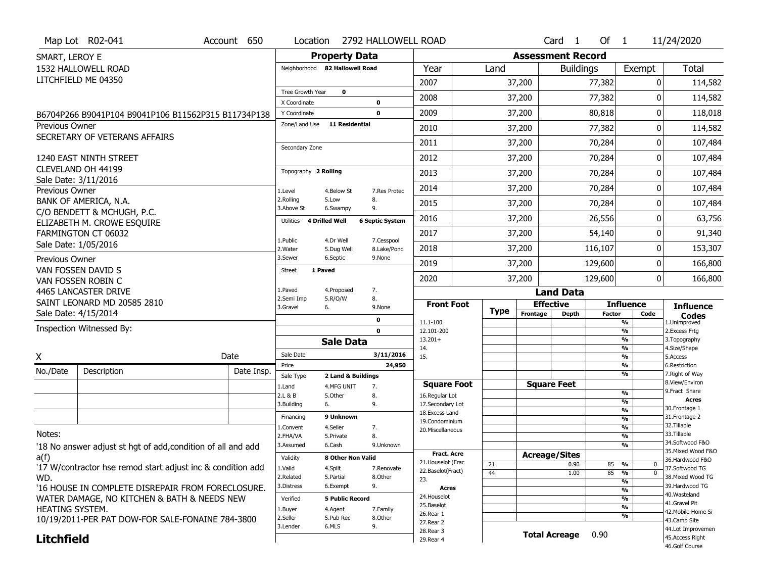|                       | Map Lot R02-041                                              | Account 650 | Location                      |                                | 2792 HALLOWELL ROAD    |                                     |             |          | Card <sub>1</sub>        | Of $1$        |                                           | 11/24/2020                            |
|-----------------------|--------------------------------------------------------------|-------------|-------------------------------|--------------------------------|------------------------|-------------------------------------|-------------|----------|--------------------------|---------------|-------------------------------------------|---------------------------------------|
| SMART, LEROY E        |                                                              |             |                               | <b>Property Data</b>           |                        |                                     |             |          | <b>Assessment Record</b> |               |                                           |                                       |
|                       | 1532 HALLOWELL ROAD                                          |             |                               | Neighborhood 82 Hallowell Road |                        | Year                                | Land        |          | <b>Buildings</b>         |               | Exempt                                    | <b>Total</b>                          |
|                       | LITCHFIELD ME 04350                                          |             |                               |                                |                        | 2007                                |             | 37,200   |                          | 77,382        | 0                                         | 114,582                               |
|                       |                                                              |             | Tree Growth Year              | 0                              |                        | 2008                                |             | 37,200   |                          | 77,382        | 0                                         | 114,582                               |
|                       |                                                              |             | X Coordinate                  |                                | $\mathbf 0$            |                                     |             |          |                          |               | 0                                         |                                       |
|                       | B6704P266 B9041P104 B9041P106 B11562P315 B11734P138          |             | Y Coordinate<br>Zone/Land Use | <b>11 Residential</b>          | $\mathbf 0$            | 2009                                |             | 37,200   |                          | 80,818        |                                           | 118,018                               |
| <b>Previous Owner</b> | SECRETARY OF VETERANS AFFAIRS                                |             |                               |                                |                        | 2010                                |             | 37,200   |                          | 77,382        | 0                                         | 114,582                               |
|                       |                                                              |             | Secondary Zone                |                                |                        | 2011                                |             | 37,200   |                          | 70,284        | 0                                         | 107,484                               |
|                       | 1240 EAST NINTH STREET                                       |             |                               |                                |                        | 2012                                |             | 37,200   |                          | 70,284        | 0                                         | 107,484                               |
|                       | CLEVELAND OH 44199                                           |             | Topography 2 Rolling          |                                |                        | 2013                                |             | 37,200   |                          | 70,284        | 0                                         | 107,484                               |
|                       | Sale Date: 3/11/2016                                         |             |                               |                                |                        | 2014                                |             | 37,200   |                          | 70,284        | 0                                         | 107,484                               |
| Previous Owner        | BANK OF AMERICA, N.A.                                        |             | 1.Level<br>2.Rolling          | 4.Below St<br>5.Low            | 7.Res Protec<br>8.     |                                     |             |          |                          |               |                                           |                                       |
|                       | C/O BENDETT & MCHUGH, P.C.                                   |             | 3.Above St                    | 6.Swampy                       | 9.                     | 2015                                |             | 37,200   |                          | 70,284        | 0                                         | 107,484                               |
|                       | ELIZABETH M. CROWE ESQUIRE                                   |             | Utilities 4 Drilled Well      |                                | <b>6 Septic System</b> | 2016                                |             | 37,200   |                          | 26,556        | 0                                         | 63,756                                |
|                       | FARMINGTON CT 06032                                          |             | 1.Public                      | 4.Dr Well                      | 7.Cesspool             | 2017                                |             | 37,200   |                          | 54,140        | 0                                         | 91,340                                |
|                       | Sale Date: 1/05/2016                                         |             | 2. Water                      | 5.Dug Well                     | 8.Lake/Pond            | 2018                                |             | 37,200   |                          | 116,107       | 0                                         | 153,307                               |
| Previous Owner        |                                                              |             | 3.Sewer                       | 6.Septic                       | 9.None                 | 2019                                |             | 37,200   |                          | 129,600       | 0                                         | 166,800                               |
|                       | VAN FOSSEN DAVID S                                           |             | 1 Paved<br><b>Street</b>      |                                |                        | 2020                                |             | 37,200   |                          | 129,600       | $\overline{0}$                            | 166,800                               |
|                       | VAN FOSSEN ROBIN C<br>4465 LANCASTER DRIVE                   |             | 1.Paved                       | 4.Proposed                     | 7.                     |                                     |             |          | <b>Land Data</b>         |               |                                           |                                       |
|                       | SAINT LEONARD MD 20585 2810                                  |             | 2.Semi Imp                    | 5.R/O/W                        | 8.                     | <b>Front Foot</b>                   |             |          | <b>Effective</b>         |               | <b>Influence</b>                          |                                       |
|                       | Sale Date: 4/15/2014                                         |             | 3.Gravel                      | 6.                             | 9.None                 |                                     | <b>Type</b> | Frontage | <b>Depth</b>             | <b>Factor</b> | Code                                      | <b>Influence</b><br>Codes             |
|                       |                                                              |             |                               |                                | 0                      |                                     |             |          |                          |               | %                                         | 1.Unimproved                          |
|                       |                                                              |             |                               |                                |                        | 11.1-100                            |             |          |                          |               |                                           |                                       |
|                       | Inspection Witnessed By:                                     |             |                               |                                | $\mathbf 0$            | 12.101-200<br>$13.201+$             |             |          |                          |               | %<br>%                                    | 2. Excess Frtg<br>3. Topography       |
|                       |                                                              |             |                               | <b>Sale Data</b>               |                        | 14.                                 |             |          |                          |               | %                                         | 4.Size/Shape                          |
| X                     |                                                              | Date        | Sale Date                     |                                | 3/11/2016<br>24,950    | 15.                                 |             |          |                          |               | %                                         | 5.Access<br>6.Restriction             |
| No./Date              | Description                                                  | Date Insp.  | Price<br>Sale Type            | 2 Land & Buildings             |                        |                                     |             |          |                          |               | %<br>%                                    | 7. Right of Way                       |
|                       |                                                              |             | 1.Land                        | 4.MFG UNIT                     | 7.                     | <b>Square Foot</b>                  |             |          | <b>Square Feet</b>       |               |                                           | 8.View/Environ                        |
|                       |                                                              |             | 2.L & B                       | 5.Other                        | 8.                     | 16.Regular Lot                      |             |          |                          |               | %<br>%                                    | 9. Fract Share<br><b>Acres</b>        |
|                       |                                                              |             | 3.Building                    | 6.                             | 9.                     | 17.Secondary Lot<br>18. Excess Land |             |          |                          |               | $\%$                                      | 30.Frontage 1                         |
|                       |                                                              |             | Financing                     | 9 Unknown                      |                        | 19.Condominium                      |             |          |                          |               | %                                         | 31. Frontage 2<br>32.Tillable         |
| Notes:                |                                                              |             | 1.Convent<br>2.FHA/VA         | 4.Seller<br>5.Private          | 7.<br>8.               | 20.Miscellaneous                    |             |          |                          |               | $\frac{9}{6}$<br>$\overline{\frac{9}{6}}$ | 33.Tillable                           |
|                       |                                                              |             | 3.Assumed                     | 6.Cash                         | 9.Unknown              |                                     |             |          |                          |               | %                                         | 34.Softwood F&O                       |
| a(f)                  | '18 No answer adjust st hgt of add, condition of all and add |             | Validity                      | 8 Other Non Valid              |                        | Fract. Acre                         |             |          | <b>Acreage/Sites</b>     |               |                                           | 35. Mixed Wood F&O<br>36.Hardwood F&O |
|                       | '17 W/contractor hse remod start adjust inc & condition add  |             | 1.Valid                       | 4.Split                        | 7.Renovate             | 21. Houselot (Frac                  | 21          |          | 0.90                     | 85            | %<br>0                                    | 37.Softwood TG                        |
| WD.                   |                                                              |             | 2.Related                     | 5.Partial                      | 8.Other                | 22.Baselot(Fract)<br>23.            | 44          |          | 1.00                     | 85            | $\overline{0}$<br>%                       | 38. Mixed Wood TG                     |
|                       | '16 HOUSE IN COMPLETE DISREPAIR FROM FORECLOSURE.            |             | 3.Distress                    | 6.Exempt                       | 9.                     | Acres                               |             |          |                          |               | %<br>%                                    | 39.Hardwood TG                        |
|                       | WATER DAMAGE, NO KITCHEN & BATH & NEEDS NEW                  |             | Verified                      | <b>5 Public Record</b>         |                        | 24. Houselot                        |             |          |                          |               | %                                         | 40.Wasteland<br>41.Gravel Pit         |
| HEATING SYSTEM.       |                                                              |             | 1.Buyer                       | 4.Agent                        | 7.Family               | 25.Baselot<br>26.Rear 1             |             |          |                          |               | %                                         | 42. Mobile Home Si                    |
|                       | 10/19/2011-PER PAT DOW-FOR SALE-FONAINE 784-3800             |             | 2.Seller                      | 5.Pub Rec                      | 8.Other                | 27. Rear 2                          |             |          |                          |               | %                                         | 43.Camp Site                          |
| <b>Litchfield</b>     |                                                              |             | 3.Lender                      | 6.MLS                          | 9.                     | 28. Rear 3<br>29. Rear 4            |             |          | <b>Total Acreage</b>     | 0.90          |                                           | 44.Lot Improvemen<br>45.Access Right  |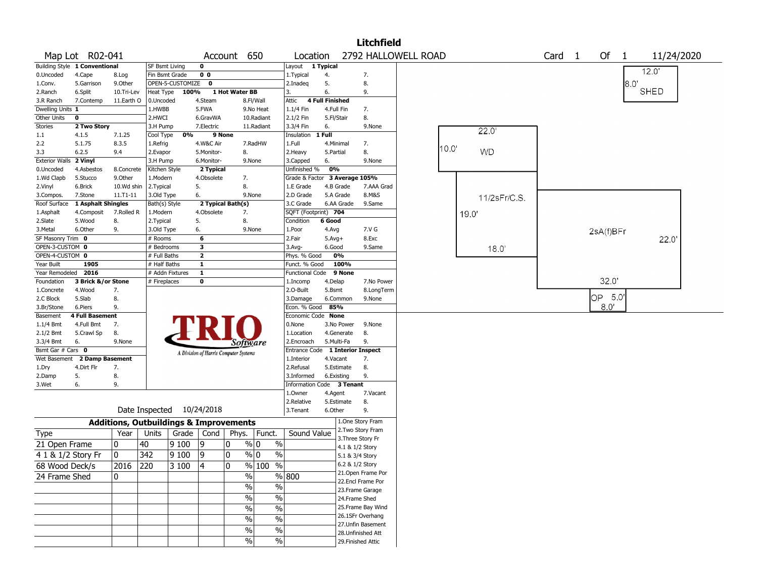|                        |                               |                                                   |                |                           |                |                                       |                          |                                  |                 |                                    | <b>Litchfield</b>                       |                     |       |              |                   |           |       |             |  |
|------------------------|-------------------------------|---------------------------------------------------|----------------|---------------------------|----------------|---------------------------------------|--------------------------|----------------------------------|-----------------|------------------------------------|-----------------------------------------|---------------------|-------|--------------|-------------------|-----------|-------|-------------|--|
|                        | Map Lot R02-041               |                                                   |                |                           |                | Account 650                           |                          | Location                         |                 |                                    |                                         | 2792 HALLOWELL ROAD |       |              | Card <sub>1</sub> | Of $1$    |       | 11/24/2020  |  |
|                        | Building Style 1 Conventional |                                                   | SF Bsmt Living |                           | 0              |                                       |                          | Layout 1 Typical                 |                 |                                    |                                         |                     |       |              |                   |           |       |             |  |
| 0.Uncoded              | 4.Cape                        | 8.Log                                             | Fin Bsmt Grade |                           | 0 <sub>0</sub> |                                       |                          | 1. Typical                       | 4.              |                                    | 7.                                      |                     |       |              |                   |           |       | 12.0'       |  |
| 1.Conv.                | 5.Garrison                    | 9.0ther                                           |                | OPEN-5-CUSTOMIZE          | 0              |                                       |                          | 2.Inadeq                         | 5.              |                                    | 8.                                      |                     |       |              |                   |           | 18.O' |             |  |
| 2.Ranch                | 6.Split                       | 10.Tri-Lev                                        | Heat Type      | 100%                      |                | 1 Hot Water BB                        |                          | 3.                               | 6.              |                                    | 9.                                      |                     |       |              |                   |           |       | <b>SHED</b> |  |
| 3.R Ranch              | 7.Contemp                     | 11.Earth O                                        | 0.Uncoded      |                           | 4.Steam        |                                       | 8.Fl/Wall                | Attic                            | 4 Full Finished |                                    |                                         |                     |       |              |                   |           |       |             |  |
| Dwelling Units 1       |                               |                                                   | 1.HWBB         |                           | 5.FWA          |                                       | 9.No Heat                | 1.1/4 Fin                        | 4.Full Fin      |                                    | 7.                                      |                     |       |              |                   |           |       |             |  |
| Other Units            | 0                             |                                                   | 2.HWCI         |                           | 6.GravWA       |                                       | 10.Radiant               | 2.1/2 Fin                        | 5.Fl/Stair      |                                    | 8.                                      |                     |       |              |                   |           |       |             |  |
| <b>Stories</b>         | 2 Two Story                   |                                                   | 3.H Pump       |                           | 7.Electric     |                                       | 11.Radiant               | 3.3/4 Fin                        | 6.              |                                    | 9.None                                  |                     |       | 22.0         |                   |           |       |             |  |
| $1.1\,$                | 4.1.5                         | 7.1.25                                            | Cool Type      | 0%                        |                | 9 None                                |                          | Insulation                       | 1 Full          |                                    |                                         |                     |       |              |                   |           |       |             |  |
| 2.2                    | 5.1.75                        | 8.3.5                                             | 1.Refrig       |                           | 4.W&C Air      |                                       | 7.RadHW                  | 1.Full                           | 4.Minimal       |                                    | 7.                                      |                     | 10.0' |              |                   |           |       |             |  |
| 3.3                    | 6.2.5                         | 9.4                                               | 2.Evapor       |                           | 5.Monitor-     | 8.                                    |                          | 2.Heavy                          | 5.Partial       |                                    | 8.                                      |                     |       | <b>WD</b>    |                   |           |       |             |  |
| Exterior Walls 2 Vinyl |                               |                                                   | 3.H Pump       |                           | 6.Monitor-     |                                       | 9.None                   | 3.Capped                         | 6.              |                                    | 9.None                                  |                     |       |              |                   |           |       |             |  |
| 0.Uncoded              | 4.Asbestos                    | 8.Concrete                                        | Kitchen Style  |                           | 2 Typical      |                                       |                          | Unfinished %                     | 0%              |                                    |                                         |                     |       |              |                   |           |       |             |  |
| 1.Wd Clapb             | 5.Stucco                      | 9.Other                                           | 1.Modern       |                           | 4.Obsolete     | 7.                                    |                          | Grade & Factor                   |                 |                                    | 3 Average 105%                          |                     |       |              |                   |           |       |             |  |
| 2.Vinyl                | 6.Brick                       | 10.Wd shin                                        | 2. Typical     |                           | 5.             | 8.                                    |                          | 1.E Grade                        |                 | 4.B Grade                          | 7.AAA Grad                              |                     |       |              |                   |           |       |             |  |
| 3.Compos.              | 7.Stone                       | 11.T1-11                                          | 3.Old Type     |                           | 6.             |                                       | 9.None                   | 2.D Grade                        |                 | 5.A Grade                          | 8.M&S                                   |                     |       | 11/2sFr/C.S. |                   |           |       |             |  |
| Roof Surface           | 1 Asphalt Shingles            |                                                   | Bath(s) Style  |                           |                | 2 Typical Bath(s)                     |                          | 3.C Grade                        |                 | 6.AA Grade                         | 9.Same                                  |                     |       |              |                   |           |       |             |  |
| 1.Asphalt              | 4.Composit                    | 7.Rolled R                                        | 1.Modern       |                           | 4.Obsolete     | 7.                                    |                          | SQFT (Footprint) 704             |                 |                                    |                                         |                     |       | 19.0         |                   |           |       |             |  |
| 2.Slate                | 5.Wood                        | 8.                                                | 2. Typical     |                           | 5.             | 8.                                    |                          | Condition                        | 6 Good          |                                    |                                         |                     |       |              |                   |           |       |             |  |
| 3. Metal               | 6.Other                       | 9.                                                | 3.Old Type     |                           | 6.             |                                       | 9.None                   | 1.Poor                           | 4.Avg           |                                    | 7.V G                                   |                     |       |              |                   | 2sA(f)BFr |       |             |  |
| SF Masonry Trim 0      |                               |                                                   | # Rooms        |                           | 6              |                                       |                          | 2.Fair                           | $5.$ Avg $+$    |                                    | 8.Exc                                   |                     |       |              |                   |           |       | 22.0        |  |
| OPEN-3-CUSTOM 0        |                               |                                                   | # Bedrooms     |                           | 3              |                                       |                          | 3.Avg-                           | 6.Good          |                                    | 9.Same                                  |                     |       | 18.0'        |                   |           |       |             |  |
| OPEN-4-CUSTOM 0        |                               |                                                   | # Full Baths   |                           | $\mathbf{2}$   |                                       |                          | Phys. % Good                     |                 | 0%                                 |                                         |                     |       |              |                   |           |       |             |  |
| Year Built             | 1905                          |                                                   | # Half Baths   |                           | $\mathbf{1}$   |                                       |                          | Funct. % Good                    |                 | 100%                               |                                         |                     |       |              |                   |           |       |             |  |
| Year Remodeled 2016    |                               |                                                   |                | # Addn Fixtures           | $\mathbf{1}$   |                                       |                          | <b>Functional Code</b>           |                 | 9 None                             |                                         |                     |       |              |                   |           |       |             |  |
| Foundation             | 3 Brick &/or Stone            |                                                   | # Fireplaces   |                           | 0              |                                       |                          | 1.Incomp                         | 4.Delap         |                                    | 7.No Power                              |                     |       |              |                   | 32.0'     |       |             |  |
| 1.Concrete             | 4.Wood                        | 7.                                                |                |                           |                |                                       |                          | 2.O-Built                        | 5.Bsmt          |                                    | 8.LongTerm                              |                     |       |              |                   |           |       |             |  |
| 2.C Block              | 5.Slab                        | 8.                                                |                |                           |                |                                       |                          | 3.Damage                         |                 | 6.Common                           | 9.None                                  |                     |       |              |                   | OP 5.0    |       |             |  |
| 3.Br/Stone             | 6.Piers                       | 9.                                                |                |                           |                |                                       |                          | Econ. % Good                     | 85%             |                                    |                                         |                     |       |              |                   | 80'       |       |             |  |
| Basement               | <b>4 Full Basement</b>        |                                                   |                |                           |                |                                       |                          | Economic Code None               |                 |                                    |                                         |                     |       |              |                   |           |       |             |  |
| 1.1/4 Bmt              | 4.Full Bmt                    | 7.                                                |                |                           |                |                                       |                          | 0.None                           |                 | 3.No Power                         | 9.None                                  |                     |       |              |                   |           |       |             |  |
| 2.1/2 Bmt              | 5.Crawl Sp                    | 8.                                                |                |                           |                |                                       |                          | 1.Location                       |                 | 4.Generate                         | 8.                                      |                     |       |              |                   |           |       |             |  |
| 3.3/4 Bmt              | 6.                            | 9.None                                            |                |                           |                | Software                              |                          | 2.Encroach                       |                 | 5.Multi-Fa                         | 9.                                      |                     |       |              |                   |           |       |             |  |
| Bsmt Gar # Cars 0      |                               |                                                   |                |                           |                | A Division of Harris Computer Systems |                          | Entrance Code 1 Interior Inspect |                 |                                    |                                         |                     |       |              |                   |           |       |             |  |
| Wet Basement           | 2 Damp Basement               |                                                   |                |                           |                |                                       |                          | 1.Interior                       | 4.Vacant        |                                    | 7.                                      |                     |       |              |                   |           |       |             |  |
| 1.Dry                  | 4.Dirt Flr                    | 7.                                                |                |                           |                |                                       |                          | 2.Refusal                        |                 | 5.Estimate                         | 8.                                      |                     |       |              |                   |           |       |             |  |
| 2.Damp                 | 5.                            | 8.                                                |                |                           |                |                                       |                          | 3.Informed                       |                 | 6.Existing                         | 9.                                      |                     |       |              |                   |           |       |             |  |
| 3.Wet                  | 6.                            | 9.                                                |                |                           |                |                                       |                          | Information Code 3 Tenant        |                 |                                    |                                         |                     |       |              |                   |           |       |             |  |
|                        |                               |                                                   |                |                           |                |                                       |                          | 1.0wner                          | 4.Agent         |                                    | 7.Vacant                                |                     |       |              |                   |           |       |             |  |
|                        |                               |                                                   |                |                           |                |                                       |                          | 2.Relative                       |                 | 5.Estimate                         | 8.                                      |                     |       |              |                   |           |       |             |  |
|                        |                               |                                                   |                | Date Inspected 10/24/2018 |                |                                       |                          | 3.Tenant                         | 6.Other         |                                    | 9.                                      |                     |       |              |                   |           |       |             |  |
|                        |                               | <b>Additions, Outbuildings &amp; Improvements</b> |                |                           |                |                                       |                          |                                  |                 |                                    | 1.One Story Fram                        |                     |       |              |                   |           |       |             |  |
| Type                   |                               | Year                                              | Units          |                           | Grade   Cond   |                                       | Phys.   Funct.           | Sound Value                      |                 |                                    | 2. Two Story Fram                       |                     |       |              |                   |           |       |             |  |
| 21 Open Frame          |                               | 0                                                 | 40             | 9100                      | 19             | 0                                     | % 0<br>$\%$              |                                  |                 |                                    | 3. Three Story Fr                       |                     |       |              |                   |           |       |             |  |
| 4 1 & 1/2 Story Fr     |                               | 0                                                 | 342            | 9100                      | 9              | 0                                     | % 0<br>$\%$              |                                  |                 | 4.1 & 1/2 Story<br>5.1 & 3/4 Story |                                         |                     |       |              |                   |           |       |             |  |
|                        |                               |                                                   |                |                           |                |                                       |                          |                                  |                 | 6.2 & 1/2 Story                    |                                         |                     |       |              |                   |           |       |             |  |
| 68 Wood Deck/s         |                               | 2016                                              | $ 220\rangle$  | $ 3100\rangle$            | $ 4\rangle$    | 0                                     | % 100<br>$\sqrt[6]{\ }$  |                                  |                 |                                    | 21.Open Frame Por                       |                     |       |              |                   |           |       |             |  |
| 24 Frame Shed          |                               | 0                                                 |                |                           |                | $\frac{0}{0}$                         |                          | % 800                            |                 |                                    | 22.Encl Frame Por                       |                     |       |              |                   |           |       |             |  |
|                        |                               |                                                   |                |                           |                | $\frac{9}{6}$                         | $\%$                     |                                  |                 |                                    | 23. Frame Garage                        |                     |       |              |                   |           |       |             |  |
|                        |                               |                                                   |                |                           |                | $\frac{1}{2}$                         | $\overline{\frac{0}{0}}$ |                                  |                 | 24.Frame Shed                      |                                         |                     |       |              |                   |           |       |             |  |
|                        |                               |                                                   |                |                           |                |                                       |                          |                                  |                 |                                    |                                         |                     |       |              |                   |           |       |             |  |
|                        |                               |                                                   |                |                           |                | $\sqrt{6}$                            | $\overline{\frac{0}{0}}$ |                                  |                 |                                    | 25. Frame Bay Wind<br>26.1SFr Overhang  |                     |       |              |                   |           |       |             |  |
|                        |                               |                                                   |                |                           |                | $\frac{9}{6}$                         | $\overline{\frac{0}{0}}$ |                                  |                 |                                    |                                         |                     |       |              |                   |           |       |             |  |
|                        |                               |                                                   |                |                           |                | $\%$                                  | $\overline{\frac{0}{0}}$ |                                  |                 |                                    | 27.Unfin Basement<br>28. Unfinished Att |                     |       |              |                   |           |       |             |  |
|                        |                               |                                                   |                |                           |                | $\sqrt{6}$                            | $\sqrt{6}$               |                                  |                 |                                    |                                         |                     |       |              |                   |           |       |             |  |
|                        |                               |                                                   |                |                           |                |                                       |                          |                                  |                 |                                    | 29. Finished Attic                      |                     |       |              |                   |           |       |             |  |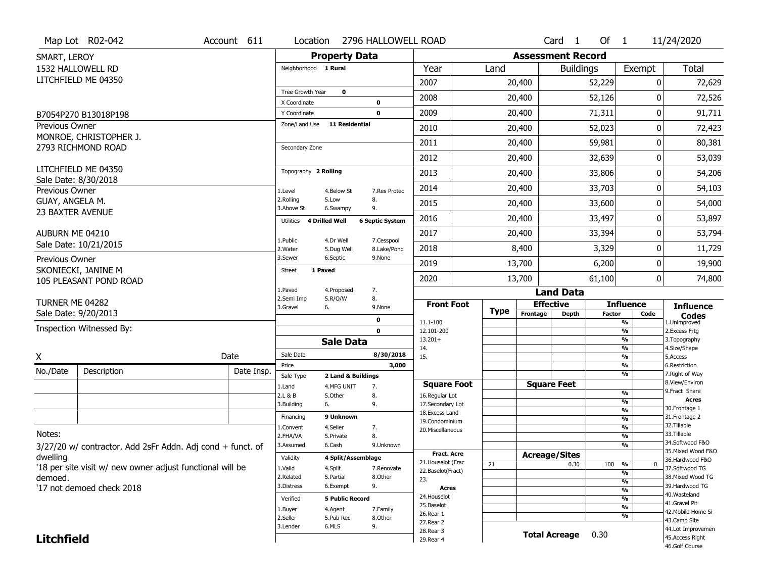|                                     | Map Lot R02-042                                            | Account 611 | Location                         |                        | 2796 HALLOWELL ROAD        |                                   |             |                          | Card <sub>1</sub>  | Of $1$        |                                           | 11/24/2020                        |
|-------------------------------------|------------------------------------------------------------|-------------|----------------------------------|------------------------|----------------------------|-----------------------------------|-------------|--------------------------|--------------------|---------------|-------------------------------------------|-----------------------------------|
| SMART, LEROY                        |                                                            |             |                                  | <b>Property Data</b>   |                            |                                   |             | <b>Assessment Record</b> |                    |               |                                           |                                   |
|                                     | 1532 HALLOWELL RD                                          |             | Neighborhood 1 Rural             |                        |                            | Year                              | Land        |                          | <b>Buildings</b>   |               | Exempt                                    | <b>Total</b>                      |
|                                     | LITCHFIELD ME 04350                                        |             |                                  |                        |                            | 2007                              |             | 20,400                   |                    | 52,229        | 0                                         | 72,629                            |
|                                     |                                                            |             | Tree Growth Year<br>X Coordinate | $\mathbf 0$            |                            | 2008                              |             | 20,400                   |                    | 52,126        | 0                                         | 72,526                            |
|                                     | B7054P270 B13018P198                                       |             | Y Coordinate                     |                        | $\mathbf 0$<br>$\mathbf 0$ | 2009                              |             | 20,400                   |                    | 71,311        | 0                                         | 91,711                            |
| Previous Owner                      |                                                            |             | Zone/Land Use                    | <b>11 Residential</b>  |                            | 2010                              |             | 20,400                   |                    | 52,023        | 0                                         | 72,423                            |
|                                     | MONROE, CHRISTOPHER J.                                     |             |                                  |                        |                            | 2011                              |             | 20,400                   |                    | 59,981        | 0                                         | 80,381                            |
|                                     | 2793 RICHMOND ROAD                                         |             | Secondary Zone                   |                        |                            | 2012                              |             | 20,400                   |                    | 32,639        | 0                                         | 53,039                            |
|                                     | LITCHFIELD ME 04350                                        |             | Topography 2 Rolling             |                        |                            | 2013                              |             |                          |                    |               |                                           |                                   |
|                                     | Sale Date: 8/30/2018                                       |             |                                  |                        |                            |                                   |             | 20,400                   |                    | 33,806        | 0                                         | 54,206                            |
| Previous Owner                      |                                                            |             | 1.Level<br>2.Rolling             | 4.Below St<br>5.Low    | 7.Res Protec<br>8.         | 2014                              |             | 20,400                   |                    | 33,703        | 0                                         | 54,103                            |
| GUAY, ANGELA M.<br>23 BAXTER AVENUE |                                                            |             | 3.Above St                       | 6.Swampy               | 9.                         | 2015                              |             | 20,400                   |                    | 33,600        | 0                                         | 54,000                            |
|                                     |                                                            |             | Utilities 4 Drilled Well         |                        | <b>6 Septic System</b>     | 2016                              |             | 20,400                   |                    | 33,497        | 0                                         | 53,897                            |
| AUBURN ME 04210                     |                                                            |             | 1.Public                         | 4.Dr Well              | 7.Cesspool                 | 2017                              |             | 20,400                   |                    | 33,394        | 0                                         | 53,794                            |
|                                     | Sale Date: 10/21/2015                                      |             | 2. Water                         | 5.Dug Well             | 8.Lake/Pond                | 2018                              |             | 8,400                    |                    | 3,329         | 0                                         | 11,729                            |
| Previous Owner                      | SKONIECKI, JANINE M                                        |             | 3.Sewer                          | 6.Septic               | 9.None                     | 2019                              |             | 13,700                   |                    | 6,200         | 0                                         | 19,900                            |
|                                     | 105 PLEASANT POND ROAD                                     |             | <b>Street</b><br>1 Paved         |                        |                            | 2020                              |             | 13,700                   |                    | 61,100        | 0                                         | 74,800                            |
|                                     |                                                            |             | 1.Paved                          | 4.Proposed             | 7.                         |                                   |             |                          | <b>Land Data</b>   |               |                                           |                                   |
| TURNER ME 04282                     |                                                            |             | 2.Semi Imp<br>3.Gravel           | 5.R/O/W<br>6.          | 8.<br>9.None               | <b>Front Foot</b>                 | <b>Type</b> | <b>Effective</b>         |                    |               | <b>Influence</b>                          | <b>Influence</b>                  |
|                                     | Sale Date: 9/20/2013                                       |             |                                  |                        | $\mathbf 0$                | 11.1-100                          |             | Frontage                 | <b>Depth</b>       | <b>Factor</b> | Code<br>$\frac{9}{6}$                     | <b>Codes</b><br>1.Unimproved      |
|                                     | Inspection Witnessed By:                                   |             |                                  |                        | $\mathbf 0$                | 12.101-200                        |             |                          |                    |               | $\overline{\frac{9}{6}}$                  | 2. Excess Frtg                    |
|                                     |                                                            |             |                                  | <b>Sale Data</b>       |                            | $13.201+$<br>14.                  |             |                          |                    |               | $\frac{9}{6}$<br>$\overline{\frac{9}{6}}$ | 3. Topography<br>4.Size/Shape     |
| $\overline{\mathsf{x}}$             |                                                            | Date        | Sale Date                        |                        | 8/30/2018                  | 15.                               |             |                          |                    |               | $\frac{9}{6}$                             | 5.Access                          |
| No./Date                            | Description                                                | Date Insp.  | Price<br>Sale Type               | 2 Land & Buildings     | 3,000                      |                                   |             |                          |                    |               | $\overline{\frac{9}{6}}$<br>$\frac{9}{6}$ | 6.Restriction<br>7. Right of Way  |
|                                     |                                                            |             | 1.Land                           | 4.MFG UNIT             | 7.                         | <b>Square Foot</b>                |             |                          | <b>Square Feet</b> |               |                                           | 8.View/Environ                    |
|                                     |                                                            |             | 2.L & B                          | 5.Other                | 8.                         | 16.Regular Lot                    |             |                          |                    |               | %                                         | 9.Fract Share<br><b>Acres</b>     |
|                                     |                                                            |             | 3.Building                       | 6.                     | 9.                         | 17.Secondary Lot                  |             |                          |                    |               | %<br>%                                    | 30. Frontage 1                    |
|                                     |                                                            |             | Financing                        | 9 Unknown              |                            | 18. Excess Land<br>19.Condominium |             |                          |                    |               | %                                         | 31. Frontage 2                    |
|                                     |                                                            |             | 1.Convent                        | 4.Seller               | 7.                         | 20.Miscellaneous                  |             |                          |                    |               | %                                         | 32. Tillable                      |
| Notes:                              |                                                            |             | 2.FHA/VA                         | 5.Private              | 8.                         |                                   |             |                          |                    |               | %                                         | 33.Tillable<br>34.Softwood F&O    |
|                                     | 3/27/20 w/ contractor. Add 2sFr Addn. Adj cond + funct. of |             | 3.Assumed                        | 6.Cash                 | 9.Unknown                  | Fract. Acre                       |             |                          |                    |               | %                                         | 35. Mixed Wood F&O                |
| dwelling                            |                                                            |             | Validity                         | 4 Split/Assemblage     |                            | 21. Houselot (Frac                |             | <b>Acreage/Sites</b>     |                    |               |                                           | 36.Hardwood F&O                   |
|                                     | '18 per site visit w/ new owner adjust functional will be  |             | 1.Valid                          | 4.Split                | 7.Renovate                 | 22.Baselot(Fract)                 | 21          |                          | 0.30               | 100           | %<br>0<br>$\frac{9}{6}$                   | 37.Softwood TG                    |
| demoed.                             |                                                            |             | 2.Related                        | 5.Partial              | 8.Other                    | 23.                               |             |                          |                    |               | %                                         | 38. Mixed Wood TG                 |
|                                     | '17 not demoed check 2018                                  |             | 3.Distress                       | 6.Exempt               | 9.                         | Acres                             |             |                          |                    |               | %                                         | 39.Hardwood TG                    |
|                                     |                                                            |             | Verified                         | <b>5 Public Record</b> |                            | 24. Houselot                      |             |                          |                    |               | %                                         | 40.Wasteland<br>41.Gravel Pit     |
|                                     |                                                            |             | 1.Buyer                          | 4.Agent                | 7.Family                   | 25.Baselot                        |             |                          |                    |               | %                                         | 42. Mobile Home Si                |
|                                     |                                                            |             | 2.Seller                         | 5.Pub Rec              | 8.Other                    | 26.Rear 1<br>27.Rear 2            |             |                          |                    |               | %                                         | 43.Camp Site                      |
|                                     |                                                            |             | 3.Lender                         | 6.MLS                  | 9.                         |                                   |             |                          |                    |               |                                           | 44.Lot Improvemen                 |
|                                     |                                                            |             |                                  |                        |                            | 28. Rear 3                        |             |                          |                    |               |                                           |                                   |
| <b>Litchfield</b>                   |                                                            |             |                                  |                        |                            | 29. Rear 4                        |             | <b>Total Acreage</b>     |                    | 0.30          |                                           | 45.Access Right<br>46.Golf Course |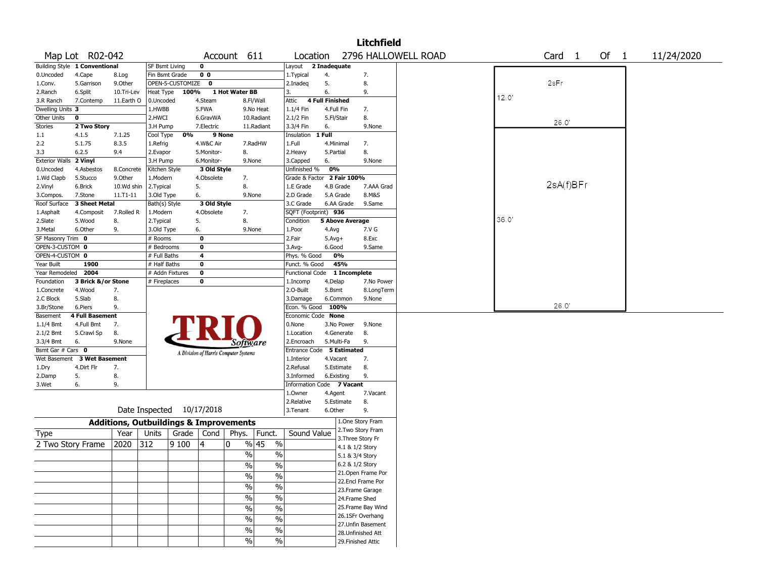|                       |                               |                                                   |                           |                  |                |                                       |                          |                      |                              | Litchfield         |                     |       |                   |      |            |  |
|-----------------------|-------------------------------|---------------------------------------------------|---------------------------|------------------|----------------|---------------------------------------|--------------------------|----------------------|------------------------------|--------------------|---------------------|-------|-------------------|------|------------|--|
|                       | Map Lot R02-042               |                                                   |                           |                  |                | Account 611                           |                          | Location             |                              |                    | 2796 HALLOWELL ROAD |       | Card <sub>1</sub> | Of 1 | 11/24/2020 |  |
|                       | Building Style 1 Conventional |                                                   | <b>SF Bsmt Living</b>     |                  | $\mathbf 0$    |                                       |                          | Layout               | 2 Inadequate                 |                    |                     |       |                   |      |            |  |
| 0.Uncoded             | 4.Cape                        | 8.Log                                             | Fin Bsmt Grade            |                  | 0 <sub>0</sub> |                                       |                          | 1.Typical            | 4.                           | 7.                 |                     |       |                   |      |            |  |
| 1.Conv.               | 5.Garrison                    | 9.0ther                                           |                           | OPEN-5-CUSTOMIZE | $\mathbf 0$    |                                       |                          | 2.Inadeq             | 5.                           | 8.                 |                     |       | 2sFr              |      |            |  |
| 2.Ranch               | 6.Split                       | 10.Tri-Lev                                        | Heat Type                 | 100%             |                | 1 Hot Water BB                        |                          | 3.                   | 6.                           | 9.                 |                     | 12.0' |                   |      |            |  |
| 3.R Ranch             | 7.Contemp                     | 11.Earth O                                        | 0.Uncoded                 |                  | 4.Steam        |                                       | 8.Fl/Wall                | Attic                | 4 Full Finished              |                    |                     |       |                   |      |            |  |
| Dwelling Units 3      |                               |                                                   | 1.HWBB                    |                  | 5.FWA          |                                       | 9.No Heat                | 1.1/4 Fin            | 4.Full Fin                   | 7.                 |                     |       |                   |      |            |  |
| Other Units           | 0                             |                                                   | 2.HWCI                    |                  | 6.GravWA       |                                       | 10.Radiant               | 2.1/2 Fin            | 5.Fl/Stair                   | 8.                 |                     |       | 26.0'             |      |            |  |
| Stories               | 2 Two Story                   |                                                   | 3.H Pump                  |                  | 7.Electric     |                                       | 11.Radiant               | 3.3/4 Fin            | 6.                           | 9.None             |                     |       |                   |      |            |  |
| 1.1                   | 4.1.5                         | 7.1.25                                            | Cool Type                 | 0%               | 9 None         |                                       |                          | Insulation           | 1 Full                       |                    |                     |       |                   |      |            |  |
| 2.2                   | 5.1.75                        | 8.3.5                                             | 1.Refrig                  |                  | 4.W&C Air      |                                       | 7.RadHW                  | 1.Full               | 4.Minimal                    | 7.                 |                     |       |                   |      |            |  |
| 3.3                   | 6.2.5                         | 9.4                                               | 2.Evapor                  |                  | 5.Monitor-     | 8.                                    |                          | 2.Heavy              | 5.Partial                    | 8.                 |                     |       |                   |      |            |  |
| <b>Exterior Walls</b> | 2 Vinyl                       |                                                   | 3.H Pump                  |                  | 6.Monitor-     |                                       | 9.None                   | 3.Capped             | 6.                           | 9.None             |                     |       |                   |      |            |  |
| 0.Uncoded             | 4.Asbestos                    | 8.Concrete                                        | Kitchen Style             |                  | 3 Old Style    |                                       |                          | Unfinished %         | 0%                           |                    |                     |       |                   |      |            |  |
| 1.Wd Clapb            | 5.Stucco                      | 9.0ther                                           | 1.Modern                  |                  | 4.Obsolete     | 7.                                    |                          | Grade & Factor       | 2 Fair 100%                  |                    |                     |       |                   |      |            |  |
| 2.Vinyl               | 6.Brick                       | 10.Wd shin                                        | 2. Typical                |                  | 5.             | 8.                                    |                          | 1.E Grade            | 4.B Grade                    | 7.AAA Grad         |                     |       | 2sA(f)BFr         |      |            |  |
| 3.Compos.             | 7.Stone                       | $11.71 - 11$                                      | 3.Old Type                |                  | 6.             |                                       | 9.None                   | 2.D Grade            | 5.A Grade                    | 8.M&S              |                     |       |                   |      |            |  |
| Roof Surface          | 3 Sheet Metal                 |                                                   | Bath(s) Style             |                  | 3 Old Style    |                                       |                          | 3.C Grade            | 6.AA Grade                   | 9.Same             |                     |       |                   |      |            |  |
| 1.Asphalt             | 4.Composit                    | 7.Rolled R                                        | 1.Modern                  |                  | 4.Obsolete     | 7.                                    |                          | SQFT (Footprint) 936 |                              |                    |                     |       |                   |      |            |  |
| 2.Slate               | 5.Wood                        | 8.                                                | 2. Typical                |                  | 5.             | 8.                                    |                          | Condition            | 5 Above Average              |                    |                     | 36.0  |                   |      |            |  |
| 3.Metal               | 6.Other                       | 9.                                                | 3.Old Type                |                  | 6.             |                                       | 9.None                   | 1.Poor               | 4.Avg                        | 7.V G              |                     |       |                   |      |            |  |
| SF Masonry Trim 0     |                               |                                                   | # Rooms                   |                  | 0              |                                       |                          | 2.Fair               | $5.Avg+$                     | 8.Exc              |                     |       |                   |      |            |  |
| OPEN-3-CUSTOM 0       |                               |                                                   | $#$ Bedrooms              |                  | $\mathbf 0$    |                                       |                          | 3.Avg-               | 6.Good                       | 9.Same             |                     |       |                   |      |            |  |
| OPEN-4-CUSTOM 0       |                               |                                                   | # Full Baths              |                  | 4              |                                       |                          | Phys. % Good         | 0%                           |                    |                     |       |                   |      |            |  |
| Year Built            | 1900                          |                                                   | # Half Baths              |                  | $\mathbf 0$    |                                       |                          | Funct. % Good        | 45%                          |                    |                     |       |                   |      |            |  |
| Year Remodeled        | 2004                          |                                                   | # Addn Fixtures           |                  | $\pmb{0}$      |                                       |                          |                      | Functional Code 1 Incomplete |                    |                     |       |                   |      |            |  |
| Foundation            | 3 Brick &/or Stone            |                                                   | # Fireplaces              |                  | 0              |                                       |                          | 1.Incomp             | 4.Delap                      | 7.No Power         |                     |       |                   |      |            |  |
| 1.Concrete            | 4.Wood                        | 7.                                                |                           |                  |                |                                       |                          | 2.0-Built            | 5.Bsmt                       | 8.LongTerm         |                     |       |                   |      |            |  |
| 2.C Block             | 5.Slab                        | 8.                                                |                           |                  |                |                                       |                          | 3.Damage             | 6.Common                     | 9.None             |                     |       |                   |      |            |  |
| 3.Br/Stone            | 6.Piers                       | 9.                                                |                           |                  |                |                                       |                          | Econ. % Good 100%    |                              |                    |                     |       | 26.0'             |      |            |  |
| Basement              | <b>4 Full Basement</b>        |                                                   |                           |                  |                |                                       |                          | Economic Code None   |                              |                    |                     |       |                   |      |            |  |
| 1.1/4 Bmt             | 4.Full Bmt                    | 7.                                                |                           |                  |                |                                       |                          | 0.None               | 3.No Power                   | 9.None             |                     |       |                   |      |            |  |
| 2.1/2 Bmt             | 5.Crawl Sp                    | 8.                                                |                           |                  |                |                                       |                          | 1.Location           | 4.Generate                   | 8.                 |                     |       |                   |      |            |  |
| 3.3/4 Bmt             | 6.                            | 9.None                                            |                           |                  |                | Software                              |                          | 2.Encroach           | 5.Multi-Fa                   | 9.                 |                     |       |                   |      |            |  |
| Bsmt Gar # Cars 0     |                               |                                                   |                           |                  |                | A Division of Harris Computer Systems |                          | <b>Entrance Code</b> | 5 Estimated                  |                    |                     |       |                   |      |            |  |
| Wet Basement          | <b>3 Wet Basement</b>         |                                                   |                           |                  |                |                                       |                          | 1.Interior           | 4.Vacant                     | 7.                 |                     |       |                   |      |            |  |
| 1.Dry                 | 4.Dirt Flr                    | 7.                                                |                           |                  |                |                                       |                          | 2.Refusal            | 5.Estimate                   | 8.                 |                     |       |                   |      |            |  |
| 2.Damp                | 5.                            | 8.                                                |                           |                  |                |                                       |                          | 3.Informed           | 6.Existing                   | 9.                 |                     |       |                   |      |            |  |
| 3.Wet                 | 6.                            | 9.                                                |                           |                  |                |                                       |                          |                      | Information Code 7 Vacant    |                    |                     |       |                   |      |            |  |
|                       |                               |                                                   |                           |                  |                |                                       |                          | 1.Owner              | 4.Agent                      | 7.Vacant           |                     |       |                   |      |            |  |
|                       |                               |                                                   |                           |                  |                |                                       |                          | 2.Relative           | 5.Estimate                   | 8.                 |                     |       |                   |      |            |  |
|                       |                               |                                                   | Date Inspected 10/17/2018 |                  |                |                                       |                          | 3. Tenant            | 6.Other                      | 9.                 |                     |       |                   |      |            |  |
|                       |                               | <b>Additions, Outbuildings &amp; Improvements</b> |                           |                  |                |                                       |                          |                      |                              | 1.One Story Fram   |                     |       |                   |      |            |  |
| Type                  |                               | Year                                              | Units                     | Grade            | Cond           | Phys.                                 | Funct.                   | Sound Value          |                              | 2. Two Story Fram  |                     |       |                   |      |            |  |
|                       |                               | 2020                                              |                           |                  |                | 0                                     | % 45                     |                      |                              | 3. Three Story Fr  |                     |       |                   |      |            |  |
|                       | 2 Two Story Frame             |                                                   | 312                       | 9100             | 4              |                                       | $\%$                     |                      |                              | 4.1 & 1/2 Story    |                     |       |                   |      |            |  |
|                       |                               |                                                   |                           |                  |                | %                                     | $\%$                     |                      |                              | 5.1 & 3/4 Story    |                     |       |                   |      |            |  |
|                       |                               |                                                   |                           |                  |                | $\frac{0}{0}$                         | $\frac{0}{0}$            |                      |                              | 6.2 & 1/2 Story    |                     |       |                   |      |            |  |
|                       |                               |                                                   |                           |                  |                | $\sqrt{2}$                            | $\frac{0}{0}$            |                      |                              | 21.Open Frame Por  |                     |       |                   |      |            |  |
|                       |                               |                                                   |                           |                  |                |                                       |                          |                      |                              | 22.Encl Frame Por  |                     |       |                   |      |            |  |
|                       |                               |                                                   |                           |                  |                | $\frac{0}{6}$                         | $\overline{\frac{0}{0}}$ |                      |                              | 23. Frame Garage   |                     |       |                   |      |            |  |
|                       |                               |                                                   |                           |                  |                | $\sqrt{6}$                            | $\overline{\frac{0}{0}}$ |                      |                              | 24.Frame Shed      |                     |       |                   |      |            |  |
|                       |                               |                                                   |                           |                  |                | $\frac{1}{2}$                         | $\overline{\frac{0}{0}}$ |                      |                              | 25. Frame Bay Wind |                     |       |                   |      |            |  |
|                       |                               |                                                   |                           |                  |                | $\sqrt{2}$                            | $\%$                     |                      |                              | 26.1SFr Overhang   |                     |       |                   |      |            |  |
|                       |                               |                                                   |                           |                  |                |                                       |                          |                      |                              | 27. Unfin Basement |                     |       |                   |      |            |  |
|                       |                               |                                                   |                           |                  |                | $\%$                                  | $\%$                     |                      |                              | 28. Unfinished Att |                     |       |                   |      |            |  |
|                       |                               |                                                   |                           |                  |                | $\sqrt{6}$                            | $\%$                     |                      |                              | 29. Finished Attic |                     |       |                   |      |            |  |
|                       |                               |                                                   |                           |                  |                |                                       |                          |                      |                              |                    |                     |       |                   |      |            |  |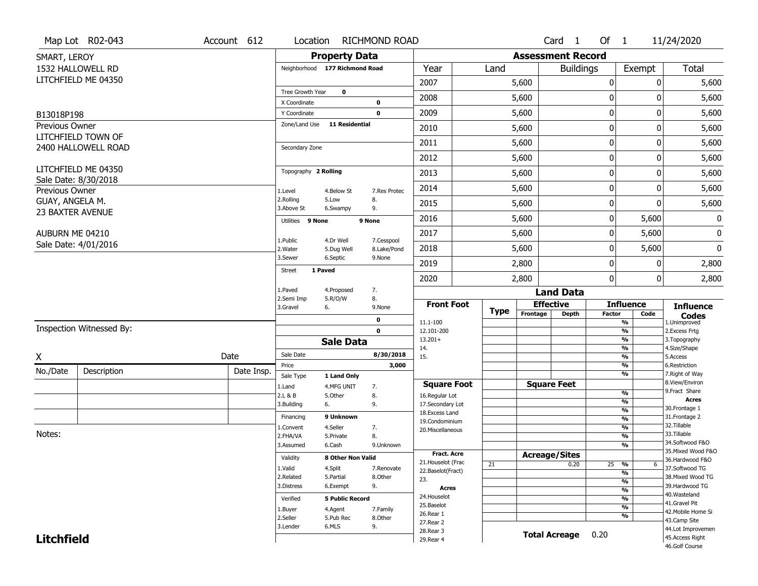|                                        | Map Lot R02-043          | Account 612 | Location                       |                         | RICHMOND ROAD             |                                    |             |                          | Card 1               | Of $1$           |                    | 11/24/2020                           |
|----------------------------------------|--------------------------|-------------|--------------------------------|-------------------------|---------------------------|------------------------------------|-------------|--------------------------|----------------------|------------------|--------------------|--------------------------------------|
| SMART, LEROY                           |                          |             |                                | <b>Property Data</b>    |                           |                                    |             | <b>Assessment Record</b> |                      |                  |                    |                                      |
| 1532 HALLOWELL RD                      |                          |             | Neighborhood 177 Richmond Road |                         |                           | Year                               | Land        |                          | <b>Buildings</b>     |                  | Exempt             | <b>Total</b>                         |
| LITCHFIELD ME 04350                    |                          |             |                                |                         |                           | 2007                               |             | 5,600                    |                      | $\boldsymbol{0}$ | 0                  | 5,600                                |
|                                        |                          |             | Tree Growth Year               | $\mathbf 0$             |                           |                                    |             |                          |                      |                  | 0                  |                                      |
|                                        |                          |             | X Coordinate                   |                         | 0                         | 2008                               |             | 5,600                    |                      | 0                |                    | 5,600                                |
| B13018P198                             |                          |             | Y Coordinate                   |                         | $\mathbf 0$               | 2009                               |             | 5,600                    |                      | $\mathbf 0$      | 0                  | 5,600                                |
| Previous Owner                         |                          |             | Zone/Land Use                  | <b>11 Residential</b>   |                           | 2010                               |             | 5,600                    |                      | 0                | 0                  | 5,600                                |
| LITCHFIELD TOWN OF                     | 2400 HALLOWELL ROAD      |             | Secondary Zone                 |                         |                           | 2011                               |             | 5,600                    |                      | $\mathbf 0$      | 0                  | 5,600                                |
|                                        |                          |             |                                |                         |                           | 2012                               |             | 5,600                    |                      | $\boldsymbol{0}$ | 0                  | 5,600                                |
| LITCHFIELD ME 04350                    |                          |             | Topography 2 Rolling           |                         |                           | 2013                               |             | 5,600                    |                      | $\boldsymbol{0}$ | 0                  | 5,600                                |
| Sale Date: 8/30/2018<br>Previous Owner |                          |             | 1.Level                        | 4.Below St              | 7.Res Protec              | 2014                               |             | 5,600                    |                      | $\mathbf 0$      | 0                  | 5,600                                |
| GUAY, ANGELA M.                        |                          |             | 2.Rolling<br>3.Above St        | 5.Low<br>6.Swampy       | 8.<br>9.                  | 2015                               |             | 5,600                    |                      | $\mathbf 0$      | 0                  | 5,600                                |
| 23 BAXTER AVENUE                       |                          |             | Utilities 9 None               |                         | 9 None                    | 2016                               |             | 5,600                    |                      | $\boldsymbol{0}$ | 5,600              | 0                                    |
| AUBURN ME 04210                        |                          |             |                                |                         |                           | 2017                               |             | 5,600                    |                      | $\mathbf 0$      | 5,600              | 0                                    |
| Sale Date: 4/01/2016                   |                          |             | 1.Public<br>2. Water           | 4.Dr Well<br>5.Dug Well | 7.Cesspool<br>8.Lake/Pond | 2018                               |             | 5,600                    |                      | 0                | 5,600              | 0                                    |
|                                        |                          |             | 3.Sewer                        | 6.Septic                | 9.None                    | 2019                               |             | 2,800                    |                      | $\mathbf 0$      | 0                  | 2,800                                |
|                                        |                          |             | 1 Paved<br><b>Street</b>       |                         |                           | 2020                               |             | 2,800                    |                      | $\mathbf 0$      | 0                  | 2,800                                |
|                                        |                          |             | 1.Paved                        | 4.Proposed              | 7.                        |                                    |             |                          | <b>Land Data</b>     |                  |                    |                                      |
|                                        |                          |             | 2.Semi Imp<br>3.Gravel<br>6.   | 5.R/O/W                 | 8.<br>9.None              | <b>Front Foot</b>                  |             | <b>Effective</b>         |                      |                  | <b>Influence</b>   | <b>Influence</b>                     |
|                                        |                          |             |                                |                         | 0                         |                                    | <b>Type</b> | Frontage                 | <b>Depth</b>         | <b>Factor</b>    | Code               | <b>Codes</b>                         |
|                                        | Inspection Witnessed By: |             |                                |                         | $\mathbf 0$               | 11.1-100<br>12.101-200             |             |                          |                      |                  | %<br>%             | 1.Unimproved<br>2.Excess Frtg        |
|                                        |                          |             |                                | <b>Sale Data</b>        |                           | $13.201+$                          |             |                          |                      |                  | %                  | 3. Topography                        |
| X                                      |                          | Date        | Sale Date                      |                         | 8/30/2018                 | 14.<br>15.                         |             |                          |                      |                  | %<br>%             | 4.Size/Shape<br>5.Access             |
|                                        |                          |             | Price                          |                         | 3,000                     |                                    |             |                          |                      |                  | %                  | 6.Restriction                        |
| No./Date                               | Description              | Date Insp.  | Sale Type                      | 1 Land Only             |                           |                                    |             |                          |                      |                  | %                  | 7. Right of Way                      |
|                                        |                          |             | 1.Land                         | 4.MFG UNIT              | 7.                        | <b>Square Foot</b>                 |             |                          | <b>Square Feet</b>   |                  | $\frac{9}{6}$      | 8.View/Environ<br>9. Fract Share     |
|                                        |                          |             | 2.L & B<br>3.Building<br>6.    | 5.Other                 | 8.<br>9.                  | 16.Regular Lot<br>17.Secondary Lot |             |                          |                      |                  | %                  | Acres                                |
|                                        |                          |             |                                |                         |                           | 18. Excess Land                    |             |                          |                      |                  | $\frac{9}{6}$      | 30. Frontage 1                       |
|                                        |                          |             | Financing                      | 9 Unknown               |                           | 19.Condominium                     |             |                          |                      |                  | $\frac{9}{6}$      | 31. Frontage 2<br>32. Tillable       |
| Notes:                                 |                          |             | 1.Convent                      | 4.Seller                | 7.                        | 20.Miscellaneous                   |             |                          |                      |                  | $\frac{9}{6}$      | 33.Tillable                          |
|                                        |                          |             | 2.FHA/VA<br>3.Assumed          | 5.Private<br>6.Cash     | 8.<br>9.Unknown           |                                    |             |                          |                      |                  | $\frac{9}{6}$<br>% | 34.Softwood F&O                      |
|                                        |                          |             |                                |                         |                           | <b>Fract, Acre</b>                 |             | <b>Acreage/Sites</b>     |                      |                  |                    | 35. Mixed Wood F&O                   |
|                                        |                          |             | Validity                       | 8 Other Non Valid       |                           | 21. Houselot (Frac                 | 21          |                          | 0.20                 | 25               | %<br>6             | 36.Hardwood F&O                      |
|                                        |                          |             | 1.Valid                        | 4.Split                 | 7.Renovate                | 22.Baselot(Fract)                  |             |                          |                      |                  | %                  | 37.Softwood TG                       |
|                                        |                          |             | 2.Related                      | 5.Partial               | 8.Other                   | 23.                                |             |                          |                      |                  | %                  | 38. Mixed Wood TG                    |
|                                        |                          |             | 3.Distress                     | 6.Exempt                | 9.                        | <b>Acres</b>                       |             |                          |                      |                  | %                  | 39.Hardwood TG<br>40. Wasteland      |
|                                        |                          |             | Verified                       | <b>5 Public Record</b>  |                           | 24. Houselot                       |             |                          |                      |                  | %                  | 41.Gravel Pit                        |
|                                        |                          |             | 1.Buyer                        | 4.Agent                 | 7.Family                  | 25.Baselot<br>26.Rear 1            |             |                          |                      |                  | %                  | 42. Mobile Home Si                   |
|                                        |                          |             | 2.Seller                       | 5.Pub Rec               | 8.Other                   |                                    |             |                          |                      |                  | %                  | 43.Camp Site                         |
|                                        |                          |             |                                |                         |                           |                                    |             |                          |                      |                  |                    |                                      |
| <b>Litchfield</b>                      |                          |             | 3.Lender                       | 6.MLS                   | 9.                        | 27.Rear 2<br>28. Rear 3            |             |                          | <b>Total Acreage</b> | 0.20             |                    | 44.Lot Improvemen<br>45.Access Right |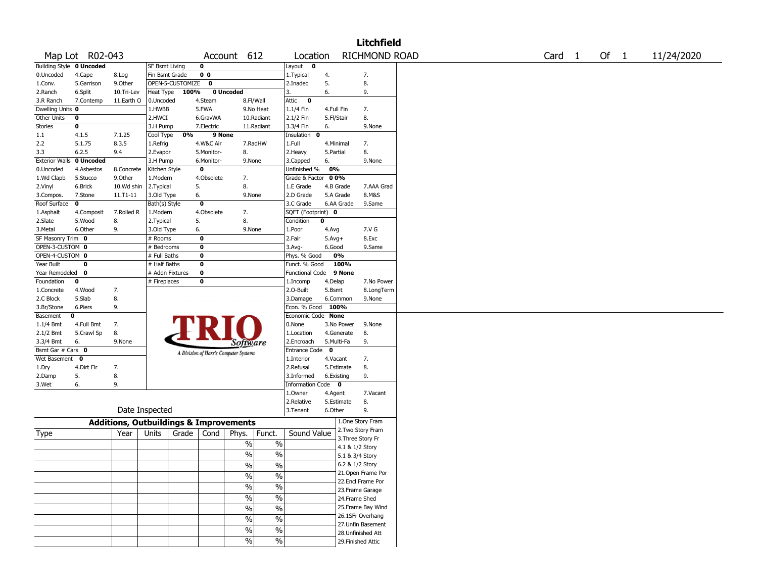|                                 |                  |                                                   |                       |                    |                                       |               |               |                                        |              |                          | <b>Litchfield</b>                     |                   |        |            |
|---------------------------------|------------------|---------------------------------------------------|-----------------------|--------------------|---------------------------------------|---------------|---------------|----------------------------------------|--------------|--------------------------|---------------------------------------|-------------------|--------|------------|
|                                 | Map Lot R02-043  |                                                   |                       |                    |                                       | Account 612   |               | Location                               |              |                          | RICHMOND ROAD                         | Card <sub>1</sub> | Of $1$ | 11/24/2020 |
| <b>Building Style 0 Uncoded</b> |                  |                                                   | <b>SF Bsmt Living</b> |                    | 0                                     |               |               | $\sqrt{\text{Layout} \qquad \text{O}}$ |              |                          |                                       |                   |        |            |
| 0.Uncoded                       | 4.Cape           | 8.Log                                             | Fin Bsmt Grade        |                    | 0 <sub>0</sub>                        |               |               | 1.Typical                              | 4.           |                          | 7.                                    |                   |        |            |
| 1.Conv.                         | 5.Garrison       | 9.Other                                           |                       | OPEN-5-CUSTOMIZE 0 |                                       |               |               | 2.Inadeq                               | 5.           |                          | 8.                                    |                   |        |            |
| 2.Ranch                         | 6.Split          | 10.Tri-Lev                                        | Heat Type             | 100%               |                                       | 0 Uncoded     |               | 3.                                     | 6.           |                          | 9.                                    |                   |        |            |
| 3.R Ranch                       | 7.Contemp        | 11.Earth O                                        | 0.Uncoded             |                    | 4.Steam                               | 8.Fl/Wall     |               | Attic<br>$\mathbf 0$                   |              |                          |                                       |                   |        |            |
| Dwelling Units 0                |                  |                                                   | 1.HWBB                |                    | 5.FWA                                 |               | 9.No Heat     | 1.1/4 Fin                              |              | 4.Full Fin               | 7.                                    |                   |        |            |
| Other Units                     | 0                |                                                   | 2.HWCI                |                    | 6.GravWA                              |               | 10.Radiant    | 2.1/2 Fin                              |              | 5.Fl/Stair               | 8.                                    |                   |        |            |
| Stories                         | 0                |                                                   | 3.H Pump              |                    | 7.Electric                            |               | 11.Radiant    | 3.3/4 Fin                              | 6.           |                          | 9.None                                |                   |        |            |
| 1.1                             | 4.1.5            | 7.1.25                                            | Cool Type             | 0%                 | 9 None                                |               |               | Insulation<br>0                        |              |                          |                                       |                   |        |            |
| 2.2                             | 5.1.75           | 8.3.5                                             | 1.Refrig              |                    | 4.W&C Air                             | 7.RadHW       |               | 1.Full                                 |              | 4.Minimal                | 7.                                    |                   |        |            |
| 3.3                             | 6.2.5            | 9.4                                               | 2.Evapor              |                    | 5.Monitor-                            | 8.            |               | 2. Heavy                               | 5.Partial    |                          | 8.                                    |                   |        |            |
| <b>Exterior Walls</b>           | 0 Uncoded        |                                                   | 3.H Pump              |                    | 6.Monitor-                            | 9.None        |               | 3.Capped                               | 6.           |                          | 9.None                                |                   |        |            |
| 0.Uncoded                       | 4.Asbestos       | 8.Concrete                                        | Kitchen Style         |                    | 0                                     |               |               | Unfinished %                           | 0%           |                          |                                       |                   |        |            |
| 1.Wd Clapb                      | 5.Stucco         | 9.0ther                                           | 1.Modern              |                    | 4.Obsolete                            | 7.            |               | Grade & Factor                         | 0 0%         |                          |                                       |                   |        |            |
| 2.Vinyl                         | 6.Brick          | 10.Wd shin                                        | 2.Typical             |                    | 5.                                    | 8.            |               | 1.E Grade                              |              | 4.B Grade                | 7.AAA Grad                            |                   |        |            |
| 3.Compos.                       | 7.Stone          | 11.T1-11                                          | 3.Old Type            |                    | 6.                                    | 9.None        |               | 2.D Grade                              |              | 5.A Grade                | 8.M&S                                 |                   |        |            |
| Roof Surface                    | 0                |                                                   | Bath(s) Style         |                    | $\mathbf 0$                           |               |               | 3.C Grade                              |              | 6.AA Grade               | 9.Same                                |                   |        |            |
| 1.Asphalt                       | 4.Composit       | 7.Rolled R                                        | 1.Modern              |                    | 4.Obsolete                            | 7.            |               | SQFT (Footprint) 0                     |              |                          |                                       |                   |        |            |
| 2.Slate                         | 5.Wood           | 8.                                                | 2. Typical            |                    | 5.                                    | 8.            |               | Condition                              | 0            |                          |                                       |                   |        |            |
| 3.Metal                         | 6.Other          | 9.                                                | 3.Old Type            |                    | 6.                                    | 9.None        |               | 1.Poor                                 | 4.Avg        |                          | 7.V G                                 |                   |        |            |
| SF Masonry Trim 0               |                  |                                                   | # Rooms               |                    | 0                                     |               |               | 2.Fair                                 | $5.$ Avg $+$ |                          | 8.Exc                                 |                   |        |            |
| OPEN-3-CUSTOM 0                 |                  |                                                   | # Bedrooms            |                    | 0                                     |               |               | $3.$ Avg-                              | 6.Good       |                          | 9.Same                                |                   |        |            |
| OPEN-4-CUSTOM 0                 |                  |                                                   | # Full Baths          |                    | 0                                     |               |               | Phys. % Good                           |              | 0%                       |                                       |                   |        |            |
| Year Built                      | 0                |                                                   | # Half Baths          |                    | 0                                     |               |               | Funct. % Good                          |              | 100%                     |                                       |                   |        |            |
| Year Remodeled 0                |                  |                                                   | # Addn Fixtures       |                    | $\bf{0}$                              |               |               | <b>Functional Code</b>                 |              | 9 None                   |                                       |                   |        |            |
| Foundation                      | 0                |                                                   | # Fireplaces          |                    | 0                                     |               |               | 1.Incomp                               | 4.Delap      |                          | 7.No Power                            |                   |        |            |
| 1.Concrete                      | 4.Wood           | 7.                                                |                       |                    |                                       |               |               | 2.0-Built                              | 5.Bsmt       |                          | 8.LongTerm                            |                   |        |            |
| 2.C Block                       | 5.Slab           | 8.                                                |                       |                    |                                       |               |               | 3.Damage                               |              | 6.Common                 | 9.None                                |                   |        |            |
| 3.Br/Stone                      | 6.Piers          | 9.                                                |                       |                    |                                       |               |               | Econ. % Good                           |              | 100%                     |                                       |                   |        |            |
| Basement                        | 0                |                                                   |                       |                    |                                       |               |               | Economic Code None<br>0.None           |              |                          | 9.None                                |                   |        |            |
| 1.1/4 Bmt                       | 4.Full Bmt       | 7.<br>8.                                          |                       |                    |                                       |               |               | 1.Location                             |              | 3.No Power<br>4.Generate |                                       |                   |        |            |
| 2.1/2 Bmt                       | 5.Crawl Sp<br>6. | 9.None                                            |                       |                    |                                       |               |               | 2.Encroach                             |              | 5.Multi-Fa               | 8.<br>9.                              |                   |        |            |
| 3.3/4 Bmt<br>Bsmt Gar # Cars 0  |                  |                                                   |                       |                    |                                       | Software      |               | Entrance Code <sup>O</sup>             |              |                          |                                       |                   |        |            |
| Wet Basement 0                  |                  |                                                   |                       |                    | A Division of Harris Computer Systems |               |               | 1.Interior                             |              | 4.Vacant                 | 7.                                    |                   |        |            |
|                                 | 4.Dirt Flr       | 7.                                                |                       |                    |                                       |               |               | 2.Refusal                              |              | 5.Estimate               | 8.                                    |                   |        |            |
| 1.Dry                           | 5.               | 8.                                                |                       |                    |                                       |               |               | 3.Informed                             |              | 6.Existing               | 9.                                    |                   |        |            |
| 2.Damp                          | 6.               | 9.                                                |                       |                    |                                       |               |               | Information Code 0                     |              |                          |                                       |                   |        |            |
| 3.Wet                           |                  |                                                   |                       |                    |                                       |               |               | 1.Owner                                | 4.Agent      |                          | 7.Vacant                              |                   |        |            |
|                                 |                  |                                                   |                       |                    |                                       |               |               | 2.Relative                             |              | 5.Estimate               | 8.                                    |                   |        |            |
|                                 |                  |                                                   | Date Inspected        |                    |                                       |               |               | 3. Tenant                              | 6.Other      |                          | 9.                                    |                   |        |            |
|                                 |                  |                                                   |                       |                    |                                       |               |               |                                        |              |                          |                                       |                   |        |            |
|                                 |                  | <b>Additions, Outbuildings &amp; Improvements</b> |                       |                    |                                       |               |               |                                        |              |                          | 1.One Story Fram<br>2. Two Story Fram |                   |        |            |
| Type                            |                  | Year                                              | Units                 | Grade              | Cond                                  | Phys.         | Funct.        | Sound Value                            |              |                          | 3. Three Story Fr                     |                   |        |            |
|                                 |                  |                                                   |                       |                    |                                       | %             | $\%$          |                                        |              |                          | 4.1 & 1/2 Story                       |                   |        |            |
|                                 |                  |                                                   |                       |                    |                                       | $\frac{1}{2}$ | $\frac{0}{0}$ |                                        |              | 5.1 & 3/4 Story          |                                       |                   |        |            |
|                                 |                  |                                                   |                       |                    |                                       |               |               |                                        |              |                          | 6.2 & 1/2 Story                       |                   |        |            |
|                                 |                  |                                                   |                       |                    |                                       | %             | %             |                                        |              |                          | 21.Open Frame Por                     |                   |        |            |
|                                 |                  |                                                   |                       |                    |                                       | $\frac{1}{2}$ | $\frac{0}{6}$ |                                        |              |                          | 22.Encl Frame Por                     |                   |        |            |
|                                 |                  |                                                   |                       |                    |                                       | $\frac{1}{2}$ | $\frac{0}{6}$ |                                        |              |                          | 23. Frame Garage                      |                   |        |            |
|                                 |                  |                                                   |                       |                    |                                       | $\frac{0}{6}$ | $\frac{0}{6}$ |                                        |              |                          | 24.Frame Shed                         |                   |        |            |
|                                 |                  |                                                   |                       |                    |                                       | $\frac{1}{2}$ | $\frac{0}{6}$ |                                        |              |                          | 25. Frame Bay Wind                    |                   |        |            |
|                                 |                  |                                                   |                       |                    |                                       |               |               |                                        |              |                          | 26.1SFr Overhang                      |                   |        |            |
|                                 |                  |                                                   |                       |                    |                                       | $\frac{0}{0}$ | $\frac{1}{2}$ |                                        |              |                          | 27.Unfin Basement                     |                   |        |            |
|                                 |                  |                                                   |                       |                    |                                       | $\%$          | $\frac{1}{2}$ |                                        |              |                          | 28.Unfinished Att                     |                   |        |            |
|                                 |                  |                                                   |                       |                    |                                       | $\frac{1}{2}$ | $\frac{1}{2}$ |                                        |              |                          | 29. Finished Attic                    |                   |        |            |
|                                 |                  |                                                   |                       |                    |                                       |               |               |                                        |              |                          |                                       |                   |        |            |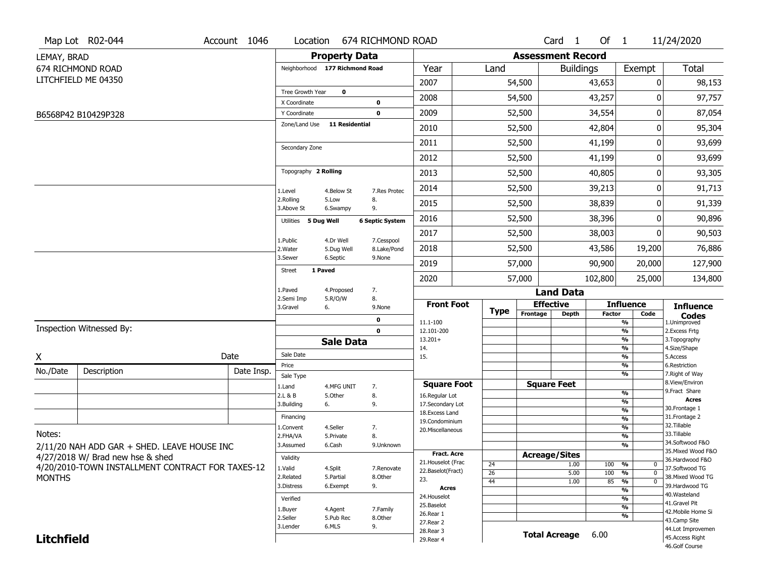|                   | Map Lot R02-044                                  | Account 1046 | Location                           |                                | 674 RICHMOND ROAD            |                                     |                 |                          | Card <sub>1</sub>    | Of $1$        |                              | 11/24/2020                           |
|-------------------|--------------------------------------------------|--------------|------------------------------------|--------------------------------|------------------------------|-------------------------------------|-----------------|--------------------------|----------------------|---------------|------------------------------|--------------------------------------|
| LEMAY, BRAD       |                                                  |              |                                    | <b>Property Data</b>           |                              |                                     |                 | <b>Assessment Record</b> |                      |               |                              |                                      |
|                   | 674 RICHMOND ROAD                                |              |                                    | Neighborhood 177 Richmond Road |                              | Year                                | Land            |                          | <b>Buildings</b>     |               | Exempt                       | Total                                |
|                   | LITCHFIELD ME 04350                              |              |                                    |                                |                              | 2007                                |                 | 54,500                   |                      | 43,653        | 0                            | 98,153                               |
|                   |                                                  |              | Tree Growth Year                   | $\mathbf 0$                    |                              | 2008                                |                 | 54,500                   |                      | 43,257        | 0                            | 97,757                               |
|                   | B6568P42 B10429P328                              |              | X Coordinate<br>Y Coordinate       |                                | 0<br>$\mathbf 0$             | 2009                                |                 | 52,500                   |                      | 34,554        | 0                            | 87,054                               |
|                   |                                                  |              | Zone/Land Use                      | <b>11 Residential</b>          |                              | 2010                                |                 | 52,500                   |                      | 42,804        | 0                            | 95,304                               |
|                   |                                                  |              |                                    |                                |                              | 2011                                |                 | 52,500                   |                      | 41,199        | 0                            | 93,699                               |
|                   |                                                  |              | Secondary Zone                     |                                |                              | 2012                                |                 | 52,500                   |                      | 41,199        | 0                            | 93,699                               |
|                   |                                                  |              | Topography 2 Rolling               |                                |                              | 2013                                |                 | 52,500                   |                      | 40,805        | 0                            | 93,305                               |
|                   |                                                  |              |                                    |                                |                              | 2014                                |                 | 52,500                   |                      | 39,213        | 0                            | 91,713                               |
|                   |                                                  |              | 1.Level<br>2.Rolling               | 4.Below St<br>5.Low            | 7.Res Protec<br>8.           | 2015                                |                 | 52,500                   |                      | 38,839        | 0                            | 91,339                               |
|                   |                                                  |              | 3.Above St<br>Utilities 5 Dug Well | 6.Swampy                       | 9.<br><b>6 Septic System</b> | 2016                                |                 | 52,500                   |                      | 38,396        | 0                            | 90,896                               |
|                   |                                                  |              |                                    |                                |                              | 2017                                |                 | 52,500                   |                      | 38,003        | 0                            | 90,503                               |
|                   |                                                  |              | 1.Public<br>2. Water               | 4.Dr Well<br>5.Dug Well        | 7.Cesspool<br>8.Lake/Pond    | 2018                                |                 | 52,500                   |                      | 43,586        | 19,200                       | 76,886                               |
|                   |                                                  |              | 3.Sewer                            | 6.Septic                       | 9.None                       | 2019                                |                 | 57,000                   |                      | 90,900        | 20,000                       | 127,900                              |
|                   |                                                  |              | <b>Street</b>                      | 1 Paved                        |                              | 2020                                |                 | 57,000                   |                      | 102,800       | 25,000                       | 134,800                              |
|                   |                                                  |              | 1.Paved                            | 4.Proposed                     | 7.                           |                                     |                 |                          | <b>Land Data</b>     |               |                              |                                      |
|                   |                                                  |              | 2.Semi Imp<br>3.Gravel             | 5.R/O/W<br>6.                  | 8.<br>9.None                 | <b>Front Foot</b>                   | <b>Type</b>     | <b>Effective</b>         |                      |               | <b>Influence</b>             | <b>Influence</b>                     |
|                   |                                                  |              |                                    |                                | 0                            | 11.1-100                            |                 | Frontage                 | <b>Depth</b>         | <b>Factor</b> | Code<br>%                    | <b>Codes</b><br>1.Unimproved         |
|                   | Inspection Witnessed By:                         |              |                                    |                                | $\mathbf 0$                  | 12.101-200                          |                 |                          |                      |               | %                            | 2.Excess Frtg                        |
|                   |                                                  |              |                                    | <b>Sale Data</b>               |                              | $13.201+$<br>14.                    |                 |                          |                      |               | %<br>%                       | 3. Topography<br>4.Size/Shape        |
| X                 |                                                  | Date         | Sale Date                          |                                |                              | 15.                                 |                 |                          |                      |               | %                            | 5.Access                             |
| No./Date          | Description                                      | Date Insp.   | Price<br>Sale Type                 |                                |                              |                                     |                 |                          |                      |               | %<br>%                       | 6.Restriction<br>7. Right of Way     |
|                   |                                                  |              | 1.Land                             | 4.MFG UNIT                     | 7.                           | <b>Square Foot</b>                  |                 |                          | <b>Square Feet</b>   |               |                              | 8.View/Environ                       |
|                   |                                                  |              | 2.L & B                            | 5.Other                        | 8.                           | 16.Regular Lot                      |                 |                          |                      |               | %                            | 9. Fract Share<br><b>Acres</b>       |
|                   |                                                  |              | 3.Building                         | 6.                             | 9.                           | 17.Secondary Lot<br>18. Excess Land |                 |                          |                      |               | %<br>$\frac{9}{6}$           | 30. Frontage 1                       |
|                   |                                                  |              | Financing                          |                                |                              | 19.Condominium                      |                 |                          |                      |               | $\frac{9}{6}$                | 31. Frontage 2                       |
| Notes:            |                                                  |              | 1.Convent                          | 4.Seller                       | 7.                           | 20.Miscellaneous                    |                 |                          |                      |               | $\frac{9}{6}$                | 32.Tillable<br>33.Tillable           |
|                   |                                                  |              | 2.FHA/VA<br>3.Assumed              | 5.Private<br>6.Cash            | 8.<br>9.Unknown              |                                     |                 |                          |                      |               | $\frac{9}{6}$<br>%           | 34.Softwood F&O                      |
|                   | 2/11/20 NAH ADD GAR + SHED. LEAVE HOUSE INC      |              |                                    |                                |                              | <b>Fract. Acre</b>                  |                 | <b>Acreage/Sites</b>     |                      |               |                              | 35. Mixed Wood F&O                   |
|                   | 4/27/2018 W/ Brad new hse & shed                 |              | Validity                           |                                |                              | 21. Houselot (Frac                  | 24              |                          | 1.00                 | 100           | %<br>$\mathbf 0$             | 36.Hardwood F&O                      |
|                   | 4/20/2010-TOWN INSTALLMENT CONTRACT FOR TAXES-12 |              | 1.Valid                            | 4.Split                        | 7.Renovate                   | 22.Baselot(Fract)                   | $\overline{26}$ |                          | 5.00                 | 100           | %<br>$\mathbf 0$             | 37.Softwood TG                       |
| <b>MONTHS</b>     |                                                  |              | 2.Related<br>3.Distress            | 5.Partial<br>6.Exempt          | 8.Other<br>9.                | 23.                                 | 44              |                          | 1.00                 | 85            | $\frac{9}{6}$<br>$\mathbf 0$ | 38. Mixed Wood TG<br>39.Hardwood TG  |
|                   |                                                  |              |                                    |                                |                              | <b>Acres</b>                        |                 |                          |                      |               | %                            | 40. Wasteland                        |
|                   |                                                  |              |                                    |                                |                              |                                     |                 |                          |                      |               | %                            |                                      |
|                   |                                                  |              | Verified                           |                                |                              | 24. Houselot<br>25.Baselot          |                 |                          |                      |               |                              | 41.Gravel Pit                        |
|                   |                                                  |              | 1.Buyer                            | 4.Agent                        | 7.Family                     | 26.Rear 1                           |                 |                          |                      |               | %                            | 42. Mobile Home Si                   |
|                   |                                                  |              | 2.Seller                           | 5.Pub Rec                      | 8.Other                      | 27. Rear 2                          |                 |                          |                      |               | %                            | 43.Camp Site                         |
| <b>Litchfield</b> |                                                  |              | 3.Lender                           | 6.MLS                          | 9.                           | 28.Rear 3<br>29. Rear 4             |                 |                          | <b>Total Acreage</b> | 6.00          |                              | 44.Lot Improvemen<br>45.Access Right |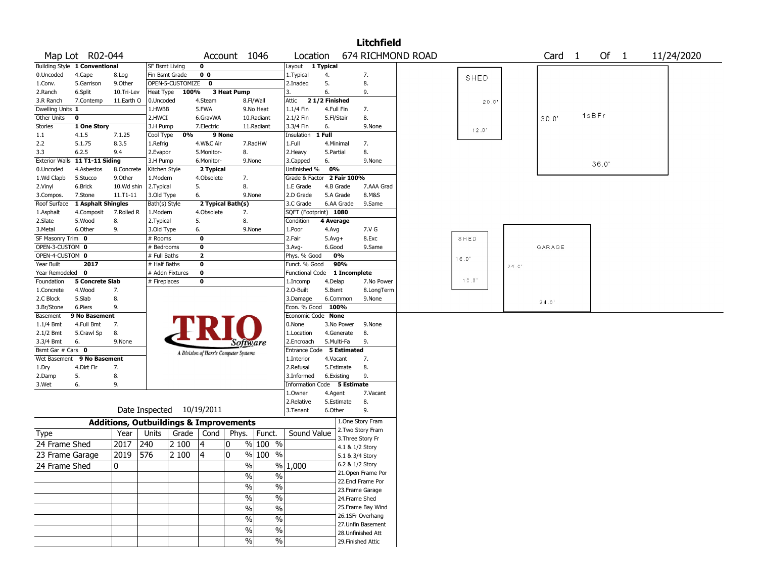|                    |                                |            |                                                   |                  |                                       |              |                                  |                             |                    |              | <b>Litchfield</b>                 |                   |       |       |                   |       |  |            |
|--------------------|--------------------------------|------------|---------------------------------------------------|------------------|---------------------------------------|--------------|----------------------------------|-----------------------------|--------------------|--------------|-----------------------------------|-------------------|-------|-------|-------------------|-------|--|------------|
|                    | Map Lot R02-044                |            |                                                   |                  |                                       | Account 1046 |                                  | Location                    |                    |              |                                   | 674 RICHMOND ROAD |       |       | Card <sub>1</sub> | Of 1  |  | 11/24/2020 |
|                    | Building Style 1 Conventional  |            | SF Bsmt Living                                    |                  | 0                                     |              |                                  | Layout 1 Typical            |                    |              |                                   |                   |       |       |                   |       |  |            |
| 0.Uncoded          | 4.Cape                         | 8.Log      | Fin Bsmt Grade                                    |                  | 0 <sub>0</sub>                        |              |                                  | 1.Typical                   | 4.                 |              | 7.                                |                   | SHED  |       |                   |       |  |            |
| 1.Conv.            | 5.Garrison                     | 9.0ther    |                                                   | OPEN-5-CUSTOMIZE | 0                                     |              |                                  | 2.Inadeg                    | 5.                 |              | 8.                                |                   |       |       |                   |       |  |            |
| 2.Ranch            | 6.Split                        | 10.Tri-Lev | Heat Type                                         | 100%             |                                       | 3 Heat Pump  |                                  | 3.                          | 6.                 |              | 9.                                |                   |       |       |                   |       |  |            |
| 3.R Ranch          | 7.Contemp                      | 11.Earth O | 0.Uncoded                                         |                  | 4.Steam                               |              | 8.Fl/Wall                        | Attic                       | 21/2 Finished      |              |                                   |                   | 20.0  |       |                   |       |  |            |
| Dwelling Units 1   |                                |            | 1.HWBB                                            |                  | 5.FWA                                 |              | 9.No Heat                        | 1.1/4 Fin                   | 4.Full Fin         |              | 7.                                |                   |       |       |                   | 1sBFr |  |            |
| Other Units        | 0                              |            | 2.HWCI                                            |                  | 6.GravWA                              |              | 10.Radiant                       | 2.1/2 Fin                   | 5.Fl/Stair         |              | 8.                                |                   |       |       | 30.0'             |       |  |            |
| <b>Stories</b>     | 1 One Story                    |            | 3.H Pump                                          |                  | 7.Electric                            |              | 11.Radiant                       | 3.3/4 Fin                   | 6.                 |              | 9.None                            |                   | 12.0' |       |                   |       |  |            |
| 1.1                | 4.1.5                          | 7.1.25     | Cool Type                                         | 0%               |                                       | 9 None       |                                  | Insulation                  | 1 Full             |              |                                   |                   |       |       |                   |       |  |            |
| 2.2                | 5.1.75                         | 8.3.5      | 1.Refrig                                          |                  | 4.W&C Air                             |              | 7.RadHW                          | 1.Full                      | 4.Minimal          |              | 7.                                |                   |       |       |                   |       |  |            |
| 3.3                | 6.2.5                          | 9.4        | 2.Evapor                                          |                  | 5.Monitor-                            | 8.           |                                  | 2.Heavy                     | 5.Partial          |              | 8.                                |                   |       |       |                   |       |  |            |
|                    | Exterior Walls 11 T1-11 Siding |            | 3.H Pump                                          |                  | 6.Monitor-                            |              | 9.None                           | 3.Capped                    | 6.                 |              | 9.None                            |                   |       |       |                   | 36.0' |  |            |
| 0.Uncoded          | 4.Asbestos                     | 8.Concrete | Kitchen Style                                     |                  | 2 Typical                             |              |                                  | Unfinished %                | 0%                 |              |                                   |                   |       |       |                   |       |  |            |
| 1.Wd Clapb         | 5.Stucco                       | 9.0ther    | 1.Modern                                          |                  | 4.Obsolete                            | 7.           |                                  | Grade & Factor 2 Fair 100%  |                    |              |                                   |                   |       |       |                   |       |  |            |
| 2.Vinyl            | 6.Brick                        | 10.Wd shin | 2. Typical                                        |                  | 5.                                    | 8.           |                                  | 1.E Grade                   |                    | 4.B Grade    | 7.AAA Grad                        |                   |       |       |                   |       |  |            |
| 3.Compos.          | 7.Stone                        | 11.T1-11   | 3.Old Type                                        |                  | 6.                                    |              | 9.None                           | 2.D Grade                   |                    | 5.A Grade    | 8.M&S                             |                   |       |       |                   |       |  |            |
| Roof Surface       | 1 Asphalt Shingles             |            | Bath(s) Style                                     |                  | 2 Typical Bath(s)                     |              |                                  | 3.C Grade                   |                    | 6.AA Grade   | 9.Same                            |                   |       |       |                   |       |  |            |
| 1.Asphalt          | 4.Composit                     | 7.Rolled R | 1.Modern                                          |                  | 4.Obsolete                            | 7.<br>8.     |                                  | SQFT (Footprint) 1080       |                    |              |                                   |                   |       |       |                   |       |  |            |
| 2.Slate<br>3.Metal | 5.Wood<br>6.Other              | 8.<br>9.   | 2. Typical<br>3.Old Type                          |                  | 5.                                    |              | 9.None                           | Condition<br>1.Poor         | 4 Average<br>4.Avg |              | 7.V G                             |                   |       |       |                   |       |  |            |
| SF Masonry Trim 0  |                                |            | # Rooms                                           |                  | 6.<br>$\mathbf 0$                     |              |                                  | 2.Fair                      | $5.Avg+$           |              | 8.Exc                             |                   | SHED  |       |                   |       |  |            |
| OPEN-3-CUSTOM 0    |                                |            | # Bedrooms                                        |                  | 0                                     |              |                                  | 3.Avg-                      | 6.Good             |              | 9.Same                            |                   |       |       | GARAGE            |       |  |            |
| OPEN-4-CUSTOM 0    |                                |            | # Full Baths                                      |                  | 2                                     |              |                                  | Phys. % Good                |                    | 0%           |                                   |                   |       |       |                   |       |  |            |
| Year Built         | 2017                           |            | # Half Baths                                      |                  | 0                                     |              |                                  | Funct. % Good               |                    | 90%          |                                   |                   | 16.0' |       |                   |       |  |            |
| Year Remodeled     | 0                              |            |                                                   | # Addn Fixtures  | 0                                     |              |                                  | <b>Functional Code</b>      |                    | 1 Incomplete |                                   |                   |       | 24.0' |                   |       |  |            |
| Foundation         | <b>5 Concrete Slab</b>         |            | # Fireplaces                                      |                  | 0                                     |              |                                  | 1.Incomp                    | 4.Delap            |              | 7.No Power                        |                   | 10.0' |       |                   |       |  |            |
| 1.Concrete         | 4.Wood                         | 7.         |                                                   |                  |                                       |              |                                  | 2.O-Built                   | 5.Bsmt             |              | 8.LongTerm                        |                   |       |       |                   |       |  |            |
| 2.C Block          | 5.Slab                         | 8.         |                                                   |                  |                                       |              |                                  | 3.Damage                    |                    | 6.Common     | 9.None                            |                   |       |       |                   |       |  |            |
| 3.Br/Stone         | 6.Piers                        | 9.         |                                                   |                  |                                       |              |                                  | Econ. % Good                | 100%               |              |                                   |                   |       |       | 24.0'             |       |  |            |
| Basement           | 9 No Basement                  |            |                                                   |                  |                                       |              |                                  | Economic Code None          |                    |              |                                   |                   |       |       |                   |       |  |            |
| $1.1/4$ Bmt        | 4.Full Bmt                     | 7.         |                                                   |                  |                                       |              |                                  | 0.None                      |                    | 3.No Power   | 9.None                            |                   |       |       |                   |       |  |            |
| 2.1/2 Bmt          | 5.Crawl Sp                     | 8.         |                                                   |                  |                                       |              |                                  | 1.Location                  |                    | 4.Generate   | 8.                                |                   |       |       |                   |       |  |            |
| 3.3/4 Bmt          | 6.                             | 9.None     |                                                   |                  |                                       |              | Software                         | 2.Encroach                  | 5.Multi-Fa         |              | 9.                                |                   |       |       |                   |       |  |            |
| Bsmt Gar # Cars 0  |                                |            |                                                   |                  |                                       |              |                                  | Entrance Code 5 Estimated   |                    |              |                                   |                   |       |       |                   |       |  |            |
| Wet Basement       | 9 No Basement                  |            |                                                   |                  | A Division of Harris Computer Systems |              |                                  | 1.Interior                  | 4.Vacant           |              | 7.                                |                   |       |       |                   |       |  |            |
| 1.Dry              | 4.Dirt Flr                     | 7.         |                                                   |                  |                                       |              |                                  | 2.Refusal                   |                    | 5.Estimate   | 8.                                |                   |       |       |                   |       |  |            |
| 2.Damp             | 5.                             | 8.         |                                                   |                  |                                       |              |                                  | 3.Informed                  | 6.Existing         |              | 9.                                |                   |       |       |                   |       |  |            |
| 3.Wet              | 6.                             | 9.         |                                                   |                  |                                       |              |                                  | Information Code 5 Estimate |                    |              |                                   |                   |       |       |                   |       |  |            |
|                    |                                |            |                                                   |                  |                                       |              |                                  | 1.Owner                     | 4.Agent            |              | 7.Vacant                          |                   |       |       |                   |       |  |            |
|                    |                                |            |                                                   |                  |                                       |              |                                  | 2.Relative                  |                    | 5.Estimate   | 8.                                |                   |       |       |                   |       |  |            |
|                    |                                |            | Date Inspected 10/19/2011                         |                  |                                       |              |                                  | 3.Tenant                    | 6.Other            |              | 9.                                |                   |       |       |                   |       |  |            |
|                    |                                |            | <b>Additions, Outbuildings &amp; Improvements</b> |                  |                                       |              |                                  |                             |                    |              | 1.One Story Fram                  |                   |       |       |                   |       |  |            |
| <b>Type</b>        |                                | Year       | Units                                             |                  | Grade   Cond                          |              | Phys.   Funct.                   | Sound Value                 |                    |              | 2. Two Story Fram                 |                   |       |       |                   |       |  |            |
| 24 Frame Shed      |                                | 2017       | 240                                               | 2 100            | 4                                     | 0            | $%100$ %                         |                             |                    |              | 3. Three Story Fr                 |                   |       |       |                   |       |  |            |
|                    |                                |            |                                                   |                  |                                       | 0            |                                  |                             |                    |              | 4.1 & 1/2 Story                   |                   |       |       |                   |       |  |            |
| 23 Frame Garage    |                                | 2019       | 576                                               | 2 100            | 4                                     |              | % 100<br>$\%$                    |                             |                    |              | 5.1 & 3/4 Story                   |                   |       |       |                   |       |  |            |
| 24 Frame Shed      |                                | 0          |                                                   |                  |                                       |              | $\%$                             | % 1,000                     |                    |              | 6.2 & 1/2 Story                   |                   |       |       |                   |       |  |            |
|                    |                                |            |                                                   |                  |                                       |              | $\%$<br>$\%$                     |                             |                    |              | 21.Open Frame Por                 |                   |       |       |                   |       |  |            |
|                    |                                |            |                                                   |                  |                                       |              | $\frac{1}{2}$<br>$\%$            |                             |                    |              | 22.Encl Frame Por                 |                   |       |       |                   |       |  |            |
|                    |                                |            |                                                   |                  |                                       |              | $\overline{\frac{0}{6}}$<br>$\%$ |                             |                    |              | 23. Frame Garage<br>24.Frame Shed |                   |       |       |                   |       |  |            |
|                    |                                |            |                                                   |                  |                                       |              |                                  |                             |                    |              | 25. Frame Bay Wind                |                   |       |       |                   |       |  |            |
|                    |                                |            |                                                   |                  |                                       |              | $\overline{\frac{0}{6}}$<br>$\%$ |                             |                    |              | 26.1SFr Overhang                  |                   |       |       |                   |       |  |            |
|                    |                                |            |                                                   |                  |                                       |              | $\%$<br>$\%$                     |                             |                    |              | 27.Unfin Basement                 |                   |       |       |                   |       |  |            |
|                    |                                |            |                                                   |                  |                                       |              | $\%$<br>$\%$                     |                             |                    |              | 28.Unfinished Att                 |                   |       |       |                   |       |  |            |
|                    |                                |            |                                                   |                  |                                       |              | $\%$<br>$\%$                     |                             |                    |              | 29. Finished Attic                |                   |       |       |                   |       |  |            |
|                    |                                |            |                                                   |                  |                                       |              |                                  |                             |                    |              |                                   |                   |       |       |                   |       |  |            |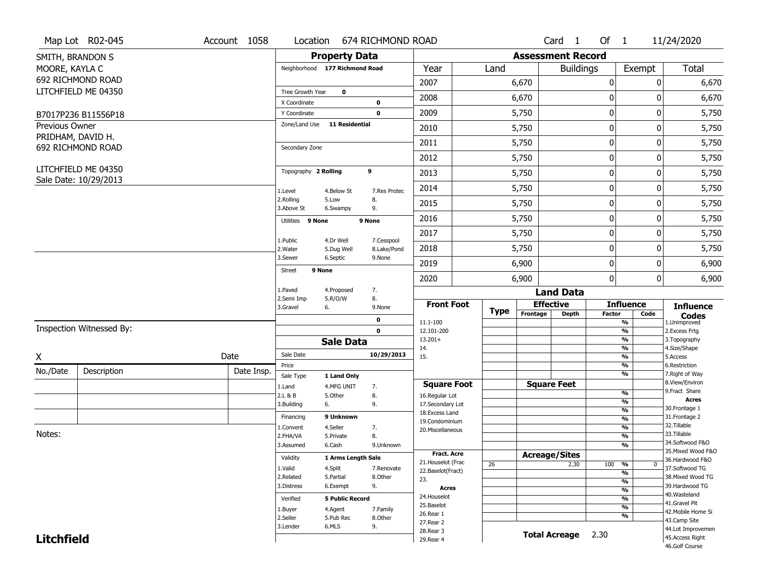|                       | Map Lot R02-045                        | Account 1058 | Location                       |                           | 674 RICHMOND ROAD         |                                    |             |                          | Card 1               | Of $1$      |                                | 11/24/2020                        |
|-----------------------|----------------------------------------|--------------|--------------------------------|---------------------------|---------------------------|------------------------------------|-------------|--------------------------|----------------------|-------------|--------------------------------|-----------------------------------|
|                       | SMITH, BRANDON S                       |              |                                | <b>Property Data</b>      |                           |                                    |             | <b>Assessment Record</b> |                      |             |                                |                                   |
| MOORE, KAYLA C        |                                        |              | Neighborhood 177 Richmond Road |                           |                           | Year                               | Land        |                          | <b>Buildings</b>     |             | Exempt                         | Total                             |
|                       | 692 RICHMOND ROAD                      |              |                                |                           |                           | 2007                               |             | 6,670                    |                      | 0           | 0                              | 6,670                             |
|                       | LITCHFIELD ME 04350                    |              | Tree Growth Year               | $\mathbf 0$               |                           |                                    |             |                          |                      |             |                                |                                   |
|                       |                                        |              | X Coordinate                   |                           | 0                         | 2008                               |             | 6,670                    |                      | 0           | 0                              | 6,670                             |
|                       | B7017P236 B11556P18                    |              | Y Coordinate                   |                           | $\mathbf 0$               | 2009                               |             | 5,750                    |                      | $\pmb{0}$   | 0                              | 5,750                             |
| <b>Previous Owner</b> |                                        |              | Zone/Land Use                  | <b>11 Residential</b>     |                           | 2010                               |             | 5,750                    |                      | 0           | 0                              | 5,750                             |
|                       | PRIDHAM, DAVID H.<br>692 RICHMOND ROAD |              | Secondary Zone                 |                           |                           | 2011                               |             | 5,750                    |                      | $\mathbf 0$ | 0                              | 5,750                             |
|                       |                                        |              |                                |                           |                           | 2012                               |             | 5,750                    |                      | 0           | 0                              | 5,750                             |
|                       | LITCHFIELD ME 04350                    |              | Topography 2 Rolling           |                           | 9                         | 2013                               |             | 5,750                    |                      | $\pmb{0}$   | 0                              | 5,750                             |
|                       | Sale Date: 10/29/2013                  |              | 1.Level                        | 4.Below St                | 7.Res Protec              | 2014                               |             | 5,750                    |                      | 0           | 0                              | 5,750                             |
|                       |                                        |              | 2.Rolling<br>3.Above St        | 5.Low<br>6.Swampy         | 8.<br>9.                  | 2015                               |             | 5,750                    |                      | 0           | 0                              | 5,750                             |
|                       |                                        |              | Utilities 9 None               |                           | 9 None                    | 2016                               |             | 5,750                    |                      | $\pmb{0}$   | 0                              | 5,750                             |
|                       |                                        |              |                                |                           |                           | 2017                               |             | 5,750                    |                      | $\pmb{0}$   | 0                              | 5,750                             |
|                       |                                        |              | 1.Public<br>2. Water           | 4.Dr Well<br>5.Dug Well   | 7.Cesspool<br>8.Lake/Pond | 2018                               |             | 5,750                    |                      | 0           | 0                              | 5,750                             |
|                       |                                        |              | 3.Sewer                        | 6.Septic                  | 9.None                    | 2019                               |             | 6,900                    |                      | $\mathbf 0$ | 0                              | 6,900                             |
|                       |                                        |              | 9 None<br><b>Street</b>        |                           |                           | 2020                               |             | 6,900                    |                      | 0           | 0                              | 6,900                             |
|                       |                                        |              | 1.Paved                        | 4.Proposed                | 7.                        |                                    |             |                          | <b>Land Data</b>     |             |                                |                                   |
|                       |                                        |              | 2.Semi Imp<br>3.Gravel         | 5.R/O/W<br>6.             | 8.<br>9.None              | <b>Front Foot</b>                  |             |                          | <b>Effective</b>     |             | <b>Influence</b>               | <b>Influence</b>                  |
|                       |                                        |              |                                |                           | $\mathbf 0$               | 11.1-100                           | <b>Type</b> | Frontage                 | <b>Depth</b>         | Factor      | Code<br>%                      | <b>Codes</b><br>1.Unimproved      |
|                       | Inspection Witnessed By:               |              |                                |                           | $\mathbf 0$               | 12.101-200                         |             |                          |                      |             | $\frac{9}{6}$                  | 2. Excess Frtg                    |
|                       |                                        |              |                                | <b>Sale Data</b>          |                           | $13.201+$                          |             |                          |                      |             | $\frac{9}{6}$                  | 3. Topography                     |
| X                     |                                        | Date         | Sale Date                      |                           | 10/29/2013                | 14.<br>15.                         |             |                          |                      |             | %<br>$\frac{9}{6}$             | 4.Size/Shape<br>5.Access          |
|                       |                                        |              | Price                          |                           |                           |                                    |             |                          |                      |             | %                              | 6.Restriction                     |
| No./Date              | Description                            | Date Insp.   | Sale Type                      | 1 Land Only               |                           |                                    |             |                          |                      |             | %                              | 7. Right of Way<br>8.View/Environ |
|                       |                                        |              | 1.Land                         | 4.MFG UNIT                | 7.                        | <b>Square Foot</b>                 |             |                          | <b>Square Feet</b>   |             | $\frac{9}{6}$                  | 9. Fract Share                    |
|                       |                                        |              | 2.L & B<br>3.Building          | 5.Other<br>6.             | 8.<br>9.                  | 16.Regular Lot<br>17.Secondary Lot |             |                          |                      |             | $\frac{9}{6}$                  | <b>Acres</b>                      |
|                       |                                        |              |                                |                           |                           | 18. Excess Land                    |             |                          |                      |             | $\frac{9}{6}$                  | 30.Frontage 1                     |
|                       |                                        |              | Financing                      | 9 Unknown                 |                           | 19.Condominium                     |             |                          |                      |             | $\frac{9}{6}$                  | 31. Frontage 2<br>32.Tillable     |
| Notes:                |                                        |              | 1.Convent                      | 4.Seller                  | 7.                        | 20.Miscellaneous                   |             |                          |                      |             | $\frac{9}{6}$                  | 33.Tillable                       |
|                       |                                        |              | 2.FHA/VA<br>3.Assumed          | 5.Private<br>6.Cash       | 8.<br>9.Unknown           |                                    |             |                          |                      |             | $\frac{9}{6}$<br>$\frac{9}{6}$ | 34.Softwood F&O                   |
|                       |                                        |              |                                |                           |                           | <b>Fract, Acre</b>                 |             |                          |                      |             |                                | 35. Mixed Wood F&O                |
|                       |                                        |              | Validity                       | <b>1 Arms Lenath Sale</b> |                           | 21. Houselot (Frac                 |             |                          | <b>Acreage/Sites</b> |             |                                | 36.Hardwood F&O                   |
|                       |                                        |              | 1.Valid                        | 4.Split                   | 7.Renovate                | 22.Baselot(Fract)                  | 26          |                          | 2.30                 | 100         | %<br>0<br>%                    | 37.Softwood TG                    |
|                       |                                        |              | 2.Related                      | 5.Partial                 | 8.Other                   | 23.                                |             |                          |                      |             | $\frac{9}{6}$                  | 38. Mixed Wood TG                 |
|                       |                                        |              | 3.Distress                     | 6.Exempt                  | 9.                        | <b>Acres</b>                       |             |                          |                      |             | $\frac{9}{6}$                  | 39.Hardwood TG                    |
|                       |                                        |              | Verified                       | <b>5 Public Record</b>    |                           | 24. Houselot                       |             |                          |                      |             | %                              | 40. Wasteland                     |
|                       |                                        |              | 1.Buyer                        | 4.Agent                   | 7.Family                  | 25.Baselot                         |             |                          |                      |             | $\frac{9}{6}$                  | 41.Gravel Pit                     |
|                       |                                        |              | 2.Seller                       | 5.Pub Rec                 | 8.Other                   | 26.Rear 1                          |             |                          |                      |             | %                              | 42. Mobile Home Si                |
|                       |                                        |              | 3.Lender                       | 6.MLS                     | 9.                        | 27.Rear 2                          |             |                          |                      |             |                                | 43.Camp Site<br>44.Lot Improvemen |
|                       |                                        |              |                                |                           |                           | 28. Rear 3                         |             |                          | <b>Total Acreage</b> | 2.30        |                                | 45.Access Right                   |
| <b>Litchfield</b>     |                                        |              |                                |                           |                           | 29. Rear 4                         |             |                          |                      |             |                                | 46.Golf Course                    |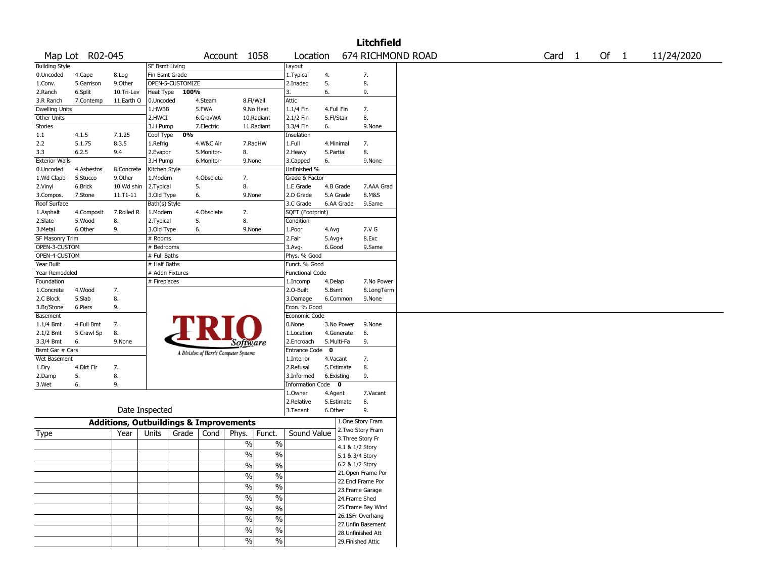|                       |                 |                                                   |                 |                  |            |                                       |                          |                        |             |                   | <b>Litchfield</b>  |                   |                   |        |            |
|-----------------------|-----------------|---------------------------------------------------|-----------------|------------------|------------|---------------------------------------|--------------------------|------------------------|-------------|-------------------|--------------------|-------------------|-------------------|--------|------------|
|                       | Map Lot R02-045 |                                                   |                 |                  |            | Account 1058                          |                          | Location               |             |                   |                    | 674 RICHMOND ROAD | Card <sub>1</sub> | Of $1$ | 11/24/2020 |
| <b>Building Style</b> |                 |                                                   | SF Bsmt Living  |                  |            |                                       |                          | Layout                 |             |                   |                    |                   |                   |        |            |
| 0.Uncoded             | 4.Cape          | 8.Log                                             | Fin Bsmt Grade  |                  |            |                                       |                          | 1. Typical             | 4.          |                   | 7.                 |                   |                   |        |            |
| 1.Conv.               | 5.Garrison      | 9.Other                                           |                 | OPEN-5-CUSTOMIZE |            |                                       |                          | 2.Inadeq               | 5.          |                   | 8.                 |                   |                   |        |            |
| 2.Ranch               | 6.Split         | 10.Tri-Lev                                        | Heat Type       | 100%             |            |                                       |                          | 3.                     | 6.          |                   | 9.                 |                   |                   |        |            |
| 3.R Ranch             | 7.Contemp       | 11.Earth O                                        | 0.Uncoded       |                  | 4.Steam    | 8.Fl/Wall                             |                          | Attic                  |             |                   |                    |                   |                   |        |            |
| Dwelling Units        |                 |                                                   | 1.HWBB          |                  | 5.FWA      |                                       | 9.No Heat                | 1.1/4 Fin              | 4.Full Fin  |                   | 7.                 |                   |                   |        |            |
| Other Units           |                 |                                                   | 2.HWCI          |                  | 6.GravWA   |                                       | 10.Radiant               | 2.1/2 Fin              | 5.Fl/Stair  |                   | 8.                 |                   |                   |        |            |
| Stories               |                 |                                                   | 3.H Pump        |                  | 7.Electric |                                       | 11.Radiant               | 3.3/4 Fin              | 6.          |                   | 9.None             |                   |                   |        |            |
| 1.1                   | 4.1.5           | 7.1.25                                            | Cool Type       | 0%               |            |                                       |                          | Insulation             |             |                   |                    |                   |                   |        |            |
| 2.2                   | 5.1.75          | 8.3.5                                             | 1.Refrig        |                  | 4.W&C Air  |                                       | 7.RadHW                  | 1.Full                 | 4.Minimal   |                   | 7.                 |                   |                   |        |            |
| 3.3                   | 6.2.5           | 9.4                                               | 2.Evapor        |                  | 5.Monitor- | 8.                                    |                          | 2. Heavy               | 5.Partial   |                   | 8.                 |                   |                   |        |            |
| <b>Exterior Walls</b> |                 |                                                   | 3.H Pump        |                  | 6.Monitor- | 9.None                                |                          | 3.Capped               | 6.          |                   | 9.None             |                   |                   |        |            |
| 0.Uncoded             | 4.Asbestos      | 8.Concrete                                        | Kitchen Style   |                  |            |                                       |                          | Unfinished %           |             |                   |                    |                   |                   |        |            |
| 1.Wd Clapb            | 5.Stucco        | 9.0ther                                           | 1.Modern        |                  | 4.Obsolete | 7.                                    |                          | Grade & Factor         |             |                   |                    |                   |                   |        |            |
| 2.Vinyl               | 6.Brick         | 10.Wd shin                                        | 2.Typical       |                  | 5.         | 8.                                    |                          | 1.E Grade              | 4.B Grade   |                   | 7.AAA Grad         |                   |                   |        |            |
| 3.Compos.             | 7.Stone         | 11.T1-11                                          | 3.Old Type      |                  | 6.         | 9.None                                |                          | 2.D Grade              | 5.A Grade   |                   | 8.M&S              |                   |                   |        |            |
| Roof Surface          |                 |                                                   | Bath(s) Style   |                  |            |                                       |                          | 3.C Grade              |             | 6.AA Grade        | 9.Same             |                   |                   |        |            |
| 1.Asphalt             | 4.Composit      | 7.Rolled R                                        | 1.Modern        |                  | 4.Obsolete | 7.                                    |                          | SQFT (Footprint)       |             |                   |                    |                   |                   |        |            |
| 2.Slate               | 5.Wood          | 8.                                                | 2. Typical      |                  | 5.         | 8.                                    |                          | Condition              |             |                   |                    |                   |                   |        |            |
| 3.Metal               | 6.Other         | 9.                                                | 3.Old Type      |                  | 6.         | 9.None                                |                          | 1.Poor                 | 4.Avg       |                   | 7.V G              |                   |                   |        |            |
| SF Masonry Trim       |                 |                                                   | # Rooms         |                  |            |                                       |                          | 2.Fair                 | $5.Avg+$    |                   | 8.Exc              |                   |                   |        |            |
| OPEN-3-CUSTOM         |                 |                                                   | # Bedrooms      |                  |            |                                       |                          | 3.Avg-                 | 6.Good      |                   | 9.Same             |                   |                   |        |            |
| OPEN-4-CUSTOM         |                 |                                                   | # Full Baths    |                  |            |                                       |                          | Phys. % Good           |             |                   |                    |                   |                   |        |            |
| Year Built            |                 |                                                   | # Half Baths    |                  |            |                                       |                          | Funct. % Good          |             |                   |                    |                   |                   |        |            |
| Year Remodeled        |                 |                                                   | # Addn Fixtures |                  |            |                                       |                          | <b>Functional Code</b> |             |                   |                    |                   |                   |        |            |
| Foundation            |                 |                                                   | # Fireplaces    |                  |            |                                       |                          | 1.Incomp               | 4.Delap     |                   | 7.No Power         |                   |                   |        |            |
| 1.Concrete            | 4.Wood          | 7.                                                |                 |                  |            |                                       |                          | 2.0-Built              | 5.Bsmt      |                   | 8.LongTerm         |                   |                   |        |            |
| 2.C Block             | 5.Slab          | 8.                                                |                 |                  |            |                                       |                          | 3.Damage               |             | 6.Common          | 9.None             |                   |                   |        |            |
| 3.Br/Stone            | 6.Piers         | 9.                                                |                 |                  |            |                                       |                          | Econ. % Good           |             |                   |                    |                   |                   |        |            |
| Basement              |                 |                                                   |                 |                  |            |                                       |                          | Economic Code          |             |                   |                    |                   |                   |        |            |
| 1.1/4 Bmt             | 4.Full Bmt      | 7.                                                |                 |                  | FR         |                                       |                          | 0.None                 |             | 3.No Power        | 9.None             |                   |                   |        |            |
| 2.1/2 Bmt             | 5.Crawl Sp      | 8.                                                |                 |                  |            |                                       |                          | 1.Location             |             | 4.Generate        | 8.                 |                   |                   |        |            |
| 3.3/4 Bmt             | 6.              | 9.None                                            |                 |                  |            | Software                              |                          | 2.Encroach             | 5.Multi-Fa  |                   | 9.                 |                   |                   |        |            |
| Bsmt Gar # Cars       |                 |                                                   |                 |                  |            | A Division of Harris Computer Systems |                          | Entrance Code          | $\mathbf 0$ |                   |                    |                   |                   |        |            |
| Wet Basement          |                 |                                                   |                 |                  |            |                                       |                          | 1.Interior             | 4.Vacant    |                   | 7.                 |                   |                   |        |            |
| 1.Dry                 | 4.Dirt Flr      | 7.                                                |                 |                  |            |                                       |                          | 2.Refusal              |             | 5.Estimate        | 8.                 |                   |                   |        |            |
| 2.Damp                | 5.              | 8.                                                |                 |                  |            |                                       |                          | 3.Informed             | 6.Existing  |                   | 9.                 |                   |                   |        |            |
| 3.Wet                 | 6.              | 9.                                                |                 |                  |            |                                       |                          | Information Code 0     |             |                   |                    |                   |                   |        |            |
|                       |                 |                                                   |                 |                  |            |                                       |                          | 1.Owner                | 4.Agent     |                   | 7.Vacant           |                   |                   |        |            |
|                       |                 |                                                   | Date Inspected  |                  |            |                                       |                          | 2.Relative             |             | 5.Estimate        | 8.                 |                   |                   |        |            |
|                       |                 |                                                   |                 |                  |            |                                       |                          | 3.Tenant               | 6.Other     |                   | 9.                 |                   |                   |        |            |
|                       |                 | <b>Additions, Outbuildings &amp; Improvements</b> |                 |                  |            |                                       |                          |                        |             |                   | 1.One Story Fram   |                   |                   |        |            |
| Type                  |                 | Year                                              | Units           | Grade            | Cond       | Phys.                                 | Funct.                   | Sound Value            |             |                   | 2. Two Story Fram  |                   |                   |        |            |
|                       |                 |                                                   |                 |                  |            | $\%$                                  | $\%$                     |                        |             | 3. Three Story Fr |                    |                   |                   |        |            |
|                       |                 |                                                   |                 |                  |            |                                       |                          |                        |             | 4.1 & 1/2 Story   |                    |                   |                   |        |            |
|                       |                 |                                                   |                 |                  |            | %                                     | $\%$                     |                        |             | 5.1 & 3/4 Story   |                    |                   |                   |        |            |
|                       |                 |                                                   |                 |                  |            | $\%$                                  | $\%$                     |                        |             | 6.2 & 1/2 Story   |                    |                   |                   |        |            |
|                       |                 |                                                   |                 |                  |            | $\frac{1}{2}$                         | $\frac{0}{0}$            |                        |             |                   | 21. Open Frame Por |                   |                   |        |            |
|                       |                 |                                                   |                 |                  |            | $\frac{9}{6}$                         | $\overline{\frac{0}{0}}$ |                        |             |                   | 22.Encl Frame Por  |                   |                   |        |            |
|                       |                 |                                                   |                 |                  |            |                                       |                          |                        |             |                   | 23. Frame Garage   |                   |                   |        |            |
|                       |                 |                                                   |                 |                  |            | $\frac{9}{6}$                         | $\overline{\frac{0}{0}}$ |                        |             | 24.Frame Shed     |                    |                   |                   |        |            |
|                       |                 |                                                   |                 |                  |            | $\sqrt{6}$                            | $\overline{\frac{0}{0}}$ |                        |             |                   | 25. Frame Bay Wind |                   |                   |        |            |
|                       |                 |                                                   |                 |                  |            | $\frac{9}{6}$                         | $\overline{\frac{0}{0}}$ |                        |             |                   | 26.1SFr Overhang   |                   |                   |        |            |
|                       |                 |                                                   |                 |                  |            | $\sqrt{6}$                            | $\overline{\frac{0}{0}}$ |                        |             |                   | 27. Unfin Basement |                   |                   |        |            |
|                       |                 |                                                   |                 |                  |            |                                       |                          |                        |             |                   | 28. Unfinished Att |                   |                   |        |            |
|                       |                 |                                                   |                 |                  |            | $\sqrt{6}$                            | $\overline{\frac{0}{6}}$ |                        |             |                   | 29. Finished Attic |                   |                   |        |            |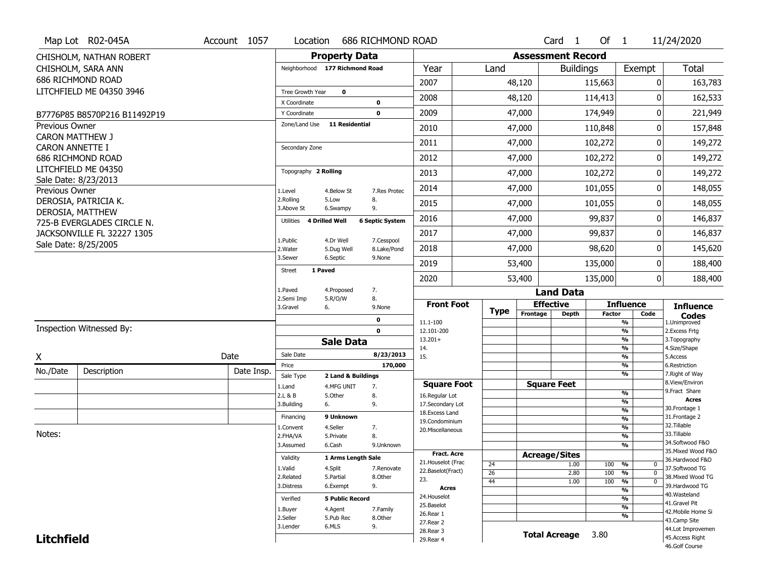| <b>Property Data</b><br><b>Assessment Record</b><br>CHISHOLM, NATHAN ROBERT<br><b>Total</b><br>Year<br>Exempt<br>CHISHOLM, SARA ANN<br>Neighborhood 177 Richmond Road<br>Land<br><b>Buildings</b><br>686 RICHMOND ROAD<br>2007<br>48,120<br>115,663<br>0<br>163,783<br>LITCHFIELD ME 04350 3946<br>Tree Growth Year<br>$\mathbf 0$<br>2008<br>0<br>48,120<br>114,413<br>162,533<br>X Coordinate<br>0<br>2009<br>47,000<br>174,949<br>0<br>221,949<br>$\mathbf 0$<br>Y Coordinate<br>B7776P85 B8570P216 B11492P19<br>Zone/Land Use<br><b>11 Residential</b><br><b>Previous Owner</b><br>157,848<br>2010<br>47,000<br>110,848<br>0<br><b>CARON MATTHEW J</b><br>2011<br>102,272<br>149,272<br>47,000<br>0<br><b>CARON ANNETTE I</b><br>Secondary Zone<br>2012<br>47,000<br>0<br>686 RICHMOND ROAD<br>102,272<br>149,272<br>LITCHFIELD ME 04350<br>Topography 2 Rolling<br>2013<br>102,272<br>0<br>149,272<br>47,000<br>Sale Date: 8/23/2013<br>2014<br>0<br>47,000<br>101,055<br>148,055<br>Previous Owner<br>1.Level<br>4.Below St<br>7.Res Protec<br>2.Rolling<br>8.<br>5.Low<br>DEROSIA, PATRICIA K.<br>2015<br>47,000<br>101,055<br>0<br>148,055<br>3.Above St<br>9.<br>6.Swampy<br>DEROSIA, MATTHEW<br>2016<br>99,837<br>0<br>146,837<br>47,000<br><b>6 Septic System</b><br>Utilities<br><b>4 Drilled Well</b><br>725-B EVERGLADES CIRCLE N.<br>JACKSONVILLE FL 32227 1305<br>2017<br>99,837<br>0<br>47,000<br>146,837 |
|----------------------------------------------------------------------------------------------------------------------------------------------------------------------------------------------------------------------------------------------------------------------------------------------------------------------------------------------------------------------------------------------------------------------------------------------------------------------------------------------------------------------------------------------------------------------------------------------------------------------------------------------------------------------------------------------------------------------------------------------------------------------------------------------------------------------------------------------------------------------------------------------------------------------------------------------------------------------------------------------------------------------------------------------------------------------------------------------------------------------------------------------------------------------------------------------------------------------------------------------------------------------------------------------------------------------------------------------------------------------------------------------------------------------------|
|                                                                                                                                                                                                                                                                                                                                                                                                                                                                                                                                                                                                                                                                                                                                                                                                                                                                                                                                                                                                                                                                                                                                                                                                                                                                                                                                                                                                                            |
|                                                                                                                                                                                                                                                                                                                                                                                                                                                                                                                                                                                                                                                                                                                                                                                                                                                                                                                                                                                                                                                                                                                                                                                                                                                                                                                                                                                                                            |
|                                                                                                                                                                                                                                                                                                                                                                                                                                                                                                                                                                                                                                                                                                                                                                                                                                                                                                                                                                                                                                                                                                                                                                                                                                                                                                                                                                                                                            |
|                                                                                                                                                                                                                                                                                                                                                                                                                                                                                                                                                                                                                                                                                                                                                                                                                                                                                                                                                                                                                                                                                                                                                                                                                                                                                                                                                                                                                            |
|                                                                                                                                                                                                                                                                                                                                                                                                                                                                                                                                                                                                                                                                                                                                                                                                                                                                                                                                                                                                                                                                                                                                                                                                                                                                                                                                                                                                                            |
|                                                                                                                                                                                                                                                                                                                                                                                                                                                                                                                                                                                                                                                                                                                                                                                                                                                                                                                                                                                                                                                                                                                                                                                                                                                                                                                                                                                                                            |
|                                                                                                                                                                                                                                                                                                                                                                                                                                                                                                                                                                                                                                                                                                                                                                                                                                                                                                                                                                                                                                                                                                                                                                                                                                                                                                                                                                                                                            |
|                                                                                                                                                                                                                                                                                                                                                                                                                                                                                                                                                                                                                                                                                                                                                                                                                                                                                                                                                                                                                                                                                                                                                                                                                                                                                                                                                                                                                            |
|                                                                                                                                                                                                                                                                                                                                                                                                                                                                                                                                                                                                                                                                                                                                                                                                                                                                                                                                                                                                                                                                                                                                                                                                                                                                                                                                                                                                                            |
|                                                                                                                                                                                                                                                                                                                                                                                                                                                                                                                                                                                                                                                                                                                                                                                                                                                                                                                                                                                                                                                                                                                                                                                                                                                                                                                                                                                                                            |
|                                                                                                                                                                                                                                                                                                                                                                                                                                                                                                                                                                                                                                                                                                                                                                                                                                                                                                                                                                                                                                                                                                                                                                                                                                                                                                                                                                                                                            |
|                                                                                                                                                                                                                                                                                                                                                                                                                                                                                                                                                                                                                                                                                                                                                                                                                                                                                                                                                                                                                                                                                                                                                                                                                                                                                                                                                                                                                            |
|                                                                                                                                                                                                                                                                                                                                                                                                                                                                                                                                                                                                                                                                                                                                                                                                                                                                                                                                                                                                                                                                                                                                                                                                                                                                                                                                                                                                                            |
|                                                                                                                                                                                                                                                                                                                                                                                                                                                                                                                                                                                                                                                                                                                                                                                                                                                                                                                                                                                                                                                                                                                                                                                                                                                                                                                                                                                                                            |
| 1.Public<br>4.Dr Well<br>7.Cesspool                                                                                                                                                                                                                                                                                                                                                                                                                                                                                                                                                                                                                                                                                                                                                                                                                                                                                                                                                                                                                                                                                                                                                                                                                                                                                                                                                                                        |
| Sale Date: 8/25/2005<br>2018<br>47,000<br>98,620<br>0<br>145,620<br>2. Water<br>5.Dug Well<br>8.Lake/Pond                                                                                                                                                                                                                                                                                                                                                                                                                                                                                                                                                                                                                                                                                                                                                                                                                                                                                                                                                                                                                                                                                                                                                                                                                                                                                                                  |
| 3.Sewer<br>6.Septic<br>9.None<br>2019<br>53,400<br>135,000<br>0<br>188,400                                                                                                                                                                                                                                                                                                                                                                                                                                                                                                                                                                                                                                                                                                                                                                                                                                                                                                                                                                                                                                                                                                                                                                                                                                                                                                                                                 |
| 1 Paved<br><b>Street</b><br>2020<br>53,400<br>135,000<br>$\overline{0}$<br>188,400                                                                                                                                                                                                                                                                                                                                                                                                                                                                                                                                                                                                                                                                                                                                                                                                                                                                                                                                                                                                                                                                                                                                                                                                                                                                                                                                         |
| 1.Paved<br>7.<br>4.Proposed<br><b>Land Data</b>                                                                                                                                                                                                                                                                                                                                                                                                                                                                                                                                                                                                                                                                                                                                                                                                                                                                                                                                                                                                                                                                                                                                                                                                                                                                                                                                                                            |
| 8.<br>2.Semi Imp<br>5.R/O/W<br><b>Effective</b><br><b>Influence</b><br><b>Front Foot</b><br><b>Influence</b><br>3.Gravel<br>6.<br>9.None                                                                                                                                                                                                                                                                                                                                                                                                                                                                                                                                                                                                                                                                                                                                                                                                                                                                                                                                                                                                                                                                                                                                                                                                                                                                                   |
| <b>Type</b><br>Frontage<br><b>Depth</b><br><b>Factor</b><br>Code<br><b>Codes</b><br>$\mathbf 0$<br>11.1-100<br>%<br>1.Unimproved                                                                                                                                                                                                                                                                                                                                                                                                                                                                                                                                                                                                                                                                                                                                                                                                                                                                                                                                                                                                                                                                                                                                                                                                                                                                                           |
| Inspection Witnessed By:<br>$\overline{\frac{9}{6}}$<br>$\mathbf 0$<br>12.101-200<br>2. Excess Frtg                                                                                                                                                                                                                                                                                                                                                                                                                                                                                                                                                                                                                                                                                                                                                                                                                                                                                                                                                                                                                                                                                                                                                                                                                                                                                                                        |
| $13.201+$<br>%<br>3. Topography<br><b>Sale Data</b><br>14.<br>%<br>4.Size/Shape                                                                                                                                                                                                                                                                                                                                                                                                                                                                                                                                                                                                                                                                                                                                                                                                                                                                                                                                                                                                                                                                                                                                                                                                                                                                                                                                            |
| Sale Date<br>8/23/2013<br>Date<br>15.<br>$\overline{\frac{9}{6}}$<br>X<br>5.Access                                                                                                                                                                                                                                                                                                                                                                                                                                                                                                                                                                                                                                                                                                                                                                                                                                                                                                                                                                                                                                                                                                                                                                                                                                                                                                                                         |
| 170,000<br>%<br>6.Restriction<br>Price<br>No./Date<br>Description<br>Date Insp.                                                                                                                                                                                                                                                                                                                                                                                                                                                                                                                                                                                                                                                                                                                                                                                                                                                                                                                                                                                                                                                                                                                                                                                                                                                                                                                                            |
| %<br>7. Right of Way<br>Sale Type<br>2 Land & Buildings<br>8.View/Environ<br><b>Square Feet</b><br><b>Square Foot</b>                                                                                                                                                                                                                                                                                                                                                                                                                                                                                                                                                                                                                                                                                                                                                                                                                                                                                                                                                                                                                                                                                                                                                                                                                                                                                                      |
| 1.Land<br>4.MFG UNIT<br>7.<br>9. Fract Share<br>$\frac{9}{6}$<br>2.L & B<br>5.Other<br>8.<br>16.Regular Lot                                                                                                                                                                                                                                                                                                                                                                                                                                                                                                                                                                                                                                                                                                                                                                                                                                                                                                                                                                                                                                                                                                                                                                                                                                                                                                                |
| <b>Acres</b><br>$\overline{\frac{9}{6}}$<br>3.Building<br>9.<br>17.Secondary Lot<br>6.<br>30. Frontage 1                                                                                                                                                                                                                                                                                                                                                                                                                                                                                                                                                                                                                                                                                                                                                                                                                                                                                                                                                                                                                                                                                                                                                                                                                                                                                                                   |
| $\frac{9}{6}$<br>18. Excess Land<br>9 Unknown<br>31. Frontage 2<br>Financing<br>$\overline{\frac{9}{6}}$                                                                                                                                                                                                                                                                                                                                                                                                                                                                                                                                                                                                                                                                                                                                                                                                                                                                                                                                                                                                                                                                                                                                                                                                                                                                                                                   |
| 19.Condominium<br>32. Tillable<br>4.Seller<br>$\frac{9}{6}$<br>7.<br>1.Convent<br>20.Miscellaneous                                                                                                                                                                                                                                                                                                                                                                                                                                                                                                                                                                                                                                                                                                                                                                                                                                                                                                                                                                                                                                                                                                                                                                                                                                                                                                                         |
| Notes:<br>33.Tillable<br>8.<br>$\overline{\frac{9}{6}}$<br>2.FHA/VA<br>5.Private                                                                                                                                                                                                                                                                                                                                                                                                                                                                                                                                                                                                                                                                                                                                                                                                                                                                                                                                                                                                                                                                                                                                                                                                                                                                                                                                           |
| 34.Softwood F&O<br>3.Assumed<br>6.Cash<br>%<br>9.Unknown<br>35. Mixed Wood F&O                                                                                                                                                                                                                                                                                                                                                                                                                                                                                                                                                                                                                                                                                                                                                                                                                                                                                                                                                                                                                                                                                                                                                                                                                                                                                                                                             |
| <b>Fract. Acre</b><br><b>Acreage/Sites</b><br>Validity<br>1 Arms Length Sale<br>36.Hardwood F&O<br>21. Houselot (Frac                                                                                                                                                                                                                                                                                                                                                                                                                                                                                                                                                                                                                                                                                                                                                                                                                                                                                                                                                                                                                                                                                                                                                                                                                                                                                                      |
| 24<br>1.00<br>100<br>%<br>0<br>1.Valid<br>4.Split<br>37.Softwood TG<br>7.Renovate<br>22.Baselot(Fract)<br>$\mathbf 0$                                                                                                                                                                                                                                                                                                                                                                                                                                                                                                                                                                                                                                                                                                                                                                                                                                                                                                                                                                                                                                                                                                                                                                                                                                                                                                      |
| $\overline{26}$<br>2.80<br>100<br>%<br>38. Mixed Wood TG<br>2.Related<br>5.Partial<br>8.Other<br>23.<br>100<br>44<br>1.00<br>%<br>$\mathbf 0$                                                                                                                                                                                                                                                                                                                                                                                                                                                                                                                                                                                                                                                                                                                                                                                                                                                                                                                                                                                                                                                                                                                                                                                                                                                                              |
| 39.Hardwood TG<br>9.<br>3.Distress<br>6.Exempt<br><b>Acres</b><br>$\frac{9}{6}$                                                                                                                                                                                                                                                                                                                                                                                                                                                                                                                                                                                                                                                                                                                                                                                                                                                                                                                                                                                                                                                                                                                                                                                                                                                                                                                                            |
| 40. Wasteland<br>24. Houselot<br><b>5 Public Record</b><br>%<br>Verified<br>41.Gravel Pit                                                                                                                                                                                                                                                                                                                                                                                                                                                                                                                                                                                                                                                                                                                                                                                                                                                                                                                                                                                                                                                                                                                                                                                                                                                                                                                                  |
| 25.Baselot<br>%<br>4.Agent<br>7.Family<br>1.Buyer<br>42. Mobile Home Si                                                                                                                                                                                                                                                                                                                                                                                                                                                                                                                                                                                                                                                                                                                                                                                                                                                                                                                                                                                                                                                                                                                                                                                                                                                                                                                                                    |
| 26.Rear 1<br>%<br>2.Seller<br>5.Pub Rec<br>8.0ther<br>43.Camp Site<br>27.Rear 2                                                                                                                                                                                                                                                                                                                                                                                                                                                                                                                                                                                                                                                                                                                                                                                                                                                                                                                                                                                                                                                                                                                                                                                                                                                                                                                                            |
| 6.MLS<br>9.<br>3.Lender<br>44.Lot Improvemen<br>28.Rear 3                                                                                                                                                                                                                                                                                                                                                                                                                                                                                                                                                                                                                                                                                                                                                                                                                                                                                                                                                                                                                                                                                                                                                                                                                                                                                                                                                                  |
| <b>Total Acreage</b><br>3.80<br><b>Litchfield</b><br>45.Access Right<br>29. Rear 4<br>46.Golf Course                                                                                                                                                                                                                                                                                                                                                                                                                                                                                                                                                                                                                                                                                                                                                                                                                                                                                                                                                                                                                                                                                                                                                                                                                                                                                                                       |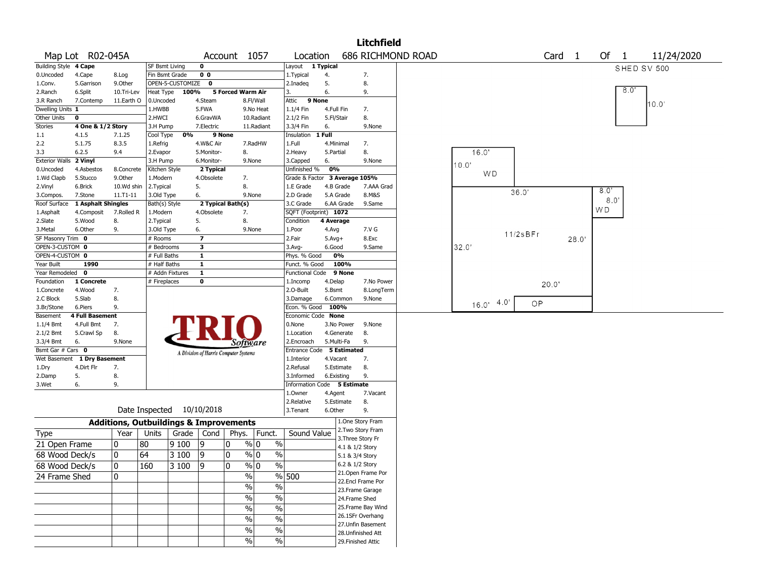|                       |                        |                                                   |                           |                    |                         |                                       |                        |                               |            |                 | <b>Litchfield</b>                       |                          |           |          |                   |                      |             |            |
|-----------------------|------------------------|---------------------------------------------------|---------------------------|--------------------|-------------------------|---------------------------------------|------------------------|-------------------------------|------------|-----------------|-----------------------------------------|--------------------------|-----------|----------|-------------------|----------------------|-------------|------------|
|                       | Map Lot R02-045A       |                                                   |                           |                    |                         | Account 1057                          |                        | Location                      |            |                 |                                         | <b>686 RICHMOND ROAD</b> |           |          | Card <sub>1</sub> | Of<br>$\overline{1}$ |             | 11/24/2020 |
| Building Style 4 Cape |                        |                                                   | <b>SF Bsmt Living</b>     |                    | 0                       |                                       |                        | Layout 1 Typical              |            |                 |                                         |                          |           |          |                   |                      | SHED SV 500 |            |
| 0.Uncoded             | 4.Cape                 | 8.Log                                             | Fin Bsmt Grade            |                    | 0 <sub>0</sub>          |                                       |                        | 1. Typical                    | 4.         |                 | 7.                                      |                          |           |          |                   |                      |             |            |
| 1.Conv.               | 5.Garrison             | 9.0ther                                           |                           | OPEN-5-CUSTOMIZE 0 |                         |                                       |                        | 2.Inadeg                      | 5.         |                 | 8.                                      |                          |           |          |                   |                      |             |            |
| 2.Ranch               | 6.Split                | 10.Tri-Lev                                        | Heat Type                 | 100%               |                         | 5 Forced Warm Air                     |                        | 3.                            | 6.         |                 | 9.                                      |                          |           |          |                   |                      | 8.0         |            |
| 3.R Ranch             | 7.Contemp              | 11.Earth O                                        | 0.Uncoded                 |                    | 4.Steam                 |                                       | 8.Fl/Wall              | 9 None<br>Attic               |            |                 |                                         |                          |           |          |                   |                      |             | 10.0'      |
| Dwelling Units 1      |                        |                                                   | 1.HWBB                    |                    | 5.FWA                   |                                       | 9.No Heat              | 1.1/4 Fin                     | 4.Full Fin |                 | 7.                                      |                          |           |          |                   |                      |             |            |
| Other Units           | $\mathbf 0$            |                                                   | 2.HWCI                    |                    | 6.GravWA                |                                       | 10.Radiant             | 2.1/2 Fin                     | 5.Fl/Stair |                 | 8.                                      |                          |           |          |                   |                      |             |            |
| <b>Stories</b>        | 4 One & 1/2 Story      |                                                   | 3.H Pump                  |                    | 7.Electric              |                                       | 11.Radiant             | 3.3/4 Fin                     | 6.         |                 | 9.None                                  |                          |           |          |                   |                      |             |            |
| $1.1\,$               | 4.1.5                  | 7.1.25                                            | Cool Type                 | 0%                 | 9 None                  |                                       |                        | Insulation                    | 1 Full     |                 |                                         |                          |           |          |                   |                      |             |            |
| 2.2                   | 5.1.75                 | 8.3.5                                             | 1.Refrig                  |                    | 4.W&C Air               |                                       | 7.RadHW                | 1.Full                        | 4.Minimal  |                 | 7.                                      |                          |           |          |                   |                      |             |            |
| 3.3                   | 6.2.5                  | 9.4                                               | 2.Evapor                  |                    | 5.Monitor-              | 8.                                    |                        | 2. Heavy                      | 5.Partial  |                 | 8.                                      |                          | 16.0'     |          |                   |                      |             |            |
| <b>Exterior Walls</b> | 2 Vinyl                |                                                   | 3.H Pump                  |                    | 6.Monitor-              |                                       | 9.None                 | 3.Capped                      | 6.         |                 | 9.None                                  |                          | 10.0'     |          |                   |                      |             |            |
| 0.Uncoded             | 4.Asbestos             | 8.Concrete                                        | Kitchen Style             |                    | 2 Typical               |                                       |                        | Unfinished %                  | 0%         |                 |                                         |                          | <b>WD</b> |          |                   |                      |             |            |
| 1.Wd Clapb            | 5.Stucco               | 9.0ther                                           | 1.Modern                  |                    | 4.Obsolete              | 7.                                    |                        | Grade & Factor 3 Average 105% |            |                 |                                         |                          |           |          |                   |                      |             |            |
| 2.Vinyl               | 6.Brick                | 10.Wd shin                                        | 2.Typical                 |                    | 5.                      | 8.                                    |                        | 1.E Grade                     | 4.B Grade  |                 | 7.AAA Grad                              |                          |           |          |                   | 8.0"                 |             |            |
| 3.Compos.             | 7.Stone                | $11. T1 - 11$                                     | 3.Old Type                |                    | 6.                      |                                       | 9.None                 | 2.D Grade                     | 5.A Grade  |                 | 8.M&S                                   |                          |           | 36.0'    |                   | 8.0                  |             |            |
| Roof Surface          | 1 Asphalt Shingles     |                                                   | Bath(s) Style             |                    |                         | 2 Typical Bath(s)                     |                        | 3.C Grade                     |            | 6.AA Grade      | 9.Same                                  |                          |           |          |                   |                      |             |            |
| 1.Asphalt             | 4.Composit             | 7.Rolled R                                        | 1.Modern                  |                    | 4.Obsolete              | 7.                                    |                        | SQFT (Footprint) 1072         |            |                 |                                         |                          |           |          |                   | W D                  |             |            |
| 2.Slate               | 5.Wood                 | 8.                                                | 2. Typical                |                    | 5.                      | 8.                                    |                        | Condition                     | 4 Average  |                 |                                         |                          |           |          |                   |                      |             |            |
| 3. Metal              | 6.Other                | 9.                                                | 3.Old Type                |                    | 6.                      |                                       | 9.None                 | 1.Poor                        | 4.Avg      |                 | 7.V G                                   |                          |           | 11/2sBFr |                   |                      |             |            |
| SF Masonry Trim 0     |                        |                                                   | # Rooms                   |                    | $\overline{\mathbf{z}}$ |                                       |                        | 2.Fair                        | $5.Avg+$   |                 | 8.Exc                                   |                          |           |          | 28.0'             |                      |             |            |
| OPEN-3-CUSTOM 0       |                        |                                                   | # Bedrooms                |                    | 3                       |                                       |                        | 3.Avg-                        | 6.Good     |                 | 9.Same                                  |                          | 32.0      |          |                   |                      |             |            |
| OPEN-4-CUSTOM 0       |                        |                                                   | # Full Baths              |                    | $\mathbf{1}$            |                                       |                        | Phys. % Good                  |            | 0%              |                                         |                          |           |          |                   |                      |             |            |
| Year Built            | 1990                   |                                                   | # Half Baths              |                    | $\mathbf{1}$            |                                       |                        | Funct. % Good                 |            | 100%            |                                         |                          |           |          |                   |                      |             |            |
| Year Remodeled 0      |                        |                                                   | # Addn Fixtures           |                    | $\overline{1}$          |                                       |                        | <b>Functional Code</b>        |            | 9 None          |                                         |                          |           |          |                   |                      |             |            |
| Foundation            | 1 Concrete             |                                                   | # Fireplaces              |                    | 0                       |                                       |                        | 1.Incomp                      | 4.Delap    |                 | 7.No Power                              |                          |           | 20.0'    |                   |                      |             |            |
| 1.Concrete            | 4.Wood                 | 7.                                                |                           |                    |                         |                                       |                        | 2.0-Built                     | 5.Bsmt     |                 | 8.LongTerm                              |                          |           |          |                   |                      |             |            |
| 2.C Block             | 5.Slab                 | 8.                                                |                           |                    |                         |                                       |                        | 3.Damage                      |            | 6.Common        | 9.None                                  |                          | 4.0       | OP       |                   |                      |             |            |
| 3.Br/Stone            | 6.Piers                | 9.                                                |                           |                    |                         |                                       |                        | Econ. % Good 100%             |            |                 |                                         |                          | 16.0'     |          |                   |                      |             |            |
| Basement              | <b>4 Full Basement</b> |                                                   |                           |                    |                         |                                       |                        | Economic Code None            |            |                 |                                         |                          |           |          |                   |                      |             |            |
| 1.1/4 Bmt             | 4.Full Bmt             | 7.                                                |                           |                    |                         |                                       |                        | 0.None                        |            | 3.No Power      | 9.None                                  |                          |           |          |                   |                      |             |            |
| 2.1/2 Bmt             | 5.Crawl Sp             | 8.                                                |                           |                    |                         |                                       |                        | 1.Location                    |            | 4.Generate      | 8.                                      |                          |           |          |                   |                      |             |            |
| 3.3/4 Bmt             | 6.                     | 9.None                                            |                           |                    |                         | Software                              |                        | 2.Encroach                    | 5.Multi-Fa |                 | 9.                                      |                          |           |          |                   |                      |             |            |
| Bsmt Gar # Cars 0     |                        |                                                   |                           |                    |                         | A Division of Harris Computer Systems |                        | Entrance Code 5 Estimated     |            |                 |                                         |                          |           |          |                   |                      |             |            |
| Wet Basement          | 1 Dry Basement         |                                                   |                           |                    |                         |                                       |                        | 1.Interior                    | 4.Vacant   |                 | 7.                                      |                          |           |          |                   |                      |             |            |
| 1.Dry                 | 4.Dirt Flr             | 7.                                                |                           |                    |                         |                                       |                        | 2.Refusal                     |            | 5.Estimate      | 8.                                      |                          |           |          |                   |                      |             |            |
| 2.Damp                | 5.                     | 8.                                                |                           |                    |                         |                                       |                        | 3.Informed                    | 6.Existing |                 | 9.                                      |                          |           |          |                   |                      |             |            |
| 3.Wet                 | 6.                     | 9.                                                |                           |                    |                         |                                       |                        | Information Code 5 Estimate   |            |                 |                                         |                          |           |          |                   |                      |             |            |
|                       |                        |                                                   |                           |                    |                         |                                       |                        | 1.0wner                       | 4.Agent    |                 | 7.Vacant                                |                          |           |          |                   |                      |             |            |
|                       |                        |                                                   |                           |                    |                         |                                       |                        | 2.Relative                    |            | 5.Estimate      | 8.                                      |                          |           |          |                   |                      |             |            |
|                       |                        |                                                   | Date Inspected 10/10/2018 |                    |                         |                                       |                        | 3. Tenant                     | 6.Other    |                 | 9.                                      |                          |           |          |                   |                      |             |            |
|                       |                        | <b>Additions, Outbuildings &amp; Improvements</b> |                           |                    |                         |                                       |                        |                               |            |                 | 1.One Story Fram                        |                          |           |          |                   |                      |             |            |
| Type                  |                        | Year                                              | Units                     | Grade   Cond       |                         |                                       | Phys.   Funct.         | Sound Value                   |            |                 | 2. Two Story Fram                       |                          |           |          |                   |                      |             |            |
| 21 Open Frame         |                        | 0                                                 | 80                        | 9100               | 19                      | 0                                     | % 0<br>$\%$            |                               |            |                 | 3. Three Story Fr                       |                          |           |          |                   |                      |             |            |
| 68 Wood Deck/s        |                        | 0                                                 | 64                        | 3 100              | 9                       | 10                                    | % 0<br>$\%$            |                               |            | 4.1 & 1/2 Story |                                         |                          |           |          |                   |                      |             |            |
|                       |                        |                                                   |                           |                    |                         |                                       |                        |                               |            | 5.1 & 3/4 Story |                                         |                          |           |          |                   |                      |             |            |
| 68 Wood Deck/s        |                        | $\Omega$                                          | 160                       | 3 100              | $ 9\rangle$             | $\Omega$                              | $\frac{8}{10}$<br>$\%$ |                               |            | 6.2 & 1/2 Story |                                         |                          |           |          |                   |                      |             |            |
| 24 Frame Shed         |                        | $\mathbf{0}$                                      |                           |                    |                         | $\frac{0}{0}$                         |                        | % 500                         |            |                 | 21. Open Frame Por<br>22.Encl Frame Por |                          |           |          |                   |                      |             |            |
|                       |                        |                                                   |                           |                    |                         | $\sqrt{6}$                            | %                      |                               |            |                 | 23. Frame Garage                        |                          |           |          |                   |                      |             |            |
|                       |                        |                                                   |                           |                    |                         | $\sqrt{6}$                            | %                      |                               |            |                 | 24.Frame Shed                           |                          |           |          |                   |                      |             |            |
|                       |                        |                                                   |                           |                    |                         |                                       |                        |                               |            |                 | 25. Frame Bay Wind                      |                          |           |          |                   |                      |             |            |
|                       |                        |                                                   |                           |                    |                         | $\frac{0}{0}$                         | $\%$                   |                               |            |                 | 26.1SFr Overhang                        |                          |           |          |                   |                      |             |            |
|                       |                        |                                                   |                           |                    |                         | $\sqrt{6}$                            | $\%$                   |                               |            |                 | 27. Unfin Basement                      |                          |           |          |                   |                      |             |            |
|                       |                        |                                                   |                           |                    |                         | $\frac{0}{0}$                         | $\%$                   |                               |            |                 | 28. Unfinished Att                      |                          |           |          |                   |                      |             |            |
|                       |                        |                                                   |                           |                    |                         | $\frac{0}{0}$                         | $\%$                   |                               |            |                 | 29. Finished Attic                      |                          |           |          |                   |                      |             |            |
|                       |                        |                                                   |                           |                    |                         |                                       |                        |                               |            |                 |                                         |                          |           |          |                   |                      |             |            |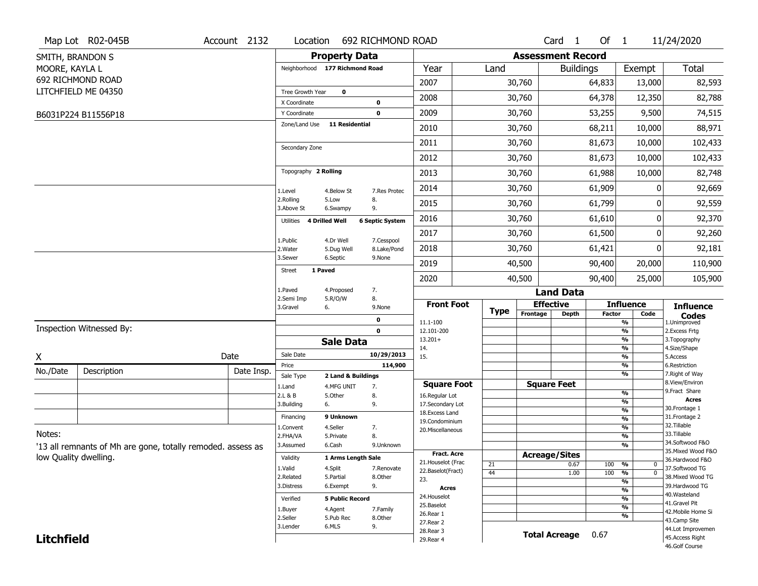|                   | Map Lot R02-045B                                            | Account 2132 | Location                       |                        | 692 RICHMOND ROAD      |                                     |             |                              | Card <sub>1</sub>    | Of $1$        |                                | 11/24/2020                       |
|-------------------|-------------------------------------------------------------|--------------|--------------------------------|------------------------|------------------------|-------------------------------------|-------------|------------------------------|----------------------|---------------|--------------------------------|----------------------------------|
|                   | SMITH, BRANDON S                                            |              |                                | <b>Property Data</b>   |                        |                                     |             | <b>Assessment Record</b>     |                      |               |                                |                                  |
| MOORE, KAYLA L    |                                                             |              | Neighborhood 177 Richmond Road |                        |                        | Year                                | Land        |                              | <b>Buildings</b>     |               | Exempt                         | Total                            |
|                   | 692 RICHMOND ROAD                                           |              |                                |                        |                        | 2007                                |             | 30,760                       |                      | 64,833        | 13,000                         | 82,593                           |
|                   | LITCHFIELD ME 04350                                         |              | Tree Growth Year               | 0                      |                        | 2008                                |             | 30,760                       |                      | 64,378        | 12,350                         | 82,788                           |
|                   |                                                             |              | X Coordinate                   |                        | 0                      |                                     |             |                              |                      |               |                                |                                  |
|                   | B6031P224 B11556P18                                         |              | Y Coordinate<br>Zone/Land Use  | <b>11 Residential</b>  | $\mathbf 0$            | 2009                                |             | 30,760                       |                      | 53,255        | 9,500                          | 74,515                           |
|                   |                                                             |              |                                |                        |                        | 2010                                |             | 30,760                       |                      | 68,211        | 10,000                         | 88,971                           |
|                   |                                                             |              | Secondary Zone                 |                        |                        | 2011                                |             | 30,760                       |                      | 81,673        | 10,000                         | 102,433                          |
|                   |                                                             |              |                                |                        |                        | 2012                                |             | 30,760                       |                      | 81,673        | 10,000                         | 102,433                          |
|                   |                                                             |              | Topography 2 Rolling           |                        |                        | 2013                                |             | 30,760                       |                      | 61,988        | 10,000                         | 82,748                           |
|                   |                                                             |              | 1.Level                        | 4.Below St             | 7.Res Protec           | 2014                                |             | 30,760                       |                      | 61,909        |                                | 92,669                           |
|                   |                                                             |              | 2.Rolling<br>3.Above St        | 5.Low<br>6.Swampy      | 8.<br>9.               | 2015                                |             | 30,760                       |                      | 61,799        | 0                              | 92,559                           |
|                   |                                                             |              | 4 Drilled Well<br>Utilities    |                        | <b>6 Septic System</b> | 2016                                |             | 30,760                       |                      | 61,610        | 0                              | 92,370                           |
|                   |                                                             |              | 1.Public                       | 4.Dr Well              | 7.Cesspool             | 2017                                |             | 30,760                       |                      | 61,500        | 0                              | 92,260                           |
|                   |                                                             |              | 2. Water                       | 5.Dug Well             | 8.Lake/Pond            | 2018                                |             | 30,760                       |                      | 61,421        | 0                              | 92,181                           |
|                   |                                                             |              | 3.Sewer<br>1 Paved<br>Street   | 6.Septic               | 9.None                 | 2019                                |             | 40,500                       |                      | 90,400        | 20,000                         | 110,900                          |
|                   |                                                             |              |                                |                        |                        | 2020                                |             | 40,500                       |                      | 90,400        | 25,000                         | 105,900                          |
|                   |                                                             |              | 1.Paved<br>2.Semi Imp          | 4.Proposed<br>5.R/O/W  | 7.<br>8.               |                                     |             |                              | <b>Land Data</b>     |               |                                |                                  |
|                   |                                                             |              | 3.Gravel<br>6.                 |                        | 9.None                 | <b>Front Foot</b>                   | <b>Type</b> | <b>Effective</b><br>Frontage |                      |               | <b>Influence</b>               | <b>Influence</b>                 |
|                   |                                                             |              |                                |                        | 0                      | 11.1-100                            |             |                              | <b>Depth</b>         | <b>Factor</b> | Code<br>%                      | <b>Codes</b><br>1.Unimproved     |
|                   | Inspection Witnessed By:                                    |              |                                |                        | $\mathbf 0$            | 12.101-200                          |             |                              |                      |               | %                              | 2.Excess Frtg                    |
|                   |                                                             |              |                                | <b>Sale Data</b>       |                        | $13.201+$<br>14.                    |             |                              |                      |               | %<br>%                         | 3. Topography<br>4.Size/Shape    |
| X                 |                                                             | Date         | Sale Date                      |                        | 10/29/2013             | 15.                                 |             |                              |                      |               | %                              | 5.Access                         |
| No./Date          | Description                                                 | Date Insp.   | Price<br>Sale Type             | 2 Land & Buildings     | 114,900                |                                     |             |                              |                      |               | %<br>%                         | 6.Restriction<br>7. Right of Way |
|                   |                                                             |              | 1.Land                         | 4.MFG UNIT             | 7.                     | <b>Square Foot</b>                  |             |                              | <b>Square Feet</b>   |               |                                | 8.View/Environ                   |
|                   |                                                             |              | 2.L & B                        | 5.Other                | 8.                     | 16.Regular Lot                      |             |                              |                      |               | %                              | 9.Fract Share<br><b>Acres</b>    |
|                   |                                                             |              | 6.<br>3.Building               |                        | 9.                     | 17.Secondary Lot<br>18. Excess Land |             |                              |                      |               | %<br>$\frac{9}{6}$             | 30. Frontage 1                   |
|                   |                                                             |              | Financing                      | 9 Unknown              |                        | 19.Condominium                      |             |                              |                      |               | $\frac{9}{6}$                  | 31. Frontage 2                   |
| Notes:            |                                                             |              | 1.Convent                      | 4.Seller               | 7.                     | 20.Miscellaneous                    |             |                              |                      |               | $\overline{\frac{9}{6}}$       | 32.Tillable<br>33.Tillable       |
|                   |                                                             |              | 2.FHA/VA                       | 5.Private              | 8.                     |                                     |             |                              |                      |               | $\frac{9}{6}$<br>$\frac{9}{6}$ | 34.Softwood F&O                  |
|                   | '13 all remnants of Mh are gone, totally remoded. assess as |              | 3.Assumed                      | 6.Cash                 | 9.Unknown              | Fract. Acre                         |             | <b>Acreage/Sites</b>         |                      |               |                                | 35. Mixed Wood F&O               |
|                   | low Quality dwelling.                                       |              | Validity                       | 1 Arms Length Sale     |                        | 21. Houselot (Frac                  | 21          |                              | 0.67                 | 100           | %<br>$\mathbf 0$               | 36.Hardwood F&O                  |
|                   |                                                             |              | 1.Valid                        | 4.Split                | 7.Renovate             | 22.Baselot(Fract)                   | 44          |                              | 1.00                 | 100           | $\overline{0}$<br>%            | 37.Softwood TG                   |
|                   |                                                             |              | 2.Related                      | 5.Partial              | 8.Other                | 23.                                 |             |                              |                      |               | %                              | 38. Mixed Wood TG                |
|                   |                                                             |              | 3.Distress                     | 6.Exempt               | 9.                     | <b>Acres</b>                        |             |                              |                      |               | %                              | 39.Hardwood TG<br>40. Wasteland  |
|                   |                                                             |              | Verified                       | <b>5 Public Record</b> |                        | 24. Houselot<br>25.Baselot          |             |                              |                      |               | %                              | 41.Gravel Pit                    |
|                   |                                                             |              | 1.Buyer                        | 4.Agent                | 7.Family               | 26.Rear 1                           |             |                              |                      |               | $\frac{9}{6}$<br>%             | 42. Mobile Home Si               |
|                   |                                                             |              | 2.Seller                       | 5.Pub Rec              | 8.Other                | 27. Rear 2                          |             |                              |                      |               |                                | 43.Camp Site                     |
|                   |                                                             |              | 3.Lender                       | 6.MLS                  | 9.                     |                                     |             |                              |                      |               |                                | 44.Lot Improvemen                |
| <b>Litchfield</b> |                                                             |              |                                |                        |                        | 28. Rear 3<br>29. Rear 4            |             |                              | <b>Total Acreage</b> | 0.67          |                                | 45.Access Right                  |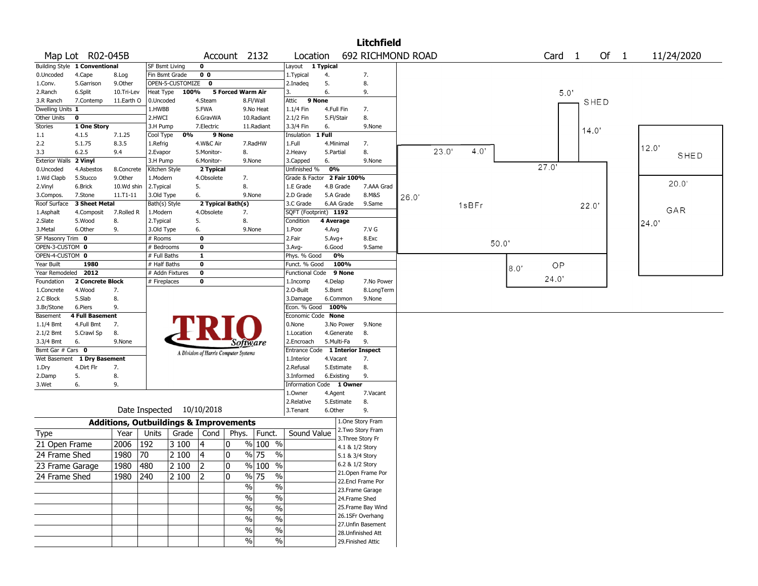|                       |                               |              |                                                   |       |                                       |                          |                       |                            |              |                 | <b>Litchfield</b>         |       |       |       |      |      |                   |       |       |       |             |
|-----------------------|-------------------------------|--------------|---------------------------------------------------|-------|---------------------------------------|--------------------------|-----------------------|----------------------------|--------------|-----------------|---------------------------|-------|-------|-------|------|------|-------------------|-------|-------|-------|-------------|
|                       | Map Lot R02-045B              |              |                                                   |       |                                       | Account 2132             |                       | Location                   |              |                 | 692 RICHMOND ROAD         |       |       |       |      |      | Card <sub>1</sub> |       | Of 1  |       | 11/24/2020  |
|                       | Building Style 1 Conventional |              | SF Bsmt Living                                    |       | 0                                     |                          |                       | Layout 1 Typical           |              |                 |                           |       |       |       |      |      |                   |       |       |       |             |
| 0.Uncoded             | 4.Cape                        | 8.Log        | Fin Bsmt Grade                                    |       | 0 <sub>0</sub>                        |                          |                       | 1. Typical                 | 4.           |                 | 7.                        |       |       |       |      |      |                   |       |       |       |             |
| 1.Conv.               | 5.Garrison                    | 9.Other      | OPEN-5-CUSTOMIZE                                  |       | 0                                     |                          |                       | 2.Inadeq                   | 5.           |                 | 8.                        |       |       |       |      |      |                   |       |       |       |             |
| 2.Ranch               | 6.Split                       | 10.Tri-Lev   | Heat Type                                         | 100%  |                                       | <b>5 Forced Warm Air</b> |                       | 3.                         | 6.           |                 | 9.                        |       |       |       |      |      |                   | 5.0   |       |       |             |
| 3.R Ranch             | 7.Contemp                     | 11.Earth O   | 0.Uncoded                                         |       | 4.Steam                               |                          | 8.Fl/Wall             | Attic                      | 9 None       |                 |                           |       |       |       |      |      |                   |       | SHED  |       |             |
| Dwelling Units 1      |                               |              | 1.HWBB                                            |       | 5.FWA                                 |                          | 9.No Heat             | 1.1/4 Fin                  | 4.Full Fin   |                 | 7.                        |       |       |       |      |      |                   |       |       |       |             |
| Other Units           | 0                             |              | 2.HWCI                                            |       | 6.GravWA                              |                          | 10.Radiant            | 2.1/2 Fin                  | 5.Fl/Stair   |                 | 8.                        |       |       |       |      |      |                   |       |       |       |             |
| Stories               | 1 One Story                   |              | 3.H Pump                                          |       | 7.Electric                            |                          | 11.Radiant            | 3.3/4 Fin                  | 6.           |                 | 9.None                    |       |       |       |      |      |                   |       | 14.0' |       |             |
| 1.1                   | 4.1.5                         | 7.1.25       | Cool Type                                         | 0%    | 9 None                                |                          |                       | Insulation                 | 1 Full       |                 |                           |       |       |       |      |      |                   |       |       |       |             |
| 2.2                   | 5.1.75                        | 8.3.5        | 1.Refrig                                          |       | 4.W&C Air                             |                          | 7.RadHW               | 1.Full                     |              | 4.Minimal       | 7.                        |       |       |       |      |      |                   |       |       | 12.0' |             |
| 3.3                   | 6.2.5                         | 9.4          | 2.Evapor                                          |       | 5.Monitor-                            | 8.                       |                       | 2. Heavy                   | 5.Partial    |                 | 8.                        |       | 23.0' | 4.0'  |      |      |                   |       |       |       | <b>SHED</b> |
| <b>Exterior Walls</b> | 2 Vinyl                       |              | 3.H Pump                                          |       | 6.Monitor-                            |                          | 9.None                | 3.Capped                   | 6.           |                 | 9.None                    |       |       |       |      |      |                   |       |       |       |             |
| 0.Uncoded             | 4.Asbestos                    | 8.Concrete   | Kitchen Style                                     |       | 2 Typical                             |                          |                       | Unfinished %               | 0%           |                 |                           |       |       |       |      |      | 27.0'             |       |       |       |             |
| 1.Wd Clapb            | 5.Stucco                      | 9.Other      | 1.Modern                                          |       | 4.Obsolete                            | 7.                       |                       | Grade & Factor 2 Fair 100% |              |                 |                           |       |       |       |      |      |                   |       |       |       |             |
| 2.Vinyl               | 6.Brick                       | 10.Wd shin   | 2. Typical                                        |       | 5.                                    | 8.                       |                       | 1.E Grade                  |              | 4.B Grade       | 7.AAA Grad                |       |       |       |      |      |                   |       |       |       | 20.0'       |
| 3.Compos.             | 7.Stone                       | $11.71 - 11$ | 3.Old Type                                        |       | 6.                                    |                          | 9.None                | 2.D Grade                  |              | 5.A Grade       | 8.M&S                     | 26.0' |       |       |      |      |                   |       |       |       |             |
| Roof Surface          | 3 Sheet Metal                 |              | Bath(s) Style                                     |       | 2 Typical Bath(s)                     |                          |                       | 3.C Grade                  |              | 6.AA Grade      | 9.Same                    |       |       | 1sBFr |      |      |                   | 22.0' |       |       |             |
| 1.Asphalt             | 4.Composit                    | 7.Rolled R   | 1.Modern                                          |       | 4.Obsolete                            | 7.                       |                       | SQFT (Footprint) 1192      |              |                 |                           |       |       |       |      |      |                   |       |       |       | GAR         |
| 2.Slate               | 5.Wood                        | 8.           | 2. Typical                                        |       | 5.                                    | 8.                       |                       | Condition                  | 4 Average    |                 |                           |       |       |       |      |      |                   |       |       | 24.0' |             |
| 3.Metal               | 6.Other                       | 9.           | 3.Old Type                                        |       | 6.                                    |                          | 9.None                | 1.Poor                     | 4.Avg        |                 | 7.V G                     |       |       |       |      |      |                   |       |       |       |             |
| SF Masonry Trim 0     |                               |              | # Rooms                                           |       | 0                                     |                          |                       | 2.Fair                     | $5.$ Avg $+$ |                 | 8.Exc                     |       |       |       |      |      |                   |       |       |       |             |
| OPEN-3-CUSTOM 0       |                               |              | # Bedrooms                                        |       | 0                                     |                          |                       | $3.$ Avg-                  | 6.Good       |                 | 9.Same                    |       |       |       | 50.0 |      |                   |       |       |       |             |
| OPEN-4-CUSTOM 0       |                               |              | # Full Baths                                      |       | 1                                     |                          |                       | Phys. % Good               |              | 0%              |                           |       |       |       |      |      |                   |       |       |       |             |
| Year Built            | 1980                          |              | # Half Baths                                      |       | 0                                     |                          |                       | Funct. % Good              |              | 100%            |                           |       |       |       |      | 8.0" | OP                |       |       |       |             |
| Year Remodeled 2012   |                               |              | # Addn Fixtures                                   |       | 0                                     |                          |                       | <b>Functional Code</b>     |              | 9 None          |                           |       |       |       |      |      |                   |       |       |       |             |
| Foundation            | 2 Concrete Block              |              | # Fireplaces                                      |       | 0                                     |                          |                       | 1.Incomp                   | 4.Delap      |                 | 7.No Power                |       |       |       |      |      | 24.0'             |       |       |       |             |
| 1.Concrete            | 4.Wood                        | 7.           |                                                   |       |                                       |                          |                       | 2.0-Built                  | 5.Bsmt       |                 | 8.LongTerm                |       |       |       |      |      |                   |       |       |       |             |
| 2.C Block             | 5.Slab                        | 8.           |                                                   |       |                                       |                          |                       | 3.Damage                   |              | 6.Common        | 9.None                    |       |       |       |      |      |                   |       |       |       |             |
| 3.Br/Stone            | 6.Piers                       | 9.           |                                                   |       |                                       |                          |                       | Econ. % Good               | 100%         |                 |                           |       |       |       |      |      |                   |       |       |       |             |
| Basement              | 4 Full Basement               |              |                                                   |       |                                       |                          |                       | Economic Code None         |              |                 |                           |       |       |       |      |      |                   |       |       |       |             |
| $1.1/4$ Bmt           | 4.Full Bmt                    | 7.           |                                                   |       |                                       |                          |                       | 0.None                     |              | 3.No Power      | 9.None                    |       |       |       |      |      |                   |       |       |       |             |
| 2.1/2 Bmt             | 5.Crawl Sp                    | 8.           |                                                   |       |                                       |                          |                       | 1.Location                 |              | 4.Generate      | 8.                        |       |       |       |      |      |                   |       |       |       |             |
| 3.3/4 Bmt             | 6.                            | 9.None       |                                                   |       |                                       |                          | Software              | 2.Encroach                 |              | 5.Multi-Fa      | 9.                        |       |       |       |      |      |                   |       |       |       |             |
| Bsmt Gar # Cars 0     |                               |              |                                                   |       | A Division of Harris Computer Systems |                          |                       | <b>Entrance Code</b>       |              |                 | <b>1 Interior Inspect</b> |       |       |       |      |      |                   |       |       |       |             |
| Wet Basement          | 1 Dry Basement                |              |                                                   |       |                                       |                          |                       | 1.Interior                 | 4.Vacant     |                 | 7.                        |       |       |       |      |      |                   |       |       |       |             |
| 1.Dry                 | 4.Dirt Flr                    | 7.           |                                                   |       |                                       |                          |                       | 2.Refusal                  |              | 5.Estimate      | 8.                        |       |       |       |      |      |                   |       |       |       |             |
| 2.Damp                | 5.                            | 8.           |                                                   |       |                                       |                          |                       | 3.Informed                 |              | 6.Existing      | 9.                        |       |       |       |      |      |                   |       |       |       |             |
| 3.Wet                 | 6.                            | 9.           |                                                   |       |                                       |                          |                       | Information Code 1 Owner   |              |                 |                           |       |       |       |      |      |                   |       |       |       |             |
|                       |                               |              |                                                   |       |                                       |                          |                       | 1.Owner                    | 4.Agent      |                 | 7.Vacant                  |       |       |       |      |      |                   |       |       |       |             |
|                       |                               |              |                                                   |       |                                       |                          |                       | 2.Relative                 |              | 5.Estimate      | 8.                        |       |       |       |      |      |                   |       |       |       |             |
|                       |                               |              | Date Inspected 10/10/2018                         |       |                                       |                          |                       | 3.Tenant                   | 6.Other      |                 | 9.                        |       |       |       |      |      |                   |       |       |       |             |
|                       |                               |              | <b>Additions, Outbuildings &amp; Improvements</b> |       |                                       |                          |                       |                            |              |                 | 1.One Story Fram          |       |       |       |      |      |                   |       |       |       |             |
|                       |                               |              |                                                   |       |                                       |                          |                       |                            |              |                 | 2. Two Story Fram         |       |       |       |      |      |                   |       |       |       |             |
| Type                  |                               | Year         | Units                                             | Grade | Cond                                  |                          | Phys.   Funct.        | Sound Value                |              |                 | 3. Three Story Fr         |       |       |       |      |      |                   |       |       |       |             |
| 21 Open Frame         |                               | 2006         | 192                                               | 3 100 | 4                                     | 10                       | $%100$ %              |                            |              | 4.1 & 1/2 Story |                           |       |       |       |      |      |                   |       |       |       |             |
| 24 Frame Shed         |                               | 1980         | 70                                                | 2 100 | 4                                     | 0                        | % 75<br>%             |                            |              | 5.1 & 3/4 Story |                           |       |       |       |      |      |                   |       |       |       |             |
| 23 Frame Garage       |                               | 1980         | 480                                               | 2 100 | $\overline{2}$                        | $ 0\rangle$              | % 100<br>$\sqrt{6}$   |                            |              | 6.2 & 1/2 Story |                           |       |       |       |      |      |                   |       |       |       |             |
|                       |                               |              |                                                   |       |                                       |                          |                       |                            |              |                 | 21. Open Frame Por        |       |       |       |      |      |                   |       |       |       |             |
| 24 Frame Shed         |                               | 1980         | 240                                               | 2 100 | 2                                     | 10                       | % 75<br>%             |                            |              |                 | 22.Encl Frame Por         |       |       |       |      |      |                   |       |       |       |             |
|                       |                               |              |                                                   |       |                                       |                          | $\sqrt{6}$<br>%       |                            |              |                 | 23. Frame Garage          |       |       |       |      |      |                   |       |       |       |             |
|                       |                               |              |                                                   |       |                                       |                          | $\%$<br>$\frac{9}{6}$ |                            |              | 24.Frame Shed   |                           |       |       |       |      |      |                   |       |       |       |             |
|                       |                               |              |                                                   |       |                                       |                          | $\frac{0}{6}$<br>%    |                            |              |                 | 25. Frame Bay Wind        |       |       |       |      |      |                   |       |       |       |             |
|                       |                               |              |                                                   |       |                                       |                          |                       |                            |              |                 | 26.1SFr Overhang          |       |       |       |      |      |                   |       |       |       |             |
|                       |                               |              |                                                   |       |                                       |                          | $\sqrt{6}$<br>$\%$    |                            |              |                 | 27.Unfin Basement         |       |       |       |      |      |                   |       |       |       |             |
|                       |                               |              |                                                   |       |                                       |                          | $\%$<br>$\%$          |                            |              |                 | 28. Unfinished Att        |       |       |       |      |      |                   |       |       |       |             |
|                       |                               |              |                                                   |       |                                       |                          | $\sqrt{6}$<br>$\%$    |                            |              |                 | 29. Finished Attic        |       |       |       |      |      |                   |       |       |       |             |
|                       |                               |              |                                                   |       |                                       |                          |                       |                            |              |                 |                           |       |       |       |      |      |                   |       |       |       |             |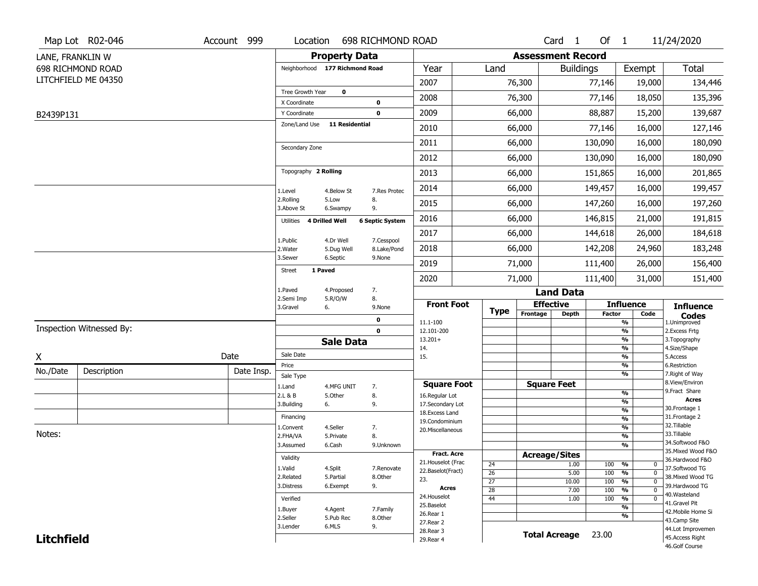|                   | Map Lot R02-046          | Account 999 | Location                       |                       | 698 RICHMOND ROAD          |                                     |                       |                          | Card 1               | Of 1          |                                                              | 11/24/2020                           |
|-------------------|--------------------------|-------------|--------------------------------|-----------------------|----------------------------|-------------------------------------|-----------------------|--------------------------|----------------------|---------------|--------------------------------------------------------------|--------------------------------------|
| LANE, FRANKLIN W  |                          |             |                                | <b>Property Data</b>  |                            |                                     |                       | <b>Assessment Record</b> |                      |               |                                                              |                                      |
|                   | 698 RICHMOND ROAD        |             | Neighborhood 177 Richmond Road |                       |                            | Year                                | Land                  |                          | <b>Buildings</b>     |               | Exempt                                                       | Total                                |
|                   | LITCHFIELD ME 04350      |             |                                |                       |                            | 2007                                |                       | 76,300                   |                      | 77,146        | 19,000                                                       | 134,446                              |
|                   |                          |             | Tree Growth Year               | $\mathbf 0$           |                            | 2008                                |                       | 76,300                   |                      | 77,146        | 18,050                                                       | 135,396                              |
| B2439P131         |                          |             | X Coordinate<br>Y Coordinate   |                       | $\mathbf 0$<br>$\mathbf 0$ | 2009                                |                       | 66,000                   |                      | 88,887        | 15,200                                                       | 139,687                              |
|                   |                          |             | Zone/Land Use                  | <b>11 Residential</b> |                            | 2010                                |                       | 66,000                   |                      | 77,146        | 16,000                                                       | 127,146                              |
|                   |                          |             |                                |                       |                            |                                     |                       |                          |                      |               |                                                              |                                      |
|                   |                          |             | Secondary Zone                 |                       |                            | 2011                                |                       | 66,000                   |                      | 130,090       | 16,000                                                       | 180,090                              |
|                   |                          |             |                                |                       |                            | 2012                                |                       | 66,000                   |                      | 130,090       | 16,000                                                       | 180,090                              |
|                   |                          |             | Topography 2 Rolling           |                       |                            | 2013                                |                       | 66,000                   |                      | 151,865       | 16,000                                                       | 201,865                              |
|                   |                          |             | 1.Level                        | 4.Below St            | 7.Res Protec               | 2014                                |                       | 66,000                   |                      | 149,457       | 16,000                                                       | 199,457                              |
|                   |                          |             | 2.Rolling<br>3.Above St        | 5.Low<br>6.Swampy     | 8.<br>9.                   | 2015                                |                       | 66,000                   |                      | 147,260       | 16,000                                                       | 197,260                              |
|                   |                          |             | Utilities 4 Drilled Well       |                       | <b>6 Septic System</b>     | 2016                                |                       | 66,000                   |                      | 146,815       | 21,000                                                       | 191,815                              |
|                   |                          |             | 1.Public                       | 4.Dr Well             | 7.Cesspool                 | 2017                                |                       | 66,000                   |                      | 144,618       | 26,000                                                       | 184,618                              |
|                   |                          |             | 2. Water                       | 5.Dug Well            | 8.Lake/Pond                | 2018                                |                       | 66,000                   |                      | 142,208       | 24,960                                                       | 183,248                              |
|                   |                          |             | 3.Sewer                        | 6.Septic              | 9.None                     | 2019                                |                       | 71,000                   |                      | 111,400       | 26,000                                                       | 156,400                              |
|                   |                          |             | 1 Paved<br><b>Street</b>       |                       |                            | 2020                                |                       | 71,000                   |                      | 111,400       | 31,000                                                       | 151,400                              |
|                   |                          |             | 1.Paved                        | 4.Proposed            | 7.                         |                                     |                       |                          | <b>Land Data</b>     |               |                                                              |                                      |
|                   |                          |             | 2.Semi Imp<br>3.Gravel         | 5.R/O/W<br>6.         | 8.<br>9.None               | <b>Front Foot</b>                   | <b>Type</b>           | <b>Effective</b>         |                      |               | <b>Influence</b>                                             | <b>Influence</b>                     |
|                   |                          |             |                                |                       | $\pmb{0}$                  | 11.1-100                            |                       | Frontage                 | <b>Depth</b>         | <b>Factor</b> | Code<br>%                                                    | <b>Codes</b><br>1.Unimproved         |
|                   | Inspection Witnessed By: |             |                                |                       | $\mathbf 0$                | 12.101-200                          |                       |                          |                      |               | %                                                            | 2.Excess Frtg                        |
|                   |                          |             |                                | <b>Sale Data</b>      |                            | $13.201+$<br>14.                    |                       |                          |                      |               | %<br>%                                                       | 3. Topography<br>4.Size/Shape        |
| χ                 |                          | Date        | Sale Date                      |                       |                            | 15.                                 |                       |                          |                      |               | %                                                            | 5.Access                             |
| No./Date          | Description              | Date Insp.  | Price<br>Sale Type             |                       |                            |                                     |                       |                          |                      |               | %<br>%                                                       | 6.Restriction<br>7. Right of Way     |
|                   |                          |             | 1.Land                         | 4.MFG UNIT            | 7.                         | <b>Square Foot</b>                  |                       | <b>Square Feet</b>       |                      |               |                                                              | 8.View/Environ                       |
|                   |                          |             | 2.L & B                        | 5.Other               | 8.                         | 16.Regular Lot                      |                       |                          |                      |               | %<br>%                                                       | 9.Fract Share<br><b>Acres</b>        |
|                   |                          |             | 3.Building                     | 6.                    | 9.                         | 17.Secondary Lot<br>18. Excess Land |                       |                          |                      |               | $\frac{9}{6}$                                                | 30.Frontage 1                        |
|                   |                          |             | Financing                      |                       |                            | 19.Condominium                      |                       |                          |                      |               | $\frac{9}{6}$                                                | 31. Frontage 2                       |
| Notes:            |                          |             | 1.Convent                      | 4.Seller              | 7.                         | 20.Miscellaneous                    |                       |                          |                      |               | $\frac{9}{6}$                                                | 32.Tillable<br>33.Tillable           |
|                   |                          |             | 2.FHA/VA<br>3.Assumed          | 5.Private             | 8.                         |                                     |                       |                          |                      |               | $\frac{9}{6}$<br>$\frac{9}{6}$                               | 34.Softwood F&O                      |
|                   |                          |             |                                | 6.Cash                | 9.Unknown                  |                                     |                       |                          |                      |               |                                                              | 35. Mixed Wood F&O                   |
|                   |                          |             |                                |                       |                            |                                     |                       |                          |                      |               |                                                              |                                      |
|                   |                          |             | Validity                       |                       |                            | Fract. Acre<br>21. Houselot (Frac   |                       | <b>Acreage/Sites</b>     |                      |               |                                                              | 36.Hardwood F&O                      |
|                   |                          |             | 1.Valid                        | 4.Split               | 7.Renovate                 | 22.Baselot(Fract)                   | 24                    |                          | 1.00                 | 100           | %<br>0                                                       | 37.Softwood TG                       |
|                   |                          |             | 2.Related                      | 5.Partial             | 8.Other                    | 23.                                 | 26<br>$\overline{27}$ |                          | 5.00<br>10.00        | 100<br>100    | $\frac{9}{6}$<br>$\mathbf 0$<br>$\frac{9}{6}$<br>$\mathbf 0$ | 38. Mixed Wood TG                    |
|                   |                          |             | 3.Distress                     | 6.Exempt              | 9.                         | <b>Acres</b>                        | $\overline{28}$       |                          | 7.00                 | 100           | $\frac{9}{6}$<br>0                                           | 39.Hardwood TG                       |
|                   |                          |             | Verified                       |                       |                            | 24. Houselot                        | 44                    |                          | 1.00                 | 100           | %<br>0                                                       | 40. Wasteland<br>41.Gravel Pit       |
|                   |                          |             | 1.Buyer                        | 4.Agent               | 7.Family                   | 25.Baselot                          |                       |                          |                      |               | %                                                            | 42. Mobile Home Si                   |
|                   |                          |             | 2.Seller                       | 5.Pub Rec             | 8.Other                    | 26.Rear 1<br>27.Rear 2              |                       |                          |                      |               | %                                                            | 43.Camp Site                         |
| <b>Litchfield</b> |                          |             | 3.Lender                       | 6.MLS                 | 9.                         | 28. Rear 3<br>29. Rear 4            |                       |                          | <b>Total Acreage</b> | 23.00         |                                                              | 44.Lot Improvemen<br>45.Access Right |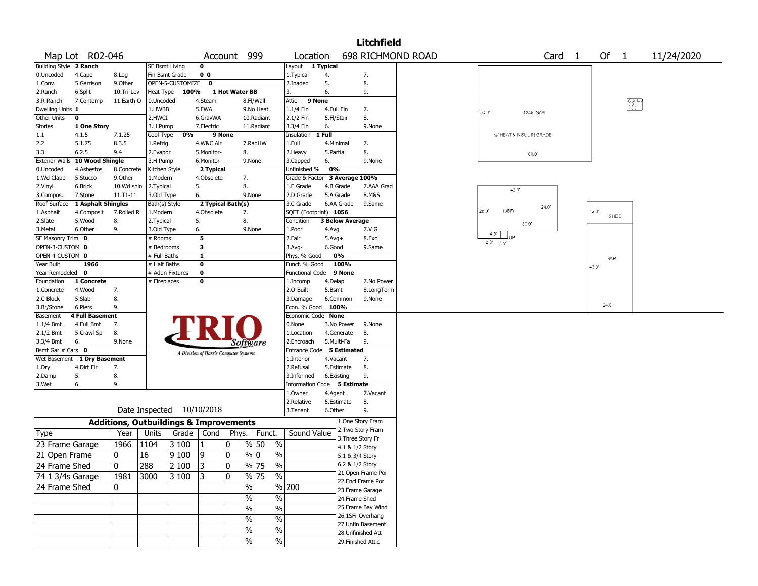|                             |                        |                                                   |                           |                  |                                       |                |                                   |                               |            |                                    | <b>Litchfield</b>  |                   |              |                         |                   |               |                           |            |
|-----------------------------|------------------------|---------------------------------------------------|---------------------------|------------------|---------------------------------------|----------------|-----------------------------------|-------------------------------|------------|------------------------------------|--------------------|-------------------|--------------|-------------------------|-------------------|---------------|---------------------------|------------|
|                             | Map Lot R02-046        |                                                   |                           |                  | Account                               |                | 999                               | Location                      |            |                                    |                    | 698 RICHMOND ROAD |              |                         | Card <sub>1</sub> | Of 1          |                           | 11/24/2020 |
| Building Style 2 Ranch      |                        |                                                   | <b>SF Bsmt Living</b>     |                  | 0                                     |                |                                   | Layout                        | 1 Typical  |                                    |                    |                   |              |                         |                   |               |                           |            |
| 0.Uncoded                   | 4.Cape                 | 8.Log                                             | Fin Bsmt Grade            |                  | 0 <sub>0</sub>                        |                |                                   | 1. Typical                    | 4.         |                                    | 7.                 |                   |              |                         |                   |               |                           |            |
| 1.Conv.                     | 5.Garrison             | 9.0ther                                           |                           | OPEN-5-CUSTOMIZE | 0                                     |                |                                   | 2.Inadeq                      | 5.         |                                    | 8.                 |                   |              |                         |                   |               |                           |            |
| 2.Ranch                     | 6.Split                | 10.Tri-Lev                                        | Heat Type                 | 100%             |                                       | 1 Hot Water BB |                                   | 3.                            | 6.         |                                    | 9.                 |                   |              |                         |                   |               |                           |            |
| 3.R Ranch                   | 7.Contemp              | 11.Earth O                                        | 0.Uncoded                 |                  | 4.Steam                               |                | 8.Fl/Wall                         | Attic                         | 9 None     |                                    |                    |                   |              |                         |                   |               | PV SHE.<br>  6.0<br>  8.0 |            |
| Dwelling Units 1            |                        |                                                   | 1.HWBB                    |                  | 5.FWA                                 |                | 9.No Heat                         | 1.1/4 Fin                     | 4.Full Fin |                                    | 7.                 |                   | $50.0^\circ$ | 13/4s GAR               |                   |               |                           |            |
| Other Units                 | 0                      |                                                   | 2.HWCI                    |                  | 6.GravWA                              |                | 10.Radiant                        | 2.1/2 Fin                     | 5.Fl/Stair |                                    | 8.                 |                   |              |                         |                   |               |                           |            |
| Stories                     | 1 One Story            |                                                   | 3.H Pump                  |                  | 7.Electric                            |                | 11.Radiant                        | 3.3/4 Fin                     | 6.         |                                    | 9.None             |                   |              |                         |                   |               |                           |            |
| 1.1                         | 4.1.5                  | 7.1.25                                            | Cool Type                 | 0%               |                                       | 9 None         |                                   | Insulation                    | 1 Full     |                                    |                    |                   |              | W HEAT & INSUL IN GRADE |                   |               |                           |            |
| 2.2                         | 5.1.75                 | 8.3.5                                             | 1.Refrig                  |                  | 4.W&C Air                             |                | 7.RadHW                           | 1.Full                        | 4.Minimal  |                                    | 7.                 |                   |              |                         |                   |               |                           |            |
| 3.3                         | 6.2.5                  | 9.4                                               | 2.Evapor                  |                  | 5.Monitor-                            |                | 8.                                | 2.Heavy                       | 5.Partial  |                                    | 8.                 |                   |              | 60.0                    |                   |               |                           |            |
| <b>Exterior Walls</b>       | 10 Wood Shingle        |                                                   | 3.H Pump                  |                  | 6.Monitor-                            |                | 9.None                            | 3.Capped                      | 6.         |                                    | 9.None             |                   |              |                         |                   |               |                           |            |
| 0.Uncoded                   | 4.Asbestos             | 8.Concrete                                        | Kitchen Style             |                  | 2 Typical                             |                |                                   | Unfinished %                  | 0%         |                                    |                    |                   |              |                         |                   |               |                           |            |
| 1.Wd Clapb                  | 5.Stucco               | 9.Other                                           | 1.Modern                  |                  | 4.Obsolete                            |                | 7.                                | Grade & Factor 3 Average 100% |            |                                    |                    |                   |              |                         |                   |               |                           |            |
| 2.Vinyl                     | 6.Brick                | 10.Wd shin                                        | 2.Typical                 |                  | 5.                                    |                | 8.                                | 1.E Grade                     | 4.B Grade  |                                    | 7.AAA Grad         |                   |              | 42.0                    |                   |               |                           |            |
| 3.Compos.                   | 7.Stone                | 11.T1-11                                          | 3.Old Type                |                  | 6.                                    |                | 9.None                            | 2.D Grade                     | 5.A Grade  |                                    | 8.M&S              |                   |              |                         |                   |               |                           |            |
| Roof Surface                | 1 Asphalt Shingles     |                                                   | Bath(s) Style             |                  | 2 Typical Bath(s)                     |                |                                   | 3.C Grade                     |            | 6.AA Grade                         | 9.Same             |                   |              |                         | 24.0'             |               |                           |            |
| 1.Asphalt                   | 4.Composit             | 7.Rolled R                                        | 1.Modern                  |                  | 4.Obsolete                            |                | 7.                                | SQFT (Footprint) 1056         |            |                                    |                    |                   | 28.0'        | 1sBFr                   |                   | 12.0"<br>SHED |                           |            |
| 2.Slate                     | 5.Wood                 | 8.                                                | 2. Typical                |                  | 5.                                    |                | 8.                                | Condition                     |            | <b>3 Below Average</b>             |                    |                   |              | 30.0                    |                   |               |                           |            |
| 3.Metal                     | 6.Other                | 9.                                                | 3.Old Type                |                  | 6.                                    |                | 9.None                            | 1.Poor                        | 4.Avg      |                                    | 7.V G              |                   | 4.0'         |                         |                   |               |                           |            |
| SF Masonry Trim 0           |                        |                                                   | # Rooms                   |                  | 5                                     |                |                                   | 2.Fair                        | $5.Avg+$   |                                    | 8.Exc              |                   | $12.0'$ 4.0' | Jop                     |                   |               |                           |            |
| OPEN-3-CUSTOM 0             |                        |                                                   | # Bedrooms                |                  | 3                                     |                |                                   | 3.Avg-                        | 6.Good     |                                    | 9.Same             |                   |              |                         |                   |               |                           |            |
| OPEN-4-CUSTOM 0             |                        |                                                   | # Full Baths              |                  | $\mathbf{1}$                          |                |                                   | Phys. % Good                  |            | 0%                                 |                    |                   |              |                         |                   | GAR           |                           |            |
| Year Built                  | 1966                   |                                                   | # Half Baths              |                  | $\bf{0}$                              |                |                                   | Funct. % Good                 |            | 100%                               |                    |                   |              |                         |                   | 46.0          |                           |            |
| Year Remodeled              | $\mathbf 0$            |                                                   | # Addn Fixtures           |                  | $\mathbf 0$                           |                |                                   | <b>Functional Code</b>        |            | 9 None                             |                    |                   |              |                         |                   |               |                           |            |
| Foundation                  | 1 Concrete             |                                                   | # Fireplaces              |                  | 0                                     |                |                                   | 1.Incomp                      | 4.Delap    |                                    | 7.No Power         |                   |              |                         |                   |               |                           |            |
| 1.Concrete                  | 4.Wood                 | 7.                                                |                           |                  |                                       |                |                                   | 2.O-Built                     | 5.Bsmt     |                                    | 8.LongTerm         |                   |              |                         |                   |               |                           |            |
| 2.C Block                   | 5.Slab                 | 8.                                                |                           |                  |                                       |                |                                   | 3.Damage                      |            | 6.Common                           | 9.None             |                   |              |                         |                   | 24.0'         |                           |            |
| 3.Br/Stone                  | 6.Piers                | 9.                                                |                           |                  |                                       |                |                                   | Econ. % Good                  | 100%       |                                    |                    |                   |              |                         |                   |               |                           |            |
| Basement                    | <b>4 Full Basement</b> |                                                   |                           |                  |                                       |                |                                   | Economic Code None            |            |                                    |                    |                   |              |                         |                   |               |                           |            |
| 1.1/4 Bmt                   | 4.Full Bmt             | 7.                                                |                           |                  |                                       |                |                                   | 0.None                        |            | 3.No Power                         | 9.None             |                   |              |                         |                   |               |                           |            |
| 2.1/2 Bmt                   | 5.Crawl Sp             | 8.                                                |                           |                  |                                       |                |                                   | 1.Location                    |            | 4.Generate                         | 8.                 |                   |              |                         |                   |               |                           |            |
| 3.3/4 Bmt                   | 6.                     | 9.None                                            |                           |                  |                                       |                | Software                          | 2.Encroach                    | 5.Multi-Fa |                                    | 9.                 |                   |              |                         |                   |               |                           |            |
| Bsmt Gar $#$ Cars $\bullet$ |                        |                                                   |                           |                  | A Division of Harris Computer Systems |                |                                   | Entrance Code 5 Estimated     |            |                                    |                    |                   |              |                         |                   |               |                           |            |
| Wet Basement                | 1 Dry Basement         |                                                   |                           |                  |                                       |                |                                   | 1.Interior                    | 4.Vacant   |                                    | 7.                 |                   |              |                         |                   |               |                           |            |
| 1.Dry                       | 4.Dirt Flr             | 7.                                                |                           |                  |                                       |                |                                   | 2.Refusal                     |            | 5.Estimate                         | 8.                 |                   |              |                         |                   |               |                           |            |
| 2.Damp                      | 5.                     | 8.                                                |                           |                  |                                       |                |                                   | 3.Informed                    | 6.Existing |                                    | 9.                 |                   |              |                         |                   |               |                           |            |
| 3.Wet                       | 6.                     | 9.                                                |                           |                  |                                       |                |                                   | Information Code 5 Estimate   |            |                                    |                    |                   |              |                         |                   |               |                           |            |
|                             |                        |                                                   |                           |                  |                                       |                |                                   | 1.Owner                       | 4.Agent    |                                    | 7.Vacant           |                   |              |                         |                   |               |                           |            |
|                             |                        |                                                   |                           |                  |                                       |                |                                   | 2.Relative                    |            | 5.Estimate                         | 8.                 |                   |              |                         |                   |               |                           |            |
|                             |                        |                                                   | Date Inspected 10/10/2018 |                  |                                       |                |                                   | 3.Tenant                      | 6.Other    |                                    | 9.                 |                   |              |                         |                   |               |                           |            |
|                             |                        | <b>Additions, Outbuildings &amp; Improvements</b> |                           |                  |                                       |                |                                   |                               |            |                                    | 1.One Story Fram   |                   |              |                         |                   |               |                           |            |
| Type                        |                        | Year                                              | Units                     | Grade            | Cond                                  |                | Phys.   Funct.                    | Sound Value                   |            |                                    | 2. Two Story Fram  |                   |              |                         |                   |               |                           |            |
| 23 Frame Garage             |                        | 1966                                              | 1104                      | 3 100            | 1                                     | 10             | % 50<br>$\%$                      |                               |            |                                    | 3. Three Story Fr  |                   |              |                         |                   |               |                           |            |
| 21 Open Frame               |                        | 0                                                 | 16                        | 9 100            | 9                                     | 10             | % 0<br>$\%$                       |                               |            |                                    | 4.1 & 1/2 Story    |                   |              |                         |                   |               |                           |            |
|                             |                        |                                                   |                           |                  |                                       |                |                                   |                               |            | 5.1 & 3/4 Story<br>6.2 & 1/2 Story |                    |                   |              |                         |                   |               |                           |            |
| 24 Frame Shed               |                        | 10                                                | 288                       | 2 100            | 13                                    | ١o             | $\frac{9}{6}$ 75<br>$\frac{0}{0}$ |                               |            |                                    | 21.Open Frame Por  |                   |              |                         |                   |               |                           |            |
| 74 1 3/4s Garage            |                        | 1981 3000                                         |                           | 3100             | 13                                    | 10             | % 75<br>$\%$                      |                               |            |                                    | 22.Encl Frame Por  |                   |              |                         |                   |               |                           |            |
| 24 Frame Shed               |                        | 10                                                |                           |                  |                                       |                | $\sqrt{6}$                        | % 200                         |            |                                    | 23.Frame Garage    |                   |              |                         |                   |               |                           |            |
|                             |                        |                                                   |                           |                  |                                       |                | $\%$<br>$\%$                      |                               |            | 24.Frame Shed                      |                    |                   |              |                         |                   |               |                           |            |
|                             |                        |                                                   |                           |                  |                                       |                |                                   |                               |            |                                    | 25.Frame Bay Wind  |                   |              |                         |                   |               |                           |            |
|                             |                        |                                                   |                           |                  |                                       |                | $\overline{\frac{0}{6}}$<br>$\%$  |                               |            |                                    | 26.1SFr Overhang   |                   |              |                         |                   |               |                           |            |
|                             |                        |                                                   |                           |                  |                                       |                | $\%$<br>$\%$                      |                               |            |                                    | 27.Unfin Basement  |                   |              |                         |                   |               |                           |            |
|                             |                        |                                                   |                           |                  |                                       |                | $\%$<br>$\%$                      |                               |            |                                    | 28.Unfinished Att  |                   |              |                         |                   |               |                           |            |
|                             |                        |                                                   |                           |                  |                                       |                | %<br>%                            |                               |            |                                    | 29. Finished Attic |                   |              |                         |                   |               |                           |            |
|                             |                        |                                                   |                           |                  |                                       |                |                                   |                               |            |                                    |                    |                   |              |                         |                   |               |                           |            |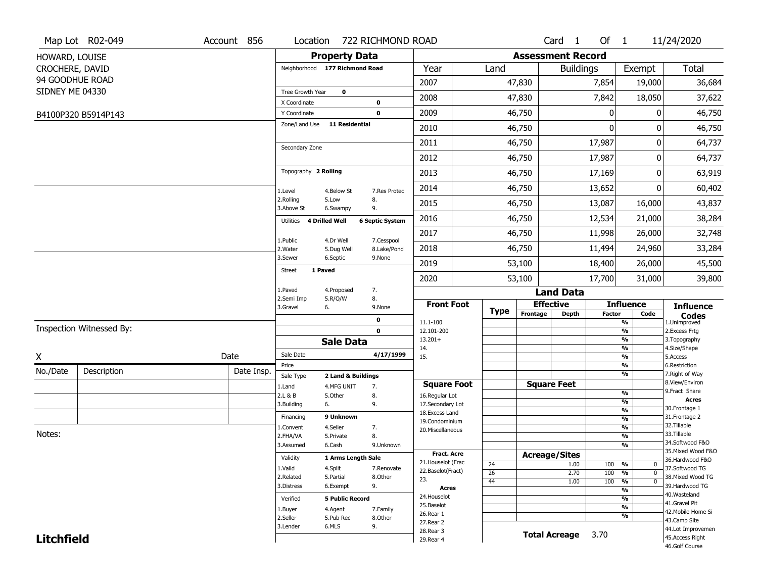|                   | Map Lot R02-049          | Account 856 | Location                       |                         | 722 RICHMOND ROAD         |                          |                 |                          | Card <sub>1</sub>    | Of 1          |                                | 11/24/2020                        |
|-------------------|--------------------------|-------------|--------------------------------|-------------------------|---------------------------|--------------------------|-----------------|--------------------------|----------------------|---------------|--------------------------------|-----------------------------------|
| HOWARD, LOUISE    |                          |             |                                | <b>Property Data</b>    |                           |                          |                 | <b>Assessment Record</b> |                      |               |                                |                                   |
| CROCHERE, DAVID   |                          |             | Neighborhood 177 Richmond Road |                         |                           | Year                     | Land            |                          | <b>Buildings</b>     |               | Exempt                         | <b>Total</b>                      |
|                   | 94 GOODHUE ROAD          |             |                                |                         |                           | 2007                     |                 | 47,830                   |                      | 7,854         | 19,000                         | 36,684                            |
| SIDNEY ME 04330   |                          |             | Tree Growth Year               | $\mathbf 0$             |                           |                          |                 |                          |                      |               |                                |                                   |
|                   |                          |             | X Coordinate                   |                         | 0                         | 2008                     |                 | 47,830                   |                      | 7,842         | 18,050                         | 37,622                            |
|                   | B4100P320 B5914P143      |             | Y Coordinate                   |                         | 0                         | 2009                     |                 | 46,750                   |                      | 0             | 0                              | 46,750                            |
|                   |                          |             | Zone/Land Use                  | <b>11 Residential</b>   |                           | 2010                     |                 | 46,750                   |                      | $\mathbf{0}$  | 0                              | 46,750                            |
|                   |                          |             | Secondary Zone                 |                         |                           | 2011                     |                 | 46,750                   |                      | 17,987        | 0                              | 64,737                            |
|                   |                          |             |                                |                         |                           | 2012                     |                 | 46,750                   |                      | 17,987        | 0                              | 64,737                            |
|                   |                          |             | Topography 2 Rolling           |                         |                           | 2013                     |                 | 46,750                   |                      | 17,169        | 0                              | 63,919                            |
|                   |                          |             | 1.Level                        | 4.Below St              | 7.Res Protec              | 2014                     |                 | 46,750                   |                      | 13,652        | 0                              | 60,402                            |
|                   |                          |             | 2.Rolling<br>3.Above St        | 5.Low<br>6.Swampy       | 8.<br>9.                  | 2015                     |                 | 46,750                   |                      | 13,087        | 16,000                         | 43,837                            |
|                   |                          |             | Utilities 4 Drilled Well       |                         | <b>6 Septic System</b>    | 2016                     |                 | 46,750                   |                      | 12,534        | 21,000                         | 38,284                            |
|                   |                          |             |                                |                         |                           | 2017                     |                 | 46,750                   |                      | 11,998        | 26,000                         | 32,748                            |
|                   |                          |             | 1.Public<br>2. Water           | 4.Dr Well<br>5.Dug Well | 7.Cesspool<br>8.Lake/Pond | 2018                     |                 | 46,750                   |                      | 11,494        | 24,960                         | 33,284                            |
|                   |                          |             | 3.Sewer                        | 6.Septic                | 9.None                    | 2019                     |                 | 53,100                   |                      | 18,400        | 26,000                         | 45,500                            |
|                   |                          |             | 1 Paved<br>Street              |                         |                           | 2020                     |                 | 53,100                   |                      | 17,700        | 31,000                         | 39,800                            |
|                   |                          |             | 1.Paved                        | 4.Proposed              | 7.                        |                          |                 |                          | <b>Land Data</b>     |               |                                |                                   |
|                   |                          |             | 2.Semi Imp<br>3.Gravel         | 5.R/O/W<br>6.           | 8.<br>9.None              | <b>Front Foot</b>        |                 |                          | <b>Effective</b>     |               | <b>Influence</b>               | <b>Influence</b>                  |
|                   |                          |             |                                |                         | 0                         | 11.1-100                 | <b>Type</b>     | Frontage                 | <b>Depth</b>         | <b>Factor</b> | Code<br>%                      | <b>Codes</b><br>1.Unimproved      |
|                   | Inspection Witnessed By: |             |                                |                         | $\mathbf 0$               | 12.101-200               |                 |                          |                      |               | $\frac{9}{6}$                  | 2.Excess Frtg                     |
|                   |                          |             |                                | <b>Sale Data</b>        |                           | $13.201+$<br>14.         |                 |                          |                      |               | %<br>$\frac{9}{6}$             | 3. Topography<br>4.Size/Shape     |
| X                 |                          | Date        | Sale Date                      |                         | 4/17/1999                 | 15.                      |                 |                          |                      |               | %                              | 5.Access                          |
| No./Date          | Description              | Date Insp.  | Price                          |                         |                           |                          |                 |                          |                      |               | %                              | 6.Restriction                     |
|                   |                          |             | Sale Type                      | 2 Land & Buildings      |                           | <b>Square Foot</b>       |                 |                          | <b>Square Feet</b>   |               | %                              | 7. Right of Way<br>8.View/Environ |
|                   |                          |             | 1.Land<br>2.L & B              | 4.MFG UNIT<br>5.Other   | 7.<br>8.                  | 16.Regular Lot           |                 |                          |                      |               | $\frac{9}{6}$                  | 9.Fract Share                     |
|                   |                          |             | 3.Building                     | 6.                      | 9.                        | 17.Secondary Lot         |                 |                          |                      |               | %                              | <b>Acres</b>                      |
|                   |                          |             | Financing                      | 9 Unknown               |                           | 18. Excess Land          |                 |                          |                      |               | $\frac{9}{6}$<br>$\frac{9}{6}$ | 30. Frontage 1<br>31. Frontage 2  |
|                   |                          |             | 1.Convent                      | 4.Seller                | 7.                        | 19.Condominium           |                 |                          |                      |               | $\frac{9}{6}$                  | 32.Tillable                       |
| Notes:            |                          |             | 2.FHA/VA                       | 5.Private               | 8.                        | 20.Miscellaneous         |                 |                          |                      |               | $\frac{9}{6}$                  | 33.Tillable                       |
|                   |                          |             | 3.Assumed                      | 6.Cash                  | 9.Unknown                 |                          |                 |                          |                      |               | %                              | 34.Softwood F&O                   |
|                   |                          |             | Validity                       | 1 Arms Length Sale      |                           | <b>Fract. Acre</b>       |                 |                          | <b>Acreage/Sites</b> |               |                                | 35. Mixed Wood F&O                |
|                   |                          |             | 1.Valid                        | 4.Split                 | 7.Renovate                | 21. Houselot (Frac       | 24              |                          | 1.00                 | 100           | %<br>0                         | 36.Hardwood F&O<br>37.Softwood TG |
|                   |                          |             | 2.Related                      | 5.Partial               | 8.Other                   | 22.Baselot(Fract)<br>23. | $\overline{26}$ |                          | 2.70                 | 100           | $\overline{0}$<br>%            | 38. Mixed Wood TG                 |
|                   |                          |             | 3.Distress                     | 6.Exempt                | 9.                        | <b>Acres</b>             | 44              |                          | 1.00                 | 100           | $\overline{0}$<br>%            | 39.Hardwood TG                    |
|                   |                          |             | Verified                       | <b>5 Public Record</b>  |                           | 24. Houselot             |                 |                          |                      |               | $\frac{9}{6}$<br>%             | 40. Wasteland                     |
|                   |                          |             |                                |                         |                           | 25.Baselot               |                 |                          |                      |               | $\frac{9}{6}$                  | 41.Gravel Pit                     |
|                   |                          |             | 1.Buyer<br>2.Seller            | 4.Agent<br>5.Pub Rec    | 7.Family<br>8.Other       | 26.Rear 1                |                 |                          |                      |               | %                              | 42. Mobile Home Si                |
|                   |                          |             | 3.Lender                       | 6.MLS                   | 9.                        | 27.Rear 2                |                 |                          |                      |               |                                | 43.Camp Site<br>44.Lot Improvemen |
| <b>Litchfield</b> |                          |             |                                |                         |                           | 28.Rear 3                |                 |                          | <b>Total Acreage</b> | 3.70          |                                | 45.Access Right                   |
|                   |                          |             |                                |                         |                           | 29. Rear 4               |                 |                          |                      |               |                                | 46.Golf Course                    |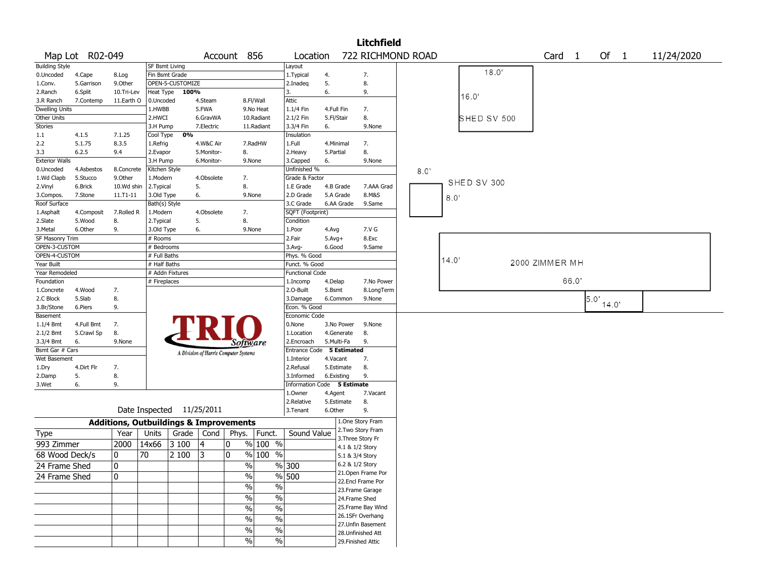|                       |                 |            |               |                           |            |                                                   |                          |                           |            | Litchfield         |      |       |             |                   |      |                                                    |            |
|-----------------------|-----------------|------------|---------------|---------------------------|------------|---------------------------------------------------|--------------------------|---------------------------|------------|--------------------|------|-------|-------------|-------------------|------|----------------------------------------------------|------------|
|                       | Map Lot R02-049 |            |               |                           |            | Account 856                                       |                          | Location                  |            | 722 RICHMOND ROAD  |      |       |             | Card <sub>1</sub> |      | Of 1                                               | 11/24/2020 |
| <b>Building Style</b> |                 |            |               | SF Bsmt Living            |            |                                                   |                          | Layout                    |            |                    |      |       |             |                   |      |                                                    |            |
| 0.Uncoded             | 4.Cape          | 8.Log      |               | Fin Bsmt Grade            |            |                                                   |                          | 1. Typical                | 4.         | 7.                 |      |       | 18.0'       |                   |      |                                                    |            |
| 1.Conv.               | 5.Garrison      | 9.0ther    |               | OPEN-5-CUSTOMIZE          |            |                                                   |                          | 2.Inadeq                  | 5.         | 8.                 |      |       |             |                   |      |                                                    |            |
| 2.Ranch               | 6.Split         | 10.Tri-Lev | Heat Type     | 100%                      |            |                                                   |                          | 3.                        | 6.         | 9.                 |      |       | 16.0        |                   |      |                                                    |            |
| 3.R Ranch             | 7.Contemp       | 11.Earth O | 0.Uncoded     |                           | 4.Steam    |                                                   | 8.Fl/Wall                | <b>Attic</b>              |            |                    |      |       |             |                   |      |                                                    |            |
| <b>Dwelling Units</b> |                 |            | 1.HWBB        |                           | 5.FWA      |                                                   | 9.No Heat                | 1.1/4 Fin                 | 4.Full Fin | 7.                 |      |       |             |                   |      |                                                    |            |
| Other Units           |                 |            | 2.HWCI        |                           | 6.GravWA   |                                                   | 10.Radiant               | 2.1/2 Fin                 | 5.Fl/Stair | 8.                 |      |       | SHED SV 500 |                   |      |                                                    |            |
| Stories               |                 |            | 3.H Pump      |                           | 7.Electric |                                                   | 11.Radiant               | 3.3/4 Fin                 | 6.         | 9.None             |      |       |             |                   |      |                                                    |            |
| 1.1                   | 4.1.5           | 7.1.25     | Cool Type     | 0%                        |            |                                                   |                          | Insulation                |            |                    |      |       |             |                   |      |                                                    |            |
| 2.2                   | 5.1.75          | 8.3.5      | 1.Refrig      |                           | 4.W&C Air  |                                                   | 7.RadHW                  | 1.Full                    | 4.Minimal  | 7.                 |      |       |             |                   |      |                                                    |            |
| 3.3                   | 6.2.5           | 9.4        | 2.Evapor      |                           | 5.Monitor- | 8.                                                |                          | 2.Heavy                   | 5.Partial  | 8.                 |      |       |             |                   |      |                                                    |            |
| <b>Exterior Walls</b> |                 |            | 3.H Pump      |                           | 6.Monitor- |                                                   | 9.None                   | 3.Capped                  | 6.         | 9.None             |      |       |             |                   |      |                                                    |            |
| 0.Uncoded             | 4.Asbestos      | 8.Concrete | Kitchen Style |                           |            |                                                   |                          | Unfinished %              |            |                    | 8.0' |       |             |                   |      |                                                    |            |
| 1.Wd Clapb            | 5.Stucco        | 9.0ther    | 1.Modern      |                           | 4.Obsolete | 7.                                                |                          | Grade & Factor            |            |                    |      |       |             |                   |      |                                                    |            |
| 2.Vinyl               | 6.Brick         | 10.Wd shin | 2.Typical     |                           | 5.         | 8.                                                |                          | 1.E Grade                 | 4.B Grade  | 7.AAA Grad         |      |       | SHED SV 300 |                   |      |                                                    |            |
| 3.Compos.             | 7.Stone         | 11.T1-11   | 3.Old Type    |                           | 6.         |                                                   | 9.None                   | 2.D Grade                 | 5.A Grade  | 8.M&S              |      | 8.0'  |             |                   |      |                                                    |            |
| Roof Surface          |                 |            | Bath(s) Style |                           |            |                                                   |                          | 3.C Grade                 | 6.AA Grade | 9.Same             |      |       |             |                   |      |                                                    |            |
| 1.Asphalt             | 4.Composit      | 7.Rolled R | 1.Modern      |                           | 4.Obsolete | 7.                                                |                          | SQFT (Footprint)          |            |                    |      |       |             |                   |      |                                                    |            |
| 2.Slate               | 5.Wood          | 8.         | 2. Typical    |                           | 5.         | 8.                                                |                          | Condition                 |            |                    |      |       |             |                   |      |                                                    |            |
| 3. Metal              | 6.Other         | 9.         | 3.Old Type    |                           | 6.         |                                                   | 9.None                   | 1.Poor                    | 4.Avg      | 7.V G              |      |       |             |                   |      |                                                    |            |
| SF Masonry Trim       |                 |            | $#$ Rooms     |                           |            |                                                   |                          | 2.Fair                    | $5.Avg+$   | 8.Exc              |      |       |             |                   |      |                                                    |            |
| OPEN-3-CUSTOM         |                 |            | # Bedrooms    |                           |            |                                                   |                          | $3.$ Avg-                 | 6.Good     | 9.Same             |      |       |             |                   |      |                                                    |            |
| OPEN-4-CUSTOM         |                 |            | # Full Baths  |                           |            |                                                   |                          | Phys. % Good              |            |                    |      |       |             |                   |      |                                                    |            |
| Year Built            |                 |            | # Half Baths  |                           |            |                                                   |                          | Funct. % Good             |            |                    |      | 14.0' |             | 2000 ZIMMER MH    |      |                                                    |            |
| Year Remodeled        |                 |            |               | # Addn Fixtures           |            |                                                   |                          | <b>Functional Code</b>    |            |                    |      |       |             |                   |      |                                                    |            |
| Foundation            |                 |            | # Fireplaces  |                           |            |                                                   |                          | 1.Incomp                  | 4.Delap    | 7.No Power         |      |       |             |                   | 66.0 |                                                    |            |
| 1.Concrete            | 4.Wood          | 7.         |               |                           |            |                                                   |                          | 2.O-Built                 | 5.Bsmt     | 8.LongTerm         |      |       |             |                   |      |                                                    |            |
| 2.C Block             | 5.Slab          | 8.         |               |                           |            |                                                   |                          | 3.Damage                  | 6.Common   | 9.None             |      |       |             |                   |      | $\begin{bmatrix} 5 & 0 \\ 1 & 4 & 0 \end{bmatrix}$ |            |
| 3.Br/Stone            | 6.Piers         | 9.         |               |                           |            |                                                   |                          | Econ. % Good              |            |                    |      |       |             |                   |      |                                                    |            |
| Basement              |                 |            |               |                           |            |                                                   |                          | Economic Code             |            |                    |      |       |             |                   |      |                                                    |            |
| 1.1/4 Bmt             | 4.Full Bmt      | 7.         |               |                           |            |                                                   |                          | 0.None                    | 3.No Power | 9.None             |      |       |             |                   |      |                                                    |            |
| 2.1/2 Bmt             | 5.Crawl Sp      | 8.         |               |                           |            |                                                   |                          | 1.Location                | 4.Generate | 8.                 |      |       |             |                   |      |                                                    |            |
| 3.3/4 Bmt             | 6.              | 9.None     |               |                           |            | Software                                          |                          | 2.Encroach                | 5.Multi-Fa | 9.                 |      |       |             |                   |      |                                                    |            |
| Bsmt Gar # Cars       |                 |            |               |                           |            |                                                   |                          | Entrance Code 5 Estimated |            |                    |      |       |             |                   |      |                                                    |            |
| Wet Basement          |                 |            |               |                           |            | A Division of Harris Computer Systems             |                          | 1.Interior                | 4.Vacant   | 7.                 |      |       |             |                   |      |                                                    |            |
| 1.Dry                 | 4.Dirt Flr      | 7.         |               |                           |            |                                                   |                          | 2.Refusal                 | 5.Estimate | 8.                 |      |       |             |                   |      |                                                    |            |
| 2.Damp                | 5.              | 8.         |               |                           |            |                                                   |                          | 3.Informed                | 6.Existing | 9.                 |      |       |             |                   |      |                                                    |            |
| 3.Wet                 | 6.              | 9.         |               |                           |            |                                                   |                          | <b>Information Code</b>   |            | 5 Estimate         |      |       |             |                   |      |                                                    |            |
|                       |                 |            |               |                           |            |                                                   |                          | 1.Owner                   | 4.Agent    | 7.Vacant           |      |       |             |                   |      |                                                    |            |
|                       |                 |            |               |                           |            |                                                   |                          | 2.Relative                | 5.Estimate | 8.                 |      |       |             |                   |      |                                                    |            |
|                       |                 |            |               | Date Inspected 11/25/2011 |            |                                                   |                          | 3. Tenant                 | 6.Other    | 9.                 |      |       |             |                   |      |                                                    |            |
|                       |                 |            |               |                           |            |                                                   |                          |                           |            | 1.One Story Fram   |      |       |             |                   |      |                                                    |            |
|                       |                 |            |               |                           |            | <b>Additions, Outbuildings &amp; Improvements</b> |                          |                           |            | 2. Two Story Fram  |      |       |             |                   |      |                                                    |            |
| Type                  |                 | Year       | Units         | Grade                     | Cond       | Phys.                                             | Funct.                   | Sound Value               |            | 3. Three Story Fr  |      |       |             |                   |      |                                                    |            |
| 993 Zimmer            |                 | 2000       | 14x66         | 3 100                     | $\vert 4$  | 0                                                 | % 100 %                  |                           |            | 4.1 & 1/2 Story    |      |       |             |                   |      |                                                    |            |
| 68 Wood Deck/s        |                 | 10         | 70            | 2 100                     | 3          | $\mathbf 0$                                       | % 100 %                  |                           |            | 5.1 & 3/4 Story    |      |       |             |                   |      |                                                    |            |
| 24 Frame Shed         |                 | 0          |               |                           |            | $\frac{0}{0}$                                     |                          | %300                      |            | 6.2 & 1/2 Story    |      |       |             |                   |      |                                                    |            |
|                       |                 |            |               |                           |            |                                                   |                          |                           |            | 21.Open Frame Por  |      |       |             |                   |      |                                                    |            |
| 24 Frame Shed         |                 | 10         |               |                           |            | $\frac{0}{0}$                                     |                          | $\frac{9}{6}$ 500         |            | 22.Encl Frame Por  |      |       |             |                   |      |                                                    |            |
|                       |                 |            |               |                           |            | $\frac{9}{6}$                                     | $\overline{\frac{0}{0}}$ |                           |            | 23. Frame Garage   |      |       |             |                   |      |                                                    |            |
|                       |                 |            |               |                           |            | $\sqrt{6}$                                        | $\overline{\frac{0}{0}}$ |                           |            | 24.Frame Shed      |      |       |             |                   |      |                                                    |            |
|                       |                 |            |               |                           |            | $\frac{0}{6}$                                     | $\overline{\frac{0}{0}}$ |                           |            | 25.Frame Bay Wind  |      |       |             |                   |      |                                                    |            |
|                       |                 |            |               |                           |            |                                                   |                          |                           |            | 26.1SFr Overhang   |      |       |             |                   |      |                                                    |            |
|                       |                 |            |               |                           |            | %                                                 | $\%$                     |                           |            | 27.Unfin Basement  |      |       |             |                   |      |                                                    |            |
|                       |                 |            |               |                           |            | $\%$                                              | $\%$                     |                           |            | 28.Unfinished Att  |      |       |             |                   |      |                                                    |            |
|                       |                 |            |               |                           |            | $\sqrt{6}$                                        | $\%$                     |                           |            | 29. Finished Attic |      |       |             |                   |      |                                                    |            |
|                       |                 |            |               |                           |            |                                                   |                          |                           |            |                    |      |       |             |                   |      |                                                    |            |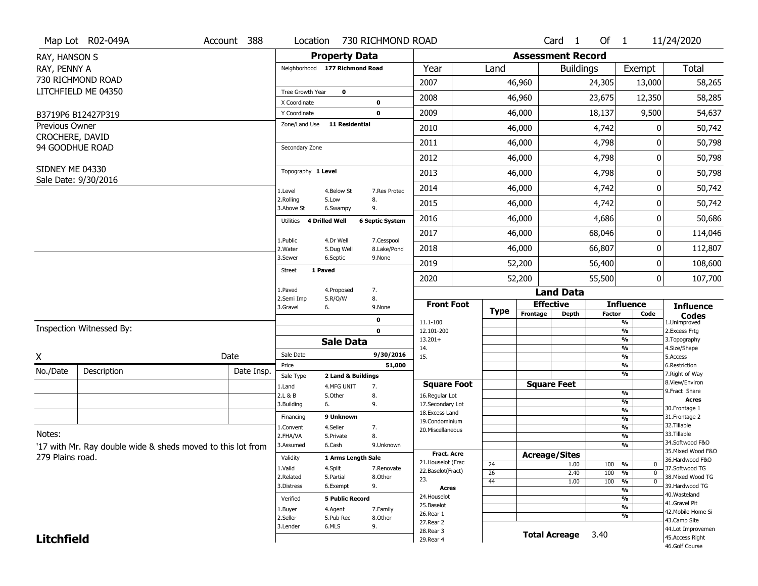|                                    | Map Lot R02-049A                                            | Account 388 | Location                       |                                  | 730 RICHMOND ROAD      |                                          |                       |                          | Card 1               | Of $1$        |                          | 11/24/2020                          |
|------------------------------------|-------------------------------------------------------------|-------------|--------------------------------|----------------------------------|------------------------|------------------------------------------|-----------------------|--------------------------|----------------------|---------------|--------------------------|-------------------------------------|
| RAY, HANSON S                      |                                                             |             |                                | <b>Property Data</b>             |                        |                                          |                       | <b>Assessment Record</b> |                      |               |                          |                                     |
| RAY, PENNY A                       |                                                             |             | Neighborhood 177 Richmond Road |                                  |                        | Year                                     | Land                  |                          | <b>Buildings</b>     |               | Exempt                   | <b>Total</b>                        |
|                                    | 730 RICHMOND ROAD                                           |             |                                |                                  |                        | 2007                                     |                       | 46,960                   |                      | 24,305        | 13,000                   | 58,265                              |
|                                    | LITCHFIELD ME 04350                                         |             | Tree Growth Year               | $\mathbf 0$                      |                        |                                          |                       |                          |                      |               |                          |                                     |
|                                    |                                                             |             | X Coordinate                   |                                  | 0                      | 2008                                     |                       | 46,960                   |                      | 23,675        | 12,350                   | 58,285                              |
|                                    | B3719P6 B12427P319                                          |             | Y Coordinate                   |                                  | 0                      | 2009                                     |                       | 46,000                   |                      | 18,137        | 9,500                    | 54,637                              |
| <b>Previous Owner</b>              |                                                             |             | Zone/Land Use                  | <b>11 Residential</b>            |                        | 2010                                     |                       | 46,000                   |                      | 4,742         | O                        | 50,742                              |
| CROCHERE, DAVID<br>94 GOODHUE ROAD |                                                             |             | Secondary Zone                 |                                  |                        | 2011                                     |                       | 46,000                   |                      | 4,798         | O                        | 50,798                              |
|                                    |                                                             |             |                                |                                  |                        | 2012                                     |                       | 46,000                   |                      | 4,798         | 0                        | 50,798                              |
| SIDNEY ME 04330                    |                                                             |             | Topography 1 Level             |                                  |                        | 2013                                     |                       | 46,000                   |                      | 4,798         | 0                        | 50,798                              |
|                                    | Sale Date: 9/30/2016                                        |             | 1.Level                        | 4.Below St                       | 7.Res Protec           | 2014                                     |                       | 46,000                   |                      | 4,742         | 0                        | 50,742                              |
|                                    |                                                             |             | 2.Rolling<br>3.Above St        | 5.Low<br>6.Swampy                | 8.<br>9.               | 2015                                     |                       | 46,000                   |                      | 4,742         | 0                        | 50,742                              |
|                                    |                                                             |             | 4 Drilled Well<br>Utilities    |                                  | <b>6 Septic System</b> | 2016                                     |                       | 46,000                   |                      | 4,686         | 0                        | 50,686                              |
|                                    |                                                             |             | 1.Public                       | 4.Dr Well                        | 7.Cesspool             | 2017                                     |                       | 46,000                   |                      | 68,046        | 0                        | 114,046                             |
|                                    |                                                             |             | 2. Water                       | 5.Dug Well                       | 8.Lake/Pond            | 2018                                     |                       | 46,000                   |                      | 66,807        | 0                        | 112,807                             |
|                                    |                                                             |             | 3.Sewer                        | 6.Septic                         | 9.None                 | 2019                                     |                       | 52,200                   |                      | 56,400        | 0                        | 108,600                             |
|                                    |                                                             |             | 1 Paved<br><b>Street</b>       |                                  |                        | 2020                                     |                       | 52,200                   |                      | 55,500        | 0                        | 107,700                             |
|                                    |                                                             |             | 1.Paved                        | 4.Proposed                       | 7.                     |                                          |                       |                          | <b>Land Data</b>     |               |                          |                                     |
|                                    |                                                             |             | 2.Semi Imp<br>3.Gravel<br>6.   | 5.R/O/W                          | 8.<br>9.None           | <b>Front Foot</b>                        | <b>Type</b>           |                          | <b>Effective</b>     |               | <b>Influence</b>         | <b>Influence</b>                    |
|                                    |                                                             |             |                                |                                  | 0                      | 11.1-100                                 |                       | Frontage                 | <b>Depth</b>         | <b>Factor</b> | Code<br>%                | <b>Codes</b><br>1.Unimproved        |
|                                    | Inspection Witnessed By:                                    |             |                                |                                  | $\mathbf 0$            | 12.101-200                               |                       |                          |                      |               | %                        | 2. Excess Frtg                      |
|                                    |                                                             |             |                                | <b>Sale Data</b>                 |                        | $13.201+$<br>14.                         |                       |                          |                      |               | %<br>$\frac{9}{6}$       | 3. Topography<br>4.Size/Shape       |
| X                                  |                                                             | Date        | Sale Date                      |                                  | 9/30/2016              | 15.                                      |                       |                          |                      |               | %                        | 5.Access                            |
| No./Date                           | Description                                                 | Date Insp.  | Price                          |                                  | 51,000                 |                                          |                       |                          |                      |               | $\frac{9}{6}$<br>%       | 6.Restriction<br>7. Right of Way    |
|                                    |                                                             |             | Sale Type<br>1.Land            | 2 Land & Buildings<br>4.MFG UNIT | 7.                     | <b>Square Foot</b>                       |                       |                          | <b>Square Feet</b>   |               |                          | 8.View/Environ                      |
|                                    |                                                             |             | 2.L & B                        | 5.Other                          | 8.                     | 16.Regular Lot                           |                       |                          |                      |               | $\frac{9}{6}$            | 9. Fract Share                      |
|                                    |                                                             |             | 3.Building<br>6.               |                                  | 9.                     | 17.Secondary Lot                         |                       |                          |                      |               | %<br>$\frac{9}{6}$       | <b>Acres</b><br>30. Frontage 1      |
|                                    |                                                             |             | Financing                      | 9 Unknown                        |                        | 18. Excess Land<br>19.Condominium        |                       |                          |                      |               | $\frac{9}{6}$            | 31. Frontage 2                      |
|                                    |                                                             |             | 1.Convent                      | 4.Seller                         | 7.                     | 20.Miscellaneous                         |                       |                          |                      |               | $\frac{9}{6}$            | 32. Tillable                        |
| Notes:                             |                                                             |             | 2.FHA/VA                       | 5.Private                        | 8.                     |                                          |                       |                          |                      |               | $\frac{9}{6}$            | 33.Tillable<br>34.Softwood F&O      |
|                                    | '17 with Mr. Ray double wide & sheds moved to this lot from |             | 3.Assumed                      | 6.Cash                           | 9.Unknown              |                                          |                       |                          |                      |               | %                        | 35. Mixed Wood F&O                  |
| 279 Plains road.                   |                                                             |             | Validity                       | 1 Arms Length Sale               |                        | <b>Fract. Acre</b><br>21. Houselot (Frac |                       |                          | <b>Acreage/Sites</b> |               |                          | 36.Hardwood F&O                     |
|                                    |                                                             |             | 1.Valid                        | 4.Split                          | 7.Renovate             | 22.Baselot(Fract)                        | 24<br>$\overline{26}$ |                          | 1.00                 | 100           | %<br>0<br>$\overline{0}$ | 37.Softwood TG                      |
|                                    |                                                             |             | 2.Related                      | 5.Partial                        | 8.Other                | 23.                                      | 44                    |                          | 2.40<br>1.00         | 100<br>100    | %<br>$\overline{0}$<br>% | 38. Mixed Wood TG                   |
|                                    |                                                             |             | 3.Distress                     | 6.Exempt                         | 9.                     | <b>Acres</b>                             |                       |                          |                      |               | $\frac{9}{6}$            | 39.Hardwood TG                      |
|                                    |                                                             |             | Verified                       | <b>5 Public Record</b>           |                        | 24. Houselot                             |                       |                          |                      |               | %                        | 40. Wasteland                       |
|                                    |                                                             |             | 1.Buyer                        | 4.Agent                          | 7.Family               | 25.Baselot                               |                       |                          |                      |               | $\frac{9}{6}$            | 41.Gravel Pit<br>42. Mobile Home Si |
|                                    |                                                             |             | 2.Seller                       | 5.Pub Rec                        | 8.Other                | 26.Rear 1                                |                       |                          |                      |               | %                        | 43.Camp Site                        |
|                                    |                                                             |             |                                |                                  |                        |                                          |                       |                          |                      |               |                          |                                     |
|                                    |                                                             |             | 3.Lender                       | 6.MLS                            | 9.                     | 27.Rear 2                                |                       |                          |                      |               |                          | 44.Lot Improvemen                   |
| <b>Litchfield</b>                  |                                                             |             |                                |                                  |                        | 28.Rear 3<br>29. Rear 4                  |                       |                          | <b>Total Acreage</b> | 3.40          |                          | 45.Access Right<br>46.Golf Course   |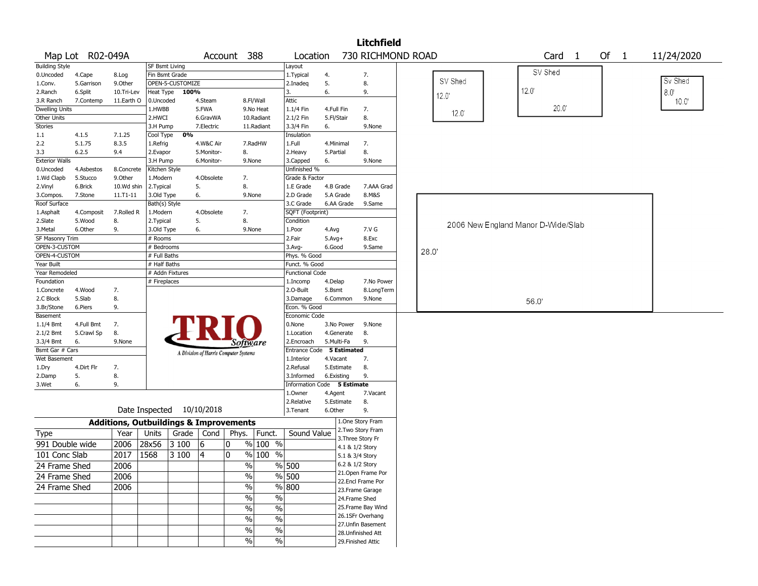|                        |                  |                                                   |                |                  |                                       |             |                                  |                         |              |                                    | <b>Litchfield</b>                      |      |         |                                    |      |                   |  |        |            |
|------------------------|------------------|---------------------------------------------------|----------------|------------------|---------------------------------------|-------------|----------------------------------|-------------------------|--------------|------------------------------------|----------------------------------------|------|---------|------------------------------------|------|-------------------|--|--------|------------|
|                        | Map Lot R02-049A |                                                   |                |                  |                                       | Account 388 |                                  | Location                |              |                                    | 730 RICHMOND ROAD                      |      |         |                                    |      | Card <sub>1</sub> |  | Of $1$ | 11/24/2020 |
| <b>Building Style</b>  |                  |                                                   | SF Bsmt Living |                  |                                       |             |                                  | Layout                  |              |                                    |                                        |      |         |                                    |      |                   |  |        |            |
| 0.Uncoded              | 4.Cape           | 8.Log                                             | Fin Bsmt Grade |                  |                                       |             |                                  | 1. Typical              | 4.           |                                    | 7.                                     |      |         |                                    |      | SV Shed           |  |        |            |
| 1.Conv.                | 5.Garrison       | 9.0ther                                           |                | OPEN-5-CUSTOMIZE |                                       |             |                                  | 2.Inadeq                | 5.           |                                    | 8.                                     |      | SV Shed |                                    |      |                   |  |        | Sv Shed    |
| 2.Ranch                | 6.Split          | 10.Tri-Lev                                        | Heat Type      | 100%             |                                       |             |                                  | 3.                      | 6.           |                                    | 9.                                     |      | 12.0    |                                    | 12.0 |                   |  |        | 8.0        |
| 3.R Ranch              | 7.Contemp        | 11.Earth O                                        | 0.Uncoded      |                  | 4.Steam                               |             | 8.Fl/Wall                        | Attic                   |              |                                    |                                        |      |         |                                    |      |                   |  |        | 10.0'      |
| <b>Dwelling Units</b>  |                  |                                                   | 1.HWBB         |                  | 5.FWA                                 |             | 9.No Heat                        | 1.1/4 Fin               | 4.Full Fin   |                                    | 7.                                     |      | 12.0    |                                    |      | $20.0^{\circ}$    |  |        |            |
| Other Units            |                  |                                                   | 2.HWCI         |                  | 6.GravWA                              |             | 10.Radiant                       | 2.1/2 Fin               | 5.Fl/Stair   |                                    | 8.                                     |      |         |                                    |      |                   |  |        |            |
| <b>Stories</b>         |                  |                                                   | 3.H Pump       |                  | 7.Electric                            |             | 11.Radiant                       | 3.3/4 Fin               | 6.           |                                    | 9.None                                 |      |         |                                    |      |                   |  |        |            |
| 1.1                    | 4.1.5            | 7.1.25                                            | Cool Type      | 0%               |                                       |             |                                  | Insulation              |              |                                    |                                        |      |         |                                    |      |                   |  |        |            |
| 2.2                    | 5.1.75           | 8.3.5                                             | 1.Refrig       |                  | 4.W&C Air                             |             | 7.RadHW                          | 1.Full                  | 4.Minimal    |                                    | 7.                                     |      |         |                                    |      |                   |  |        |            |
| 3.3                    | 6.2.5            | 9.4                                               | 2.Evapor       |                  | 5.Monitor-                            |             | 8.                               | 2.Heavy                 | 5.Partial    |                                    | 8.                                     |      |         |                                    |      |                   |  |        |            |
| <b>Exterior Walls</b>  |                  |                                                   | 3.H Pump       |                  | 6.Monitor-                            |             | 9.None                           | 3.Capped                | 6.           |                                    | 9.None                                 |      |         |                                    |      |                   |  |        |            |
| 0.Uncoded              | 4.Asbestos       | 8.Concrete                                        | Kitchen Style  |                  |                                       |             |                                  | Unfinished %            |              |                                    |                                        |      |         |                                    |      |                   |  |        |            |
| 1.Wd Clapb             | 5.Stucco         | 9.Other                                           | 1.Modern       |                  | 4.Obsolete                            |             | 7.                               | Grade & Factor          |              |                                    |                                        |      |         |                                    |      |                   |  |        |            |
| 2.Vinyl                | 6.Brick          | 10.Wd shin                                        | 2. Typical     |                  | 5.                                    |             | 8.                               | 1.E Grade               | 4.B Grade    |                                    | 7.AAA Grad                             |      |         |                                    |      |                   |  |        |            |
| 3.Compos.              | 7.Stone          | 11.T1-11                                          | 3.Old Type     |                  | 6.                                    |             | 9.None                           | 2.D Grade               | 5.A Grade    |                                    | 8.M&S                                  |      |         |                                    |      |                   |  |        |            |
| Roof Surface           |                  |                                                   | Bath(s) Style  |                  |                                       |             |                                  | 3.C Grade               |              | 6.AA Grade                         | 9.Same                                 |      |         |                                    |      |                   |  |        |            |
| 1.Asphalt              | 4.Composit       | 7.Rolled R                                        | 1.Modern       |                  | 4.Obsolete                            |             | 7.                               | SQFT (Footprint)        |              |                                    |                                        |      |         |                                    |      |                   |  |        |            |
| 2.Slate                | 5.Wood           | 8.                                                | 2. Typical     |                  | 5.                                    |             | 8.                               | Condition               |              |                                    |                                        |      |         | 2006 New England Manor D-Wide/Slab |      |                   |  |        |            |
| 3. Metal               | 6.Other          | 9.                                                | 3.Old Type     |                  | 6.                                    |             | 9.None                           | 1.Poor                  | 4.Avg        |                                    | 7.V G                                  |      |         |                                    |      |                   |  |        |            |
| <b>SF Masonry Trim</b> |                  |                                                   | $#$ Rooms      |                  |                                       |             |                                  | 2.Fair                  | $5.$ Avg $+$ |                                    | 8.Exc                                  |      |         |                                    |      |                   |  |        |            |
| OPEN-3-CUSTOM          |                  |                                                   | # Bedrooms     |                  |                                       |             |                                  | 3.Avg-                  | 6.Good       |                                    | 9.Same                                 | 28.0 |         |                                    |      |                   |  |        |            |
| OPEN-4-CUSTOM          |                  |                                                   | # Full Baths   |                  |                                       |             |                                  | Phys. % Good            |              |                                    |                                        |      |         |                                    |      |                   |  |        |            |
| Year Built             |                  |                                                   | # Half Baths   |                  |                                       |             |                                  | Funct. % Good           |              |                                    |                                        |      |         |                                    |      |                   |  |        |            |
| Year Remodeled         |                  |                                                   |                | # Addn Fixtures  |                                       |             |                                  | <b>Functional Code</b>  |              |                                    |                                        |      |         |                                    |      |                   |  |        |            |
| Foundation             |                  |                                                   | # Fireplaces   |                  |                                       |             |                                  | 1.Incomp                | 4.Delap      |                                    | 7.No Power                             |      |         |                                    |      |                   |  |        |            |
| 1.Concrete             | 4.Wood           | 7.                                                |                |                  |                                       |             |                                  | 2.O-Built               | 5.Bsmt       |                                    | 8.LongTerm                             |      |         |                                    |      |                   |  |        |            |
| 2.C Block              | 5.Slab           | 8.                                                |                |                  |                                       |             |                                  | 3.Damage                |              | 6.Common                           | 9.None                                 |      |         |                                    | 56.0 |                   |  |        |            |
| 3.Br/Stone             | 6.Piers          | 9.                                                |                |                  |                                       |             |                                  | Econ. % Good            |              |                                    |                                        |      |         |                                    |      |                   |  |        |            |
| Basement               |                  |                                                   |                |                  |                                       |             |                                  | Economic Code           |              |                                    |                                        |      |         |                                    |      |                   |  |        |            |
| $1.1/4$ Bmt            | 4.Full Bmt       | 7.                                                |                |                  |                                       |             |                                  | 0.None                  |              | 3.No Power                         | 9.None                                 |      |         |                                    |      |                   |  |        |            |
| 2.1/2 Bmt              | 5.Crawl Sp       | 8.                                                |                |                  |                                       |             |                                  | 1.Location              |              | 4.Generate                         | 8.                                     |      |         |                                    |      |                   |  |        |            |
| 3.3/4 Bmt              | 6.               | 9.None                                            |                |                  |                                       |             | Software                         | 2.Encroach              | 5.Multi-Fa   |                                    | 9.                                     |      |         |                                    |      |                   |  |        |            |
| Bsmt Gar # Cars        |                  |                                                   |                |                  | A Division of Harris Computer Systems |             |                                  | Entrance Code           |              | 5 Estimated                        |                                        |      |         |                                    |      |                   |  |        |            |
| Wet Basement           |                  |                                                   |                |                  |                                       |             |                                  | 1.Interior              | 4.Vacant     |                                    | 7.                                     |      |         |                                    |      |                   |  |        |            |
| 1.Dry                  | 4.Dirt Flr       | 7.                                                |                |                  |                                       |             |                                  | 2.Refusal               |              | 5.Estimate                         | 8.                                     |      |         |                                    |      |                   |  |        |            |
| 2.Damp                 | 5.               | 8.                                                |                |                  |                                       |             |                                  | 3.Informed              | 6.Existing   |                                    | 9.                                     |      |         |                                    |      |                   |  |        |            |
| 3.Wet                  | 6.               | 9.                                                |                |                  |                                       |             |                                  | <b>Information Code</b> |              | 5 Estimate                         |                                        |      |         |                                    |      |                   |  |        |            |
|                        |                  |                                                   |                |                  |                                       |             |                                  | 1.Owner                 | 4.Agent      |                                    | 7.Vacant                               |      |         |                                    |      |                   |  |        |            |
|                        |                  |                                                   |                |                  |                                       |             |                                  | 2.Relative              |              | 5.Estimate                         | 8.                                     |      |         |                                    |      |                   |  |        |            |
|                        |                  |                                                   | Date Inspected |                  | 10/10/2018                            |             |                                  | 3.Tenant                | 6.Other      |                                    | 9.                                     |      |         |                                    |      |                   |  |        |            |
|                        |                  | <b>Additions, Outbuildings &amp; Improvements</b> |                |                  |                                       |             |                                  |                         |              |                                    | 1.One Story Fram                       |      |         |                                    |      |                   |  |        |            |
| Type                   |                  | Year                                              | Units          | Grade            | Cond                                  | Phys.       | Funct.                           | Sound Value             |              |                                    | 2. Two Story Fram<br>3. Three Story Fr |      |         |                                    |      |                   |  |        |            |
| 991 Double wide        |                  | 2006                                              | 28x56          | 3 100            | 6                                     | 10          | % 100 %                          |                         |              |                                    |                                        |      |         |                                    |      |                   |  |        |            |
| 101 Conc Slab          |                  | 2017                                              | 1568           | 3 100            | 14                                    | 0           | % 100<br>$\%$                    |                         |              | 4.1 & 1/2 Story<br>5.1 & 3/4 Story |                                        |      |         |                                    |      |                   |  |        |            |
|                        |                  |                                                   |                |                  |                                       |             |                                  |                         |              | 6.2 & 1/2 Story                    |                                        |      |         |                                    |      |                   |  |        |            |
| 24 Frame Shed          |                  | 2006                                              |                |                  |                                       |             | $\%$                             | % 500                   |              |                                    | 21. Open Frame Por                     |      |         |                                    |      |                   |  |        |            |
| 24 Frame Shed          |                  | 2006                                              |                |                  |                                       |             | $\%$                             | % 500                   |              |                                    | 22.Encl Frame Por                      |      |         |                                    |      |                   |  |        |            |
| 24 Frame Shed          |                  | 2006                                              |                |                  |                                       |             | $\frac{1}{2}$                    | $\sqrt{800}$            |              |                                    | 23. Frame Garage                       |      |         |                                    |      |                   |  |        |            |
|                        |                  |                                                   |                |                  |                                       |             | $\overline{\frac{0}{6}}$<br>$\%$ |                         |              | 24.Frame Shed                      |                                        |      |         |                                    |      |                   |  |        |            |
|                        |                  |                                                   |                |                  |                                       |             | $\frac{1}{2}$<br>$\%$            |                         |              |                                    | 25. Frame Bay Wind                     |      |         |                                    |      |                   |  |        |            |
|                        |                  |                                                   |                |                  |                                       |             |                                  |                         |              |                                    | 26.1SFr Overhang                       |      |         |                                    |      |                   |  |        |            |
|                        |                  |                                                   |                |                  |                                       |             | $\frac{0}{0}$<br>$\%$            |                         |              |                                    | 27.Unfin Basement                      |      |         |                                    |      |                   |  |        |            |
|                        |                  |                                                   |                |                  |                                       |             | $\%$<br>$\%$                     |                         |              |                                    | 28. Unfinished Att                     |      |         |                                    |      |                   |  |        |            |
|                        |                  |                                                   |                |                  |                                       |             | $\frac{1}{2}$<br>$\%$            |                         |              |                                    | 29. Finished Attic                     |      |         |                                    |      |                   |  |        |            |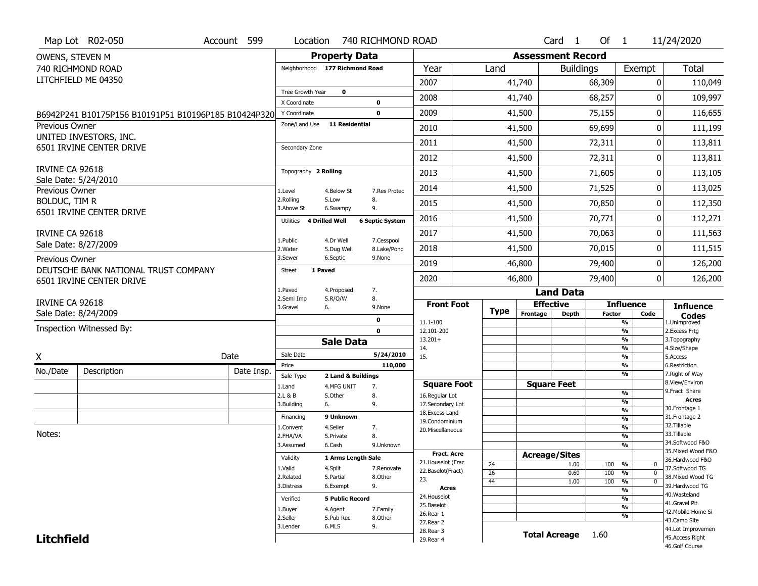| <b>Property Data</b><br><b>Assessment Record</b><br>OWENS, STEVEN M<br>740 RICHMOND ROAD<br>Year<br>Exempt<br>Neighborhood 177 Richmond Road<br>Land<br><b>Buildings</b><br>LITCHFIELD ME 04350<br>2007<br>41,740<br>68,309<br>$\mathbf{0}$<br>$\mathbf 0$<br>Tree Growth Year<br>2008<br>68,257<br>41,740<br>0<br>X Coordinate<br>$\mathbf 0$<br>2009<br>0<br>41,500<br>75,155<br>$\mathbf 0$<br>Y Coordinate | <b>Total</b><br>110,049<br>109,997  |
|----------------------------------------------------------------------------------------------------------------------------------------------------------------------------------------------------------------------------------------------------------------------------------------------------------------------------------------------------------------------------------------------------------------|-------------------------------------|
|                                                                                                                                                                                                                                                                                                                                                                                                                |                                     |
|                                                                                                                                                                                                                                                                                                                                                                                                                |                                     |
|                                                                                                                                                                                                                                                                                                                                                                                                                |                                     |
|                                                                                                                                                                                                                                                                                                                                                                                                                |                                     |
|                                                                                                                                                                                                                                                                                                                                                                                                                |                                     |
| B6942P241 B10175P156 B10191P51 B10196P185 B10424P320<br>Zone/Land Use<br><b>11 Residential</b>                                                                                                                                                                                                                                                                                                                 | 116,655                             |
| Previous Owner<br>69,699<br>2010<br>0<br>41,500<br>UNITED INVESTORS, INC.                                                                                                                                                                                                                                                                                                                                      | 111,199                             |
| 2011<br>41,500<br>72,311<br>0<br>6501 IRVINE CENTER DRIVE<br>Secondary Zone                                                                                                                                                                                                                                                                                                                                    | 113,811                             |
| 2012<br>41,500<br>72,311<br>0                                                                                                                                                                                                                                                                                                                                                                                  | 113,811                             |
| <b>IRVINE CA 92618</b><br>Topography 2 Rolling<br>2013<br>41,500<br>71,605<br>0                                                                                                                                                                                                                                                                                                                                | 113,105                             |
| Sale Date: 5/24/2010<br>2014<br>41,500<br>71,525<br>0<br>Previous Owner<br>1.Level<br>4.Below St<br>7.Res Protec                                                                                                                                                                                                                                                                                               | 113,025                             |
| 2.Rolling<br>5.Low<br>8.<br>BOLDUC, TIM R<br>2015<br>41,500<br>70,850<br>0<br>3.Above St<br>9.<br>6.Swampy                                                                                                                                                                                                                                                                                                     | 112,350                             |
| 6501 IRVINE CENTER DRIVE<br>2016<br>70,771<br>0<br>41,500<br><b>4 Drilled Well</b><br><b>6 Septic System</b><br>Utilities                                                                                                                                                                                                                                                                                      | 112,271                             |
| 2017<br>41,500<br>70,063<br>0<br>IRVINE CA 92618                                                                                                                                                                                                                                                                                                                                                               | 111,563                             |
| 1.Public<br>4.Dr Well<br>7.Cesspool<br>Sale Date: 8/27/2009<br>2018<br>41,500<br>70,015<br>0<br>2. Water<br>5.Dug Well<br>8.Lake/Pond                                                                                                                                                                                                                                                                          | 111,515                             |
| 3.Sewer<br>6.Septic<br>9.None<br>Previous Owner<br>2019<br>79,400<br>46,800<br>0                                                                                                                                                                                                                                                                                                                               | 126,200                             |
| DEUTSCHE BANK NATIONAL TRUST COMPANY<br>1 Paved<br><b>Street</b><br>0<br>2020<br>46,800<br>79,400<br>6501 IRVINE CENTER DRIVE                                                                                                                                                                                                                                                                                  | 126,200                             |
| 1.Paved<br>7.<br>4.Proposed<br><b>Land Data</b>                                                                                                                                                                                                                                                                                                                                                                |                                     |
| 8.<br>2.Semi Imp<br>5.R/O/W<br>IRVINE CA 92618<br><b>Effective</b><br><b>Front Foot</b><br><b>Influence</b><br>3.Gravel<br>6.<br>9.None                                                                                                                                                                                                                                                                        | <b>Influence</b>                    |
| <b>Type</b><br>Sale Date: 8/24/2009<br>Frontage<br><b>Depth</b><br><b>Factor</b><br>Code<br>0                                                                                                                                                                                                                                                                                                                  | <b>Codes</b>                        |
| 11.1-100<br>%<br>1.Unimproved<br>Inspection Witnessed By:<br>$\mathbf{0}$<br>$\overline{\frac{9}{6}}$<br>2.Excess Frtg<br>12.101-200                                                                                                                                                                                                                                                                           |                                     |
| $\overline{\frac{9}{6}}$<br>$13.201+$<br>3. Topography<br><b>Sale Data</b>                                                                                                                                                                                                                                                                                                                                     |                                     |
| $\overline{\frac{9}{6}}$<br>4.Size/Shape<br>14.<br>Sale Date<br>5/24/2010<br>Date<br>X<br>15.<br>$\overline{\frac{9}{6}}$<br>5.Access                                                                                                                                                                                                                                                                          |                                     |
| 110,000<br>%<br>6.Restriction<br>Price                                                                                                                                                                                                                                                                                                                                                                         |                                     |
| No./Date<br>Description<br>Date Insp.<br>%<br>Sale Type<br>2 Land & Buildings                                                                                                                                                                                                                                                                                                                                  | 7. Right of Way                     |
| <b>Square Feet</b><br><b>Square Foot</b><br>1.Land<br>4.MFG UNIT<br>7.<br>9. Fract Share<br>$\frac{9}{6}$                                                                                                                                                                                                                                                                                                      | 8.View/Environ                      |
| 2.L & B<br>5.Other<br>8.<br>16.Regular Lot<br>$\overline{\frac{9}{6}}$<br>3.Building<br>9.<br>17.Secondary Lot<br>6.                                                                                                                                                                                                                                                                                           | <b>Acres</b>                        |
| 30. Frontage 1<br>$\frac{9}{6}$<br>18. Excess Land<br>9 Unknown                                                                                                                                                                                                                                                                                                                                                |                                     |
| 31. Frontage 2<br>Financing<br>$\frac{9}{6}$<br>19.Condominium<br>32.Tillable<br>$\frac{9}{6}$                                                                                                                                                                                                                                                                                                                 |                                     |
| 4.Seller<br>7.<br>L.Convent<br>20.Miscellaneous<br>Notes:<br>33.Tillable<br>$\frac{9}{6}$<br>2.FHA/VA<br>5.Private<br>8.                                                                                                                                                                                                                                                                                       |                                     |
| $\overline{\frac{9}{6}}$<br>3.Assumed<br>6.Cash<br>9.Unknown                                                                                                                                                                                                                                                                                                                                                   | 34.Softwood F&O                     |
| Fract. Acre<br><b>Acreage/Sites</b><br>Validity                                                                                                                                                                                                                                                                                                                                                                | 35. Mixed Wood F&O                  |
| 1 Arms Length Sale<br>21. Houselot (Frac<br>24<br>1.00<br>100<br>%<br>0                                                                                                                                                                                                                                                                                                                                        | 36.Hardwood F&O                     |
| 1.Valid<br>4.Split<br>7.Renovate<br>22.Baselot(Fract)<br>26<br>0.60<br>100<br>%<br>$\Omega$<br>2.Related<br>5.Partial<br>8.Other                                                                                                                                                                                                                                                                               | 37.Softwood TG<br>38. Mixed Wood TG |
| 23.<br>100<br>44<br>1.00<br>%<br>0<br>9.<br>3.Distress<br>6.Exempt                                                                                                                                                                                                                                                                                                                                             | 39.Hardwood TG                      |
| <b>Acres</b><br>$\overline{\frac{9}{6}}$<br>40. Wasteland                                                                                                                                                                                                                                                                                                                                                      |                                     |
| 24. Houselot<br>%<br>Verified<br><b>5 Public Record</b><br>41.Gravel Pit<br>25.Baselot                                                                                                                                                                                                                                                                                                                         |                                     |
| $\frac{9}{6}$<br>4.Agent<br>7.Family<br>1.Buyer<br>26.Rear 1<br>%                                                                                                                                                                                                                                                                                                                                              | 42. Mobile Home Si                  |
| 2.Seller<br>5.Pub Rec<br>8.Other<br>43.Camp Site<br>27.Rear 2                                                                                                                                                                                                                                                                                                                                                  |                                     |
| 6.MLS<br>9.<br>3.Lender<br>28. Rear 3<br><b>Total Acreage</b><br>1.60                                                                                                                                                                                                                                                                                                                                          | 44.Lot Improvemen                   |
| <b>Litchfield</b><br>29. Rear 4<br>46.Golf Course                                                                                                                                                                                                                                                                                                                                                              | 45.Access Right                     |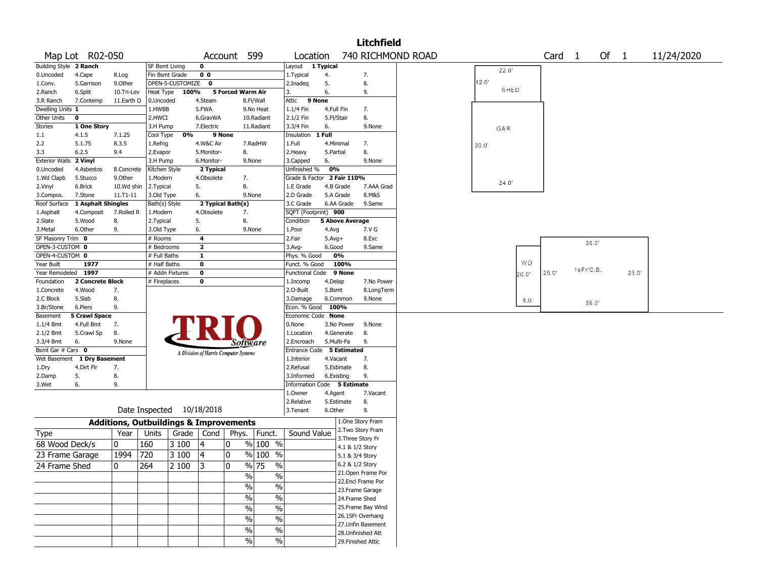|                        |                      |               |                                                   |                  |                         |                                       |                             |                             |            |                        | <b>Litchfield</b>  |                   |       |       |               |                   |           |        |       |            |
|------------------------|----------------------|---------------|---------------------------------------------------|------------------|-------------------------|---------------------------------------|-----------------------------|-----------------------------|------------|------------------------|--------------------|-------------------|-------|-------|---------------|-------------------|-----------|--------|-------|------------|
|                        | Map Lot R02-050      |               |                                                   |                  | Account                 |                                       | 599                         | Location                    |            |                        |                    | 740 RICHMOND ROAD |       |       |               | Card <sub>1</sub> |           | Of $1$ |       | 11/24/2020 |
| Building Style 2 Ranch |                      |               | SF Bsmt Living                                    |                  | 0                       |                                       |                             | Layout                      | 1 Typical  |                        |                    |                   |       |       |               |                   |           |        |       |            |
| 0.Uncoded              | 4.Cape               | 8.Log         | Fin Bsmt Grade                                    |                  | 0 <sub>0</sub>          |                                       |                             | 1. Typical                  | 4.         |                        | 7.                 |                   |       | 22.0' |               |                   |           |        |       |            |
| 1.Conv.                | 5.Garrison           | 9.Other       |                                                   | OPEN-5-CUSTOMIZE | $\mathbf 0$             |                                       |                             | 2.Inadeq                    | 5.         |                        | 8.                 |                   | 12.0' |       |               |                   |           |        |       |            |
| 2.Ranch                | 6.Split              | 10.Tri-Lev    | Heat Type                                         | 100%             |                         | 5 Forced Warm Air                     |                             | 3.                          | 6.         |                        | 9.                 |                   |       | SHED  |               |                   |           |        |       |            |
| 3.R Ranch              | 7.Contemp            | 11.Earth O    | 0.Uncoded                                         |                  | 4.Steam                 |                                       | 8.Fl/Wall                   | 9 None<br>Attic             |            |                        |                    |                   |       |       |               |                   |           |        |       |            |
| Dwelling Units 1       |                      |               | 1.HWBB                                            |                  | 5.FWA                   |                                       | 9.No Heat                   | 1.1/4 Fin                   | 4.Full Fin |                        | 7.                 |                   |       |       |               |                   |           |        |       |            |
| Other Units            | 0                    |               | 2.HWCI                                            |                  | 6.GravWA                |                                       | 10.Radiant                  | 2.1/2 Fin                   | 5.Fl/Stair |                        | 8.                 |                   |       |       |               |                   |           |        |       |            |
| Stories                | 1 One Story          |               | 3.H Pump                                          |                  | 7.Electric              |                                       | 11.Radiant                  | 3.3/4 Fin                   | 6.         |                        | 9.None             |                   |       | GAR   |               |                   |           |        |       |            |
| 1.1                    | 4.1.5                | 7.1.25        | Cool Type                                         | 0%               |                         | 9 None                                |                             | Insulation                  | 1 Full     |                        |                    |                   |       |       |               |                   |           |        |       |            |
| 2.2                    | 5.1.75               | 8.3.5         | 1.Refrig                                          |                  | 4.W&C Air               |                                       | 7.RadHW                     | 1.Full                      | 4.Minimal  |                        | 7.                 |                   | 30.0' |       |               |                   |           |        |       |            |
| 3.3                    | 6.2.5                | 9.4           | 2.Evapor                                          |                  | 5.Monitor-              | 8.                                    |                             | 2. Heavy                    | 5.Partial  |                        | 8.                 |                   |       |       |               |                   |           |        |       |            |
| Exterior Walls 2 Vinyl |                      |               | 3.H Pump                                          |                  | 6.Monitor-              | 9.None                                |                             | 3.Capped                    | 6.         |                        | 9.None             |                   |       |       |               |                   |           |        |       |            |
| 0.Uncoded              | 4.Asbestos           | 8.Concrete    | Kitchen Style                                     |                  | 2 Typical               |                                       |                             | Unfinished %                | 0%         |                        |                    |                   |       |       |               |                   |           |        |       |            |
| 1.Wd Clapb             | 5.Stucco             | 9.Other       | 1.Modern                                          |                  | 4.Obsolete              | 7.                                    |                             | Grade & Factor              |            | 2 Fair 110%            |                    |                   |       |       |               |                   |           |        |       |            |
| 2.Vinyl                | 6.Brick              | 10.Wd shin    | 2.Typical                                         |                  | 5.                      | 8.                                    |                             | 1.E Grade                   |            | 4.B Grade              | 7.AAA Grad         |                   |       | 24.0' |               |                   |           |        |       |            |
| 3.Compos.              | 7.Stone              | $11. T1 - 11$ | 3.Old Type                                        |                  | 6.                      | 9.None                                |                             | 2.D Grade                   |            | 5.A Grade              | 8.M&S              |                   |       |       |               |                   |           |        |       |            |
| Roof Surface           | 1 Asphalt Shingles   |               | Bath(s) Style                                     |                  |                         | 2 Typical Bath(s)                     |                             | 3.C Grade                   |            | 6.AA Grade             | 9.Same             |                   |       |       |               |                   |           |        |       |            |
| 1.Asphalt              | 4.Composit           | 7.Rolled R    | 1.Modern                                          |                  | 4.Obsolete              | 7.                                    |                             | SQFT (Footprint) 900        |            |                        |                    |                   |       |       |               |                   |           |        |       |            |
| 2.Slate                | 5.Wood               | 8.            | 2. Typical                                        |                  | 5.                      | 8.                                    |                             | Condition                   |            | <b>5 Above Average</b> |                    |                   |       |       |               |                   |           |        |       |            |
| 3.Metal                | 6.Other              | 9.            | 3.Old Type                                        |                  | 6.                      | 9.None                                |                             | 1.Poor                      | 4.Avg      |                        | 7.V G              |                   |       |       |               |                   |           |        |       |            |
| SF Masonry Trim 0      |                      |               | # Rooms                                           |                  | 4                       |                                       |                             | 2.Fair                      | $5.$ Avg+  |                        | 8.Exc              |                   |       |       |               |                   |           |        |       |            |
| OPEN-3-CUSTOM 0        |                      |               | # Bedrooms                                        |                  | $\mathbf{z}$            |                                       |                             | 3.Avg-                      | 6.Good     |                        | 9.Same             |                   |       |       |               |                   | 36.0'     |        |       |            |
| OPEN-4-CUSTOM 0        |                      |               | # Full Baths                                      |                  | $\mathbf 1$             |                                       |                             | Phys. % Good                |            | 0%                     |                    |                   |       |       |               |                   |           |        |       |            |
| Year Built             | 1977                 |               | # Half Baths                                      |                  | 0                       |                                       |                             | Funct. % Good               |            | 100%                   |                    |                   |       |       | WD            |                   |           |        |       |            |
| Year Remodeled 1997    |                      |               |                                                   | # Addn Fixtures  | $\overline{\mathbf{0}}$ |                                       |                             | <b>Functional Code</b>      |            | 9 None                 |                    |                   |       |       | 20.0'         | 25.0'             | 1sFr/C.S. |        | 25.0' |            |
| Foundation             | 2 Concrete Block     |               | # Fireplaces                                      |                  | 0                       |                                       |                             | 1.Incomp                    | 4.Delap    |                        | 7.No Power         |                   |       |       |               |                   |           |        |       |            |
| 1.Concrete             | 4.Wood               | 7.            |                                                   |                  |                         |                                       |                             | 2.0-Built                   | 5.Bsmt     |                        | 8.LongTerm         |                   |       |       |               |                   |           |        |       |            |
| 2.C Block              | 5.Slab               | 8.            |                                                   |                  |                         |                                       |                             | 3.Damage                    |            | 6.Common               | 9.None             |                   |       |       | $8.0^{\circ}$ |                   |           |        |       |            |
| 3.Br/Stone             | 6.Piers              | 9.            |                                                   |                  |                         |                                       |                             | Econ. % Good                | 100%       |                        |                    |                   |       |       |               |                   | 36.0'     |        |       |            |
| Basement               | <b>5 Crawl Space</b> |               |                                                   |                  |                         |                                       |                             | Economic Code None          |            |                        |                    |                   |       |       |               |                   |           |        |       |            |
| 1.1/4 Bmt              | 4.Full Bmt           | 7.            |                                                   |                  |                         |                                       |                             | 0.None                      |            | 3.No Power             | 9.None             |                   |       |       |               |                   |           |        |       |            |
| 2.1/2 Bmt              | 5.Crawl Sp           | 8.            |                                                   |                  |                         |                                       |                             | 1.Location                  |            | 4.Generate             | 8.                 |                   |       |       |               |                   |           |        |       |            |
| 3.3/4 Bmt              | 6.                   | 9.None        |                                                   |                  |                         | Software                              |                             | 2.Encroach                  |            | 5.Multi-Fa             | 9.                 |                   |       |       |               |                   |           |        |       |            |
| Bsmt Gar # Cars 0      |                      |               |                                                   |                  |                         |                                       |                             | Entrance Code 5 Estimated   |            |                        |                    |                   |       |       |               |                   |           |        |       |            |
| Wet Basement           | 1 Dry Basement       |               |                                                   |                  |                         | A Division of Harris Computer Systems |                             | 1.Interior                  | 4.Vacant   |                        | 7.                 |                   |       |       |               |                   |           |        |       |            |
| 1.Dry                  | 4.Dirt Flr           | 7.            |                                                   |                  |                         |                                       |                             | 2.Refusal                   |            | 5.Estimate             | 8.                 |                   |       |       |               |                   |           |        |       |            |
| 2.Damp                 | 5.                   | 8.            |                                                   |                  |                         |                                       |                             | 3.Informed                  | 6.Existing |                        | 9.                 |                   |       |       |               |                   |           |        |       |            |
| 3.Wet                  | 6.                   | 9.            |                                                   |                  |                         |                                       |                             | Information Code 5 Estimate |            |                        |                    |                   |       |       |               |                   |           |        |       |            |
|                        |                      |               |                                                   |                  |                         |                                       |                             | 1.Owner                     | 4.Agent    |                        | 7.Vacant           |                   |       |       |               |                   |           |        |       |            |
|                        |                      |               |                                                   |                  |                         |                                       |                             | 2.Relative                  |            | 5.Estimate             | 8.                 |                   |       |       |               |                   |           |        |       |            |
|                        |                      |               | Date Inspected 10/18/2018                         |                  |                         |                                       |                             | 3. Tenant                   | 6.Other    |                        | 9.                 |                   |       |       |               |                   |           |        |       |            |
|                        |                      |               |                                                   |                  |                         |                                       |                             |                             |            |                        |                    |                   |       |       |               |                   |           |        |       |            |
|                        |                      |               | <b>Additions, Outbuildings &amp; Improvements</b> |                  |                         |                                       |                             |                             |            |                        | 1.One Story Fram   |                   |       |       |               |                   |           |        |       |            |
| Type                   |                      | Year          | Units                                             | Grade            | Cond                    | Phys.                                 | Funct.                      | Sound Value                 |            |                        | 2.Two Story Fram   |                   |       |       |               |                   |           |        |       |            |
| 68 Wood Deck/s         |                      | 10            | 160                                               | 3 100            | 4                       | 0                                     | $\sqrt{96}$ 100 %           |                             |            |                        | 3. Three Story Fr  |                   |       |       |               |                   |           |        |       |            |
|                        |                      |               |                                                   |                  |                         |                                       | $\sqrt[6]{\frac{100}{5}}$ % |                             |            | 4.1 & 1/2 Story        |                    |                   |       |       |               |                   |           |        |       |            |
| 23 Frame Garage        |                      | 1994          | 720                                               | 3 100            | 4                       | 10                                    |                             |                             |            | 5.1 & 3/4 Story        |                    |                   |       |       |               |                   |           |        |       |            |
| 24 Frame Shed          |                      | 10            | 264                                               | 2 100            | 3                       | ١n                                    | $\frac{9}{6}$ 75<br>$\%$    |                             |            | 6.2 & 1/2 Story        |                    |                   |       |       |               |                   |           |        |       |            |
|                        |                      |               |                                                   |                  |                         | %                                     | $\frac{0}{0}$               |                             |            |                        | 21.Open Frame Por  |                   |       |       |               |                   |           |        |       |            |
|                        |                      |               |                                                   |                  |                         | $\frac{9}{6}$                         | $\%$                        |                             |            |                        | 22.Encl Frame Por  |                   |       |       |               |                   |           |        |       |            |
|                        |                      |               |                                                   |                  |                         |                                       |                             |                             |            |                        | 23. Frame Garage   |                   |       |       |               |                   |           |        |       |            |
|                        |                      |               |                                                   |                  |                         | $\%$                                  | $\frac{0}{6}$               |                             |            | 24.Frame Shed          |                    |                   |       |       |               |                   |           |        |       |            |
|                        |                      |               |                                                   |                  |                         | $\frac{0}{0}$                         | $\frac{0}{6}$               |                             |            |                        | 25. Frame Bay Wind |                   |       |       |               |                   |           |        |       |            |
|                        |                      |               |                                                   |                  |                         | $\frac{1}{2}$                         | $\frac{0}{6}$               |                             |            |                        | 26.1SFr Overhang   |                   |       |       |               |                   |           |        |       |            |
|                        |                      |               |                                                   |                  |                         |                                       |                             |                             |            |                        | 27.Unfin Basement  |                   |       |       |               |                   |           |        |       |            |
|                        |                      |               |                                                   |                  |                         | $\frac{0}{0}$                         | $\frac{1}{2}$               |                             |            |                        | 28.Unfinished Att  |                   |       |       |               |                   |           |        |       |            |
|                        |                      |               |                                                   |                  |                         | $\%$                                  | $\%$                        |                             |            |                        | 29. Finished Attic |                   |       |       |               |                   |           |        |       |            |
|                        |                      |               |                                                   |                  |                         |                                       |                             |                             |            |                        |                    |                   |       |       |               |                   |           |        |       |            |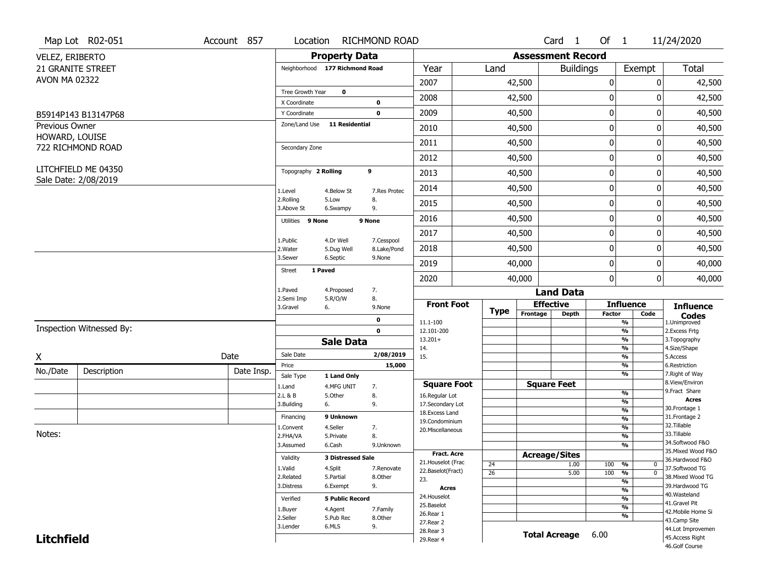|                                  | Map Lot R02-051                             | Account 857 | Location                |                                | RICHMOND ROAD |                                    |                 |                          | Card <sub>1</sub>    | Of $1$        |                                | 11/24/2020                          |
|----------------------------------|---------------------------------------------|-------------|-------------------------|--------------------------------|---------------|------------------------------------|-----------------|--------------------------|----------------------|---------------|--------------------------------|-------------------------------------|
| VELEZ, ERIBERTO                  |                                             |             |                         | <b>Property Data</b>           |               |                                    |                 | <b>Assessment Record</b> |                      |               |                                |                                     |
|                                  | <b>21 GRANITE STREET</b>                    |             |                         | Neighborhood 177 Richmond Road |               | Year                               | Land            |                          | <b>Buildings</b>     |               | Exempt                         | <b>Total</b>                        |
| <b>AVON MA 02322</b>             |                                             |             |                         |                                |               | 2007                               |                 | 42,500                   |                      | 0             |                                | 0<br>42,500                         |
|                                  |                                             |             | Tree Growth Year        | $\mathbf 0$                    |               | 2008                               |                 | 42,500                   |                      | 0             |                                | 0<br>42,500                         |
|                                  |                                             |             | X Coordinate            |                                | $\bf{0}$      |                                    |                 |                          |                      |               |                                |                                     |
|                                  | B5914P143 B13147P68                         |             | Y Coordinate            |                                | $\mathbf 0$   | 2009                               |                 | 40,500                   |                      | $\mathbf 0$   |                                | 0<br>40,500                         |
| Previous Owner<br>HOWARD, LOUISE |                                             |             | Zone/Land Use           | <b>11 Residential</b>          |               | 2010                               |                 | 40,500                   |                      | $\mathbf 0$   |                                | 40,500<br>0                         |
|                                  | 722 RICHMOND ROAD                           |             | Secondary Zone          |                                |               | 2011                               |                 | 40,500                   |                      | $\mathbf 0$   |                                | 40,500<br>0                         |
|                                  |                                             |             |                         |                                |               | 2012                               |                 | 40,500                   |                      | $\pmb{0}$     |                                | 0<br>40,500                         |
|                                  | LITCHFIELD ME 04350<br>Sale Date: 2/08/2019 |             | Topography 2 Rolling    |                                | 9             | 2013                               |                 | 40,500                   |                      | $\mathbf 0$   |                                | 40,500<br>0                         |
|                                  |                                             |             | 1.Level                 | 4.Below St                     | 7.Res Protec  | 2014                               |                 | 40,500                   |                      | 0             |                                | 0<br>40,500                         |
|                                  |                                             |             | 2.Rolling<br>3.Above St | 5.Low<br>6.Swampy              | 8.<br>9.      | 2015                               |                 | 40,500                   |                      | $\mathbf 0$   |                                | 0<br>40,500                         |
|                                  |                                             |             | Utilities 9 None        |                                | 9 None        | 2016                               |                 | 40,500                   |                      | 0             |                                | 0<br>40,500                         |
|                                  |                                             |             | 1.Public                | 4.Dr Well                      | 7.Cesspool    | 2017                               |                 | 40,500                   |                      | $\mathbf 0$   |                                | 0<br>40,500                         |
|                                  |                                             |             | 2. Water                | 5.Dug Well                     | 8.Lake/Pond   | 2018                               |                 | 40,500                   |                      | $\mathbf 0$   |                                | 40,500<br>0                         |
|                                  |                                             |             | 3.Sewer                 | 6.Septic                       | 9.None        | 2019                               |                 | 40,000                   |                      | $\mathbf 0$   |                                | 40,000<br>0                         |
|                                  |                                             |             | <b>Street</b>           | 1 Paved                        |               | 2020                               |                 | 40,000                   |                      | 0             |                                | 0<br>40,000                         |
|                                  |                                             |             | 1.Paved                 | 4.Proposed                     | 7.            |                                    |                 |                          | <b>Land Data</b>     |               |                                |                                     |
|                                  |                                             |             | 2.Semi Imp<br>3.Gravel  | 5.R/O/W<br>6.                  | 8.<br>9.None  | <b>Front Foot</b>                  |                 |                          | <b>Effective</b>     |               | <b>Influence</b>               | <b>Influence</b>                    |
|                                  |                                             |             |                         |                                | 0             | 11.1-100                           | <b>Type</b>     | Frontage                 | <b>Depth</b>         | <b>Factor</b> | Code<br>%                      | <b>Codes</b><br>1.Unimproved        |
|                                  | Inspection Witnessed By:                    |             |                         |                                | $\mathbf 0$   | 12.101-200                         |                 |                          |                      |               | $\frac{9}{6}$                  | 2.Excess Frtg                       |
|                                  |                                             |             |                         | <b>Sale Data</b>               |               | $13.201+$                          |                 |                          |                      |               | %                              | 3. Topography                       |
| Χ                                |                                             | Date        | Sale Date               |                                | 2/08/2019     | 14.<br>15.                         |                 |                          |                      |               | %<br>$\frac{9}{6}$             | 4.Size/Shape<br>5.Access            |
|                                  |                                             |             | Price                   |                                | 15,000        |                                    |                 |                          |                      |               | %                              | 6.Restriction                       |
| No./Date                         | Description                                 | Date Insp.  | Sale Type               | 1 Land Only                    |               |                                    |                 |                          |                      |               | %                              | 7. Right of Way<br>8.View/Environ   |
|                                  |                                             |             | 1.Land                  | 4.MFG UNIT                     | 7.            | <b>Square Foot</b>                 |                 |                          | <b>Square Feet</b>   |               | $\frac{9}{6}$                  | 9. Fract Share                      |
|                                  |                                             |             | 2.L & B<br>3.Building   | 5.Other<br>6.                  | 8.<br>9.      | 16.Regular Lot<br>17.Secondary Lot |                 |                          |                      |               | $\frac{9}{6}$                  | <b>Acres</b>                        |
|                                  |                                             |             |                         |                                |               | 18.Excess Land                     |                 |                          |                      |               | $\frac{9}{6}$                  | 30.Frontage 1                       |
|                                  |                                             |             | Financing               | 9 Unknown                      |               | 19.Condominium                     |                 |                          |                      |               | $\frac{9}{6}$                  | 31. Frontage 2<br>32.Tillable       |
| Notes:                           |                                             |             | 1.Convent<br>2.FHA/VA   | 4.Seller<br>5.Private          | 7.<br>8.      | 20.Miscellaneous                   |                 |                          |                      |               | $\frac{9}{6}$<br>$\frac{9}{6}$ | 33.Tillable                         |
|                                  |                                             |             | 3.Assumed               | 6.Cash                         | 9.Unknown     |                                    |                 |                          |                      |               | $\frac{9}{6}$                  | 34.Softwood F&O                     |
|                                  |                                             |             |                         |                                |               | <b>Fract. Acre</b>                 |                 | <b>Acreage/Sites</b>     |                      |               |                                | 35. Mixed Wood F&O                  |
|                                  |                                             |             | Validity                | <b>3 Distressed Sale</b>       |               | 21. Houselot (Frac                 | 24              |                          | 1.00                 | 100           | %<br>0                         | 36.Hardwood F&O                     |
|                                  |                                             |             | 1.Valid                 | 4.Split                        | 7.Renovate    | 22.Baselot(Fract)                  | $\overline{26}$ |                          | 5.00                 | 100           | $\frac{9}{6}$<br>$\mathbf 0$   | 37.Softwood TG                      |
|                                  |                                             |             | 2.Related<br>3.Distress | 5.Partial<br>6.Exempt          | 8.Other<br>9. | 23.                                |                 |                          |                      |               | $\frac{9}{6}$                  | 38. Mixed Wood TG<br>39.Hardwood TG |
|                                  |                                             |             |                         |                                |               | <b>Acres</b>                       |                 |                          |                      |               | $\frac{9}{6}$                  | 40. Wasteland                       |
|                                  |                                             |             | Verified                | <b>5 Public Record</b>         |               | 24. Houselot<br>25.Baselot         |                 |                          |                      |               | $\overline{\frac{9}{6}}$       | 41.Gravel Pit                       |
|                                  |                                             |             | 1.Buyer                 | 4.Agent                        | 7.Family      | 26.Rear 1                          |                 |                          |                      |               | $\frac{9}{6}$<br>%             | 42. Mobile Home Si                  |
|                                  |                                             |             | 2.Seller                | 5.Pub Rec                      | 8.Other       | 27.Rear 2                          |                 |                          |                      |               |                                | 43.Camp Site                        |
|                                  |                                             |             | 3.Lender                | 6.MLS                          | 9.            | 28. Rear 3                         |                 |                          | <b>Total Acreage</b> | 6.00          |                                | 44.Lot Improvemen                   |
| <b>Litchfield</b>                |                                             |             |                         |                                |               | 29. Rear 4                         |                 |                          |                      |               |                                | 45.Access Right<br>46.Golf Course   |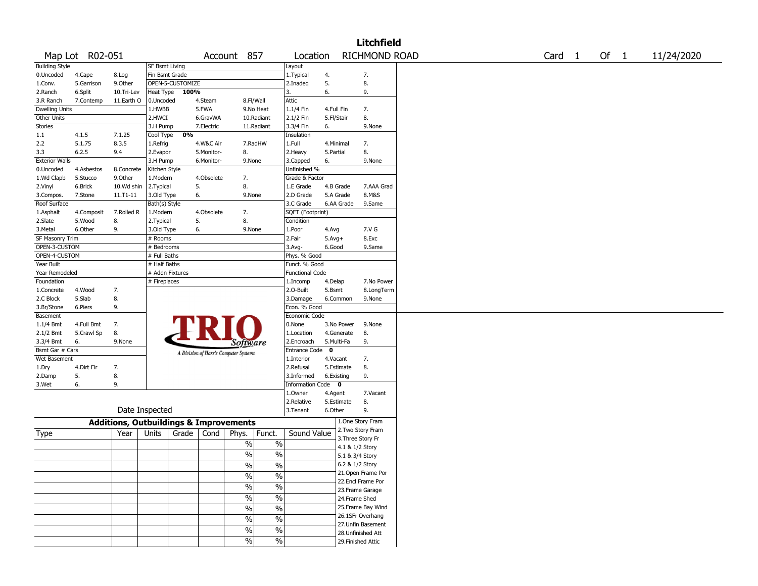|                       |                 |                                                   |                            |       |            |                                       |                          |                        |             |                   | <b>Litchfield</b>  |                   |        |            |
|-----------------------|-----------------|---------------------------------------------------|----------------------------|-------|------------|---------------------------------------|--------------------------|------------------------|-------------|-------------------|--------------------|-------------------|--------|------------|
|                       | Map Lot R02-051 |                                                   |                            |       |            | Account 857                           |                          | Location               |             |                   | RICHMOND ROAD      | Card <sub>1</sub> | Of $1$ | 11/24/2020 |
| <b>Building Style</b> |                 |                                                   | <b>SF Bsmt Living</b>      |       |            |                                       |                          | Layout                 |             |                   |                    |                   |        |            |
| 0.Uncoded             | 4.Cape          | 8.Log                                             | Fin Bsmt Grade             |       |            |                                       |                          | 1.Typical              | 4.          |                   | 7.                 |                   |        |            |
| 1.Conv.               | 5.Garrison      | 9.0ther                                           | OPEN-5-CUSTOMIZE           |       |            |                                       |                          | 2.Inadeg               | 5.          |                   | 8.                 |                   |        |            |
| 2.Ranch               | 6.Split         | 10.Tri-Lev                                        | Heat Type                  | 100%  |            |                                       |                          | 3.                     | 6.          |                   | 9.                 |                   |        |            |
| 3.R Ranch             | 7.Contemp       | 11.Earth O                                        | 0.Uncoded                  |       | 4.Steam    |                                       | 8.Fl/Wall                | Attic                  |             |                   |                    |                   |        |            |
| <b>Dwelling Units</b> |                 |                                                   | 1.HWBB                     |       | 5.FWA      |                                       | 9.No Heat                | 1.1/4 Fin              | 4.Full Fin  |                   | 7.                 |                   |        |            |
| Other Units           |                 |                                                   | 2.HWCI                     |       | 6.GravWA   |                                       | 10.Radiant               | 2.1/2 Fin              | 5.Fl/Stair  |                   | 8.                 |                   |        |            |
| Stories               |                 |                                                   | 3.H Pump                   |       | 7.Electric |                                       | 11.Radiant               | 3.3/4 Fin              | 6.          |                   | 9.None             |                   |        |            |
| 1.1                   | 4.1.5           | 7.1.25                                            | Cool Type                  | 0%    |            |                                       |                          | Insulation             |             |                   |                    |                   |        |            |
| 2.2                   | 5.1.75          | 8.3.5                                             | 1.Refrig                   |       | 4.W&C Air  |                                       | 7.RadHW                  | 1.Full                 | 4.Minimal   |                   | 7.                 |                   |        |            |
| 3.3                   | 6.2.5           | 9.4                                               | 2.Evapor                   |       | 5.Monitor- | 8.                                    |                          | 2.Heavy                | 5.Partial   |                   | 8.                 |                   |        |            |
| <b>Exterior Walls</b> |                 |                                                   | 3.H Pump                   |       | 6.Monitor- | 9.None                                |                          | 3.Capped               | 6.          |                   | 9.None             |                   |        |            |
| 0.Uncoded             | 4.Asbestos      | 8.Concrete                                        | Kitchen Style              |       |            |                                       |                          | Unfinished %           |             |                   |                    |                   |        |            |
| 1.Wd Clapb            | 5.Stucco        | 9.Other                                           | 1.Modern                   |       | 4.Obsolete | 7.                                    |                          | Grade & Factor         |             |                   |                    |                   |        |            |
| 2.Vinyl               | 6.Brick         | 10.Wd shin                                        | 2.Typical                  | 5.    |            | 8.                                    |                          | 1.E Grade              | 4.B Grade   |                   | 7.AAA Grad         |                   |        |            |
| 3.Compos.             | 7.Stone         | 11.T1-11                                          | 3.Old Type                 | 6.    |            | 9.None                                |                          | 2.D Grade              | 5.A Grade   |                   | 8.M&S              |                   |        |            |
| Roof Surface          |                 |                                                   | $\overline{Bath(s)}$ Style |       |            |                                       |                          | 3.C Grade              | 6.AA Grade  |                   | 9.Same             |                   |        |            |
| 1.Asphalt             | 4.Composit      | 7.Rolled R                                        | 1.Modern                   |       | 4.Obsolete | 7.                                    |                          | SQFT (Footprint)       |             |                   |                    |                   |        |            |
| 2.Slate               | 5.Wood          | 8.                                                | 2.Typical                  | 5.    |            | 8.                                    |                          | Condition              |             |                   |                    |                   |        |            |
| 3. Metal              | 6.Other         | 9.                                                | 3.Old Type                 | 6.    |            | 9.None                                |                          | 1.Poor                 | 4.Avg       |                   | 7.V G              |                   |        |            |
| SF Masonry Trim       |                 |                                                   | # Rooms                    |       |            |                                       |                          | 2.Fair                 | $5.Avg+$    |                   | 8.Exc              |                   |        |            |
| OPEN-3-CUSTOM         |                 |                                                   | # Bedrooms                 |       |            |                                       |                          | 3.Avg-                 | 6.Good      |                   | 9.Same             |                   |        |            |
| OPEN-4-CUSTOM         |                 |                                                   | # Full Baths               |       |            |                                       |                          | Phys. % Good           |             |                   |                    |                   |        |            |
| Year Built            |                 |                                                   | # Half Baths               |       |            |                                       |                          | Funct. % Good          |             |                   |                    |                   |        |            |
| Year Remodeled        |                 |                                                   | # Addn Fixtures            |       |            |                                       |                          | <b>Functional Code</b> |             |                   |                    |                   |        |            |
| Foundation            |                 |                                                   | # Fireplaces               |       |            |                                       |                          | 1.Incomp               | 4.Delap     |                   | 7.No Power         |                   |        |            |
| 1.Concrete            | 4.Wood          | 7.                                                |                            |       |            |                                       |                          | 2.O-Built              | 5.Bsmt      |                   | 8.LongTerm         |                   |        |            |
| 2.C Block             | 5.Slab          | 8.                                                |                            |       |            |                                       |                          | 3.Damage               | 6.Common    |                   | 9.None             |                   |        |            |
| 3.Br/Stone            | 6.Piers         | 9.                                                |                            |       |            |                                       |                          | Econ. % Good           |             |                   |                    |                   |        |            |
| Basement              |                 |                                                   |                            |       |            |                                       |                          | Economic Code          |             |                   |                    |                   |        |            |
| $1.1/4$ Bmt           | 4.Full Bmt      | 7.                                                |                            |       |            |                                       |                          | 0.None                 | 3.No Power  |                   | 9.None             |                   |        |            |
| 2.1/2 Bmt             | 5.Crawl Sp      | 8.                                                |                            |       |            |                                       |                          | 1.Location             | 4.Generate  |                   | 8.                 |                   |        |            |
| 3.3/4 Bmt             | 6.              | 9.None                                            |                            |       |            | <i>Software</i>                       |                          | 2.Encroach             | 5.Multi-Fa  |                   | 9.                 |                   |        |            |
| Bsmt Gar # Cars       |                 |                                                   |                            |       |            |                                       |                          | <b>Entrance Code</b>   | $\mathbf 0$ |                   |                    |                   |        |            |
| Wet Basement          |                 |                                                   |                            |       |            | A Division of Harris Computer Systems |                          | 1.Interior             | 4.Vacant    |                   | 7.                 |                   |        |            |
| 1.Dry                 | 4.Dirt Flr      | 7.                                                |                            |       |            |                                       |                          | 2.Refusal              | 5.Estimate  |                   | 8.                 |                   |        |            |
| 2.Damp                | 5.              | 8.                                                |                            |       |            |                                       |                          | 3.Informed             | 6.Existing  |                   | 9.                 |                   |        |            |
| 3.Wet                 | 6.              | 9.                                                |                            |       |            |                                       |                          | Information Code 0     |             |                   |                    |                   |        |            |
|                       |                 |                                                   |                            |       |            |                                       |                          | 1.0wner                | 4.Agent     |                   | 7.Vacant           |                   |        |            |
|                       |                 |                                                   |                            |       |            |                                       |                          | 2.Relative             | 5.Estimate  |                   | 8.                 |                   |        |            |
|                       |                 |                                                   | Date Inspected             |       |            |                                       |                          | 3.Tenant               | 6.Other     |                   | 9.                 |                   |        |            |
|                       |                 | <b>Additions, Outbuildings &amp; Improvements</b> |                            |       |            |                                       |                          |                        |             |                   | 1.One Story Fram   |                   |        |            |
|                       |                 |                                                   |                            |       |            |                                       |                          |                        |             |                   | 2. Two Story Fram  |                   |        |            |
| Type                  |                 | Year                                              | Units                      | Grade | Cond       | Phys.                                 | Funct.                   | Sound Value            |             | 3. Three Story Fr |                    |                   |        |            |
|                       |                 |                                                   |                            |       |            | $\%$                                  | $\%$                     |                        |             | 4.1 & 1/2 Story   |                    |                   |        |            |
|                       |                 |                                                   |                            |       |            | $\frac{0}{0}$                         | $\%$                     |                        |             | 5.1 & 3/4 Story   |                    |                   |        |            |
|                       |                 |                                                   |                            |       |            | $\frac{0}{6}$                         | $\frac{0}{6}$            |                        |             | 6.2 & 1/2 Story   |                    |                   |        |            |
|                       |                 |                                                   |                            |       |            | $\sqrt{6}$                            | $\%$                     |                        |             |                   | 21. Open Frame Por |                   |        |            |
|                       |                 |                                                   |                            |       |            |                                       |                          |                        |             |                   | 22.Encl Frame Por  |                   |        |            |
|                       |                 |                                                   |                            |       |            | $\sqrt{6}$                            | $\%$                     |                        |             |                   | 23. Frame Garage   |                   |        |            |
|                       |                 |                                                   |                            |       |            |                                       |                          |                        |             |                   |                    |                   |        |            |
|                       |                 |                                                   |                            |       |            | $\sqrt{6}$                            | $\%$                     |                        |             | 24.Frame Shed     |                    |                   |        |            |
|                       |                 |                                                   |                            |       |            |                                       |                          |                        |             |                   | 25. Frame Bay Wind |                   |        |            |
|                       |                 |                                                   |                            |       |            | $\sqrt{6}$                            | $\overline{\frac{0}{0}}$ |                        |             |                   | 26.1SFr Overhang   |                   |        |            |
|                       |                 |                                                   |                            |       |            | $\%$                                  | $\%$                     |                        |             |                   | 27.Unfin Basement  |                   |        |            |
|                       |                 |                                                   |                            |       |            | $\sqrt{6}$<br>$\frac{0}{0}$           | $\%$<br>$\%$             |                        |             |                   | 28.Unfinished Att  |                   |        |            |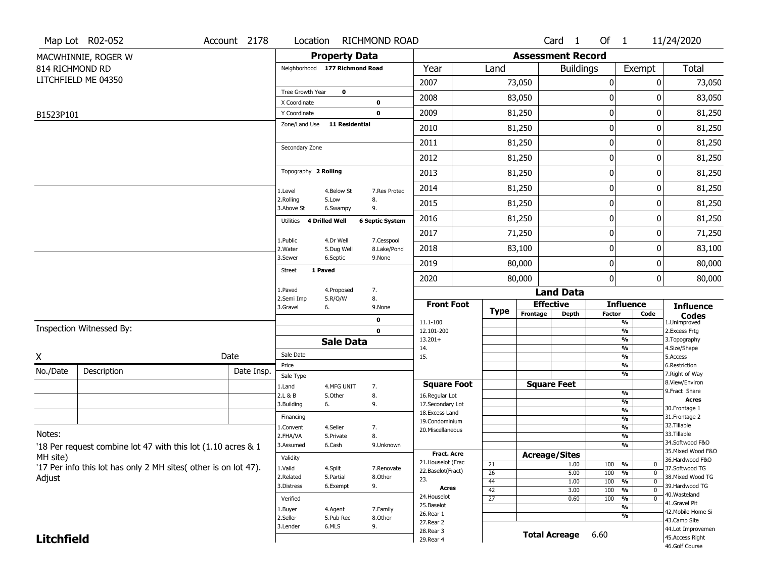|                                                              | Map Lot R02-052                                                 | Account 2178                     | Location                     |                         | <b>RICHMOND ROAD</b>                                          |                                                                                                                   |                       |                      |                          | Card <sub>1</sub>  | Of $1$                   |                                           | 11/24/2020                            |  |
|--------------------------------------------------------------|-----------------------------------------------------------------|----------------------------------|------------------------------|-------------------------|---------------------------------------------------------------|-------------------------------------------------------------------------------------------------------------------|-----------------------|----------------------|--------------------------|--------------------|--------------------------|-------------------------------------------|---------------------------------------|--|
|                                                              | MACWHINNIE, ROGER W                                             |                                  |                              | <b>Property Data</b>    |                                                               |                                                                                                                   |                       |                      | <b>Assessment Record</b> |                    |                          |                                           |                                       |  |
| 814 RICHMOND RD                                              |                                                                 | Neighborhood 177 Richmond Road   |                              |                         | Year                                                          |                                                                                                                   | Land                  |                      | <b>Buildings</b>         |                    | Exempt                   | <b>Total</b>                              |                                       |  |
|                                                              | LITCHFIELD ME 04350                                             |                                  |                              |                         |                                                               | 2007                                                                                                              |                       |                      | 73,050                   |                    | 0                        | 0                                         | 73,050                                |  |
|                                                              |                                                                 |                                  | Tree Growth Year             | $\mathbf{o}$            |                                                               | 2008                                                                                                              |                       |                      | 83,050                   |                    | 0                        | 0                                         | 83,050                                |  |
|                                                              |                                                                 |                                  | X Coordinate<br>Y Coordinate |                         | 0<br>$\mathbf 0$                                              | 2009                                                                                                              |                       |                      | 81,250                   |                    | $\boldsymbol{0}$         | 0                                         | 81,250                                |  |
| B1523P101                                                    |                                                                 |                                  | Zone/Land Use                | 11 Residential          |                                                               | 2010                                                                                                              | 81,250                |                      |                          |                    | 0                        | 0                                         | 81,250                                |  |
|                                                              |                                                                 |                                  |                              |                         | 2011                                                          |                                                                                                                   |                       | 81,250               |                          | $\mathbf 0$        | 0                        | 81,250                                    |                                       |  |
|                                                              |                                                                 | Secondary Zone                   |                              |                         | 2012                                                          |                                                                                                                   |                       | 81,250               |                          | $\boldsymbol{0}$   | 0                        | 81,250                                    |                                       |  |
|                                                              |                                                                 | Topography 2 Rolling             |                              |                         | 2013                                                          |                                                                                                                   |                       | 81,250               |                          | $\boldsymbol{0}$   | 0                        | 81,250                                    |                                       |  |
|                                                              |                                                                 |                                  |                              |                         | 2014                                                          |                                                                                                                   |                       | 81,250               |                          | $\mathbf 0$        | 0                        | 81,250                                    |                                       |  |
|                                                              |                                                                 |                                  | 1.Level<br>2.Rolling         | 4.Below St<br>5.Low     | 7.Res Protec<br>8.                                            | 2015                                                                                                              |                       | 81,250               |                          |                    | 0                        | 0                                         | 81,250                                |  |
|                                                              |                                                                 |                                  | 3.Above St                   | 6.Swampy                | 9.                                                            | 2016                                                                                                              |                       | 81,250               |                          |                    | 0                        | 0                                         | 81,250                                |  |
|                                                              |                                                                 |                                  | Utilities                    | 4 Drilled Well          | <b>6 Septic System</b><br>7.Cesspool<br>8.Lake/Pond<br>9.None | 2017                                                                                                              |                       |                      | 71,250                   |                    | $\boldsymbol{0}$         | 0                                         | 71,250                                |  |
|                                                              |                                                                 |                                  | 1.Public<br>2. Water         | 4.Dr Well<br>5.Dug Well |                                                               | 2018                                                                                                              |                       |                      | 83,100                   |                    | 0                        | 0                                         | 83,100                                |  |
|                                                              |                                                                 |                                  | 3.Sewer                      | 6.Septic                |                                                               | 2019                                                                                                              |                       |                      | 80,000                   |                    | $\mathbf 0$              | 0                                         | 80,000                                |  |
|                                                              |                                                                 |                                  | 1 Paved<br><b>Street</b>     |                         |                                                               | 2020                                                                                                              |                       | 80,000               |                          |                    | $\mathbf 0$              | 0                                         | 80,000                                |  |
|                                                              |                                                                 |                                  | 1.Paved                      | 4.Proposed              | 7.                                                            |                                                                                                                   |                       |                      |                          | <b>Land Data</b>   |                          |                                           |                                       |  |
|                                                              |                                                                 |                                  | 2.Semi Imp<br>3.Gravel       | 5.R/O/W<br>6.           | 8.<br>9.None                                                  | <b>Front Foot</b>                                                                                                 |                       |                      |                          | <b>Effective</b>   |                          | <b>Influence</b>                          | <b>Influence</b>                      |  |
|                                                              |                                                                 |                                  |                              |                         | 0                                                             |                                                                                                                   |                       | <b>Type</b>          | Frontage                 | <b>Depth</b>       |                          | <b>Factor</b><br>Code                     | <b>Codes</b><br>1.Unimproved          |  |
| Inspection Witnessed By:                                     |                                                                 |                                  | $\mathbf 0$                  |                         |                                                               | 11.1-100<br>12.101-200                                                                                            |                       |                      |                          |                    |                          | %<br>%                                    | 2. Excess Frtg                        |  |
|                                                              |                                                                 |                                  | <b>Sale Data</b>             |                         |                                                               | $13.201+$                                                                                                         |                       |                      |                          |                    |                          | %                                         | 3. Topography                         |  |
| X                                                            |                                                                 | Date                             | Sale Date                    |                         |                                                               | 14.<br>15.                                                                                                        |                       |                      |                          |                    |                          | %<br>%                                    | 4.Size/Shape<br>5.Access              |  |
| No./Date                                                     | Description                                                     | Date Insp.                       | Price                        |                         |                                                               |                                                                                                                   |                       |                      |                          |                    |                          | $\frac{9}{6}$                             | 6.Restriction                         |  |
|                                                              |                                                                 |                                  | Sale Type                    |                         | 7.<br>8.<br>9.<br>7.                                          | <b>Square Foot</b><br>16.Regular Lot<br>17.Secondary Lot<br>18. Excess Land<br>19.Condominium<br>20.Miscellaneous |                       |                      |                          | <b>Square Feet</b> |                          | %                                         | 7. Right of Way<br>8.View/Environ     |  |
|                                                              |                                                                 |                                  | 1.Land<br>2.L & B            | 4.MFG UNIT<br>5.Other   |                                                               |                                                                                                                   |                       |                      |                          |                    |                          | $\frac{9}{6}$                             | 9. Fract Share                        |  |
|                                                              |                                                                 |                                  | 3.Building                   | 6.                      |                                                               |                                                                                                                   |                       |                      |                          |                    |                          | %                                         | <b>Acres</b><br>30. Frontage 1        |  |
|                                                              |                                                                 |                                  | Financing                    |                         |                                                               |                                                                                                                   |                       |                      |                          |                    |                          | $\frac{9}{6}$<br>$\overline{\frac{9}{6}}$ | 31. Frontage 2                        |  |
|                                                              |                                                                 |                                  | 1.Convent                    | 4.Seller                |                                                               |                                                                                                                   |                       |                      |                          |                    |                          | $\frac{9}{6}$                             | 32. Tillable                          |  |
| Notes:                                                       |                                                                 | 2.FHA/VA                         | 5.Private                    | 8.                      |                                                               |                                                                                                                   |                       |                      |                          |                    | $\overline{\frac{9}{6}}$ | 33.Tillable                               |                                       |  |
| '18 Per request combine lot 47 with this lot (1.10 acres & 1 |                                                                 |                                  | 3.Assumed                    | 6.Cash                  | 9.Unknown                                                     |                                                                                                                   |                       |                      |                          |                    |                          | %                                         | 34.Softwood F&O<br>35. Mixed Wood F&O |  |
| MH site)                                                     |                                                                 | Validity                         |                              |                         | <b>Fract. Acre</b><br>21. Houselot (Frac                      |                                                                                                                   |                       | <b>Acreage/Sites</b> |                          |                    |                          | 36.Hardwood F&O                           |                                       |  |
|                                                              | '17 Per info this lot has only 2 MH sites( other is on lot 47). | 1.Valid                          | 4.Split                      | 7.Renovate              | 22.Baselot(Fract)                                             |                                                                                                                   | 21                    |                      | 1.00                     | 100                | %<br>0<br>$\overline{0}$ | 37.Softwood TG                            |                                       |  |
| Adjust                                                       |                                                                 | 2.Related                        | 5.Partial                    | 8.Other                 | 23.                                                           |                                                                                                                   | $\overline{26}$<br>44 |                      | 5.00<br>1.00             | 100<br>100         | %<br>$\overline{0}$<br>% | 38. Mixed Wood TG                         |                                       |  |
|                                                              |                                                                 |                                  | 3.Distress                   | 6.Exempt                | 9.                                                            | Acres                                                                                                             |                       | 42                   | 3.00                     |                    | 100                      | $\overline{0}$<br>%                       | 39.Hardwood TG                        |  |
|                                                              |                                                                 | Verified                         |                              | 7.Family                | 24. Houselot<br>25.Baselot                                    |                                                                                                                   | $\overline{27}$       |                      | 0.60                     | 100                | %<br>$\mathbf 0$         | 40. Wasteland<br>41.Gravel Pit            |                                       |  |
|                                                              |                                                                 | 1.Buyer                          | 4.Agent                      |                         |                                                               |                                                                                                                   |                       |                      |                          |                    | %                        | 42. Mobile Home Si                        |                                       |  |
|                                                              |                                                                 | 2.Seller<br>5.Pub Rec<br>8.Other |                              |                         | 26.Rear 1<br>27. Rear 2                                       |                                                                                                                   |                       |                      |                          |                    | %                        | 43.Camp Site                              |                                       |  |
|                                                              |                                                                 | 3.Lender                         | 6.MLS                        | 9.                      | 28. Rear 3                                                    |                                                                                                                   |                       |                      | <b>Total Acreage</b>     | 6.60               |                          | 44.Lot Improvemen                         |                                       |  |
| <b>Litchfield</b>                                            |                                                                 |                                  |                              |                         | 29. Rear 4                                                    |                                                                                                                   |                       |                      |                          |                    |                          | 45.Access Right                           |                                       |  |